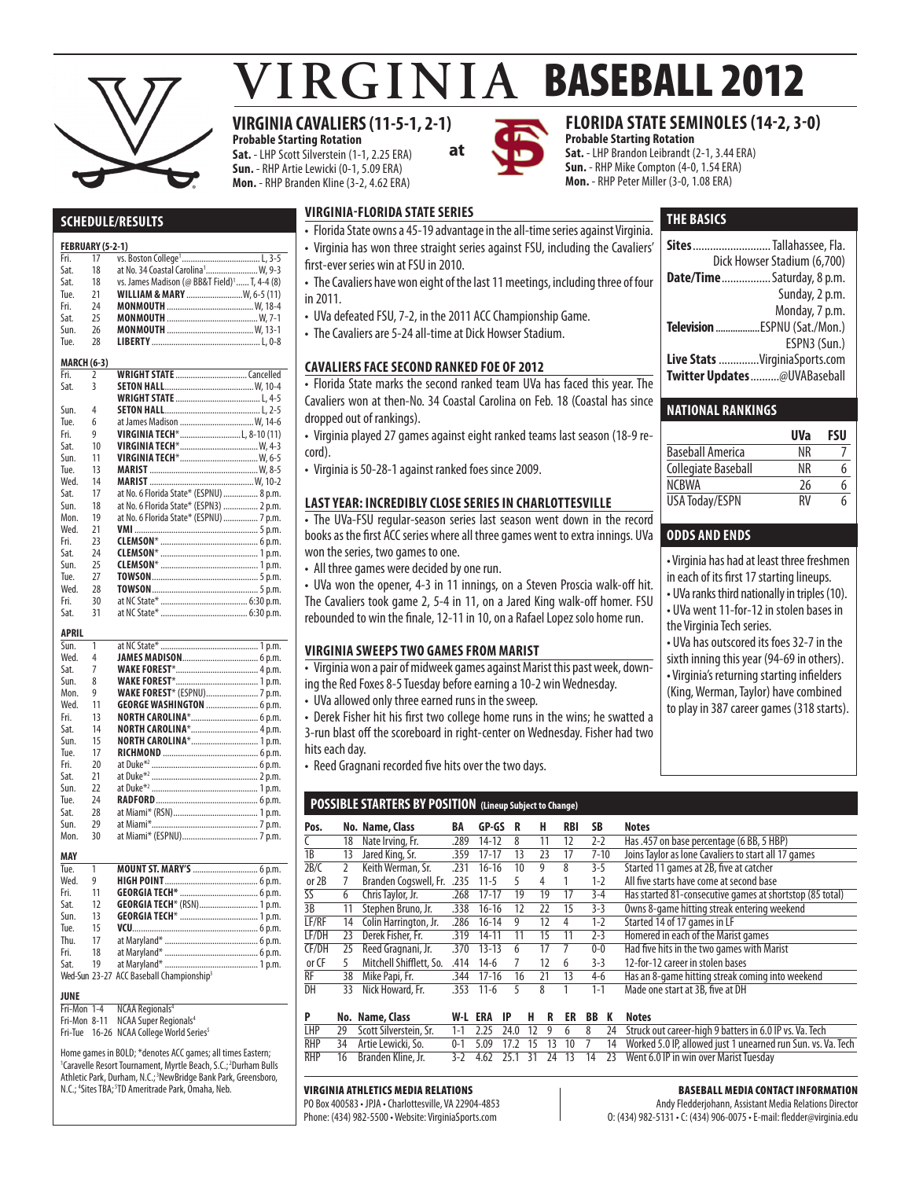

# **VIRGINIA BASEBALL 2012**

# **VIRGINIA CAVALIERS (11-5-1, 2-1)**

**Probable Starting Rotation Sat.** - LHP Scott Silverstein (1-1, 2.25 ERA) **Sun.** - RHP Artie Lewicki (0-1, 5.09 ERA) **Mon.** - RHP Branden Kline (3-2, 4.62 ERA)

 $125$ 



# **FLORIDA STATE SEMINOLES (14-2, 3-0)**

**THE basics**

**Sites**...........................Tallahassee, Fla. Dick Howser Stadium (6,700) **Date/Time**.................Saturday, 8 p.m.

**Television**..................ESPNU (Sat./Mon.)

**Live Stats** ..............VirginiaSports.com **Twitter Updates**..........@UVABaseball

Baseball America NR 7<br>
Collegiate Baseball NR 6 Collegiate Baseball NR

NCBWA 26 6<br>USA Todav/ESPN RV 6 USA Today/ESPN RV 6

• Virginia has had at least three freshmen in each of its first 17 starting lineups. • UVa ranks third nationally in triples (10). • UVa went 11-for-12 in stolen bases in

• UVa has outscored its foes 32-7 in the sixth inning this year (94-69 in others). • Virginia's returning starting infielders (King, Werman, Taylor) have combined to play in 387 career games (318 starts).

**National Rankings**

**odds and ends** 

the Virginia Tech series.

Sunday, 2 p.m. Monday, 7 p.m.

ESPN3 (Sun.)

**UVa FSU**

**Probable Starting Rotation Sat.** - LHP Brandon Leibrandt (2-1, 3.44 ERA) **Sun.** - RHP Mike Compton (4-0, 1.54 ERA) **Mon.** - RHP Peter Miller (3-0, 1.08 ERA)

#### **Schedule/Results**

#### **FEBRUARY (5-2-1)**<br>Fri 17 Vs vs. Boston College

|      |                    | …… ווטונטוונים ווטונטוויי<br>                            |
|------|--------------------|----------------------------------------------------------|
| Sat. | 18                 | at No. 34 Coastal Carolina <sup>1</sup> W, 9-3           |
| Sat. | 18                 | vs. James Madison (@ BB&T Field) <sup>1</sup> T, 4-4 (8) |
| Tue. | 21                 | <b>WILLIAM &amp; MARY</b> W, 6-5 (11)                    |
| Fri. | 24                 |                                                          |
| Sat. | 25                 |                                                          |
| Sun. | 26                 |                                                          |
| Tue. | 28                 |                                                          |
|      | <b>MARCH (6-3)</b> |                                                          |
| Fri. | $\overline{2}$     |                                                          |
| Sat. | 3                  |                                                          |
|      |                    |                                                          |
| Sun. | 4                  |                                                          |
| Tue. | 6                  | at James Madison  W, 14-6                                |
| Fri. | 9                  |                                                          |
| Sat. | 10                 |                                                          |
| Sun. | 11                 |                                                          |
| Tue. | 13                 |                                                          |
| Wed. | 14                 |                                                          |
| Sat. | 17                 | at No. 6 Florida State* (ESPNU)  8 p.m.                  |
| Sun. | 18                 | at No. 6 Florida State* (ESPN3)  2 p.m.                  |
| Mon. | 19                 | at No. 6 Florida State* (ESPNU)  7 p.m.                  |
| Wed. | 21                 |                                                          |
| Fri. | 23                 |                                                          |
| Sat. | 24                 |                                                          |
| Sun. | 25                 |                                                          |
| Tue. | 27                 |                                                          |
| Wed. | 28                 |                                                          |
| Fri. | 30                 |                                                          |
| Sat. | 31                 |                                                          |

#### **APRIL**

| .    |    |                                  |
|------|----|----------------------------------|
| Sun. | 1  |                                  |
| Wed. | 4  |                                  |
| Sat. | 7  |                                  |
| Sun. | 8  |                                  |
| Mon. | 9  |                                  |
| Wed. | 11 | <b>GEORGE WASHINGTON  6 p.m.</b> |
| Fri. | 13 | NORTH CAROLINA* 6 p.m.           |
| Sat. | 14 |                                  |
| Sun. | 15 | NORTH CAROLINA* 1 p.m.           |
| Tue. | 17 |                                  |
| Fri. | 20 |                                  |
| Sat. | 21 |                                  |
| Sun. | 22 |                                  |
| Tue. | 24 |                                  |
| Sat. | 28 |                                  |
| Sun. | 29 |                                  |
| Mon. | 30 |                                  |
|      |    |                                  |
| MAY  |    |                                  |
| Tue. | 1  | <b>MOUNT ST. MARY'S </b> 6 p.m.  |
| Wed. | 9  |                                  |
| Fri. | 11 |                                  |
| Sat. | 12 | GEORGIA TECH* (RSN) 1 p.m.       |
|      |    |                                  |

#### Wed-Sun 23-27 ACC Baseball Championship<sup>3</sup>

#### **JUNE**

Fri-Mon 1-4 NCAA Regionals<sup>4</sup><br>Fri-Mon 8-11 NCAA Super Regionals<sup>4</sup>

Fri-Tue 16-26 NCAA College World Series<sup>5</sup>

Home games in BOLD; \*denotes ACC games; all times Eastern; <sup>1</sup>Caravelle Resort Tournament, Myrtle Beach, S.C.;<sup>2</sup>Durham Bulls Athletic Park, Durham, N.C.;<sup>3</sup>NewBridge Bank Park, Greensboro, N.C.; <sup>4</sup>Sites TBA; <sup>5</sup>TD Ameritrade Park, Omaha, Neb.

Sun. 13 **Georgia Tech**\*....................................1 p.m. Tue. 15 **VCU**..........................................................6 p.m. Thu. 17 at Maryland\*...........................................6 p.m. Fri. 18 at Maryland\*...........................................6 p.m. Sat. 19 at Maryland\*...........................................1 p.m.

### **virginia-florida state series**

- Florida State owns a 45-19 advantage in the all-time series against Virginia.
- Virginia has won three straight series against FSU, including the Cavaliers'

**at**

- first-ever series win at FSU in 2010.
- The Cavaliers have won eight of the last 11 meetings, including three of four in 2011.
- UVa defeated FSU, 7-2, in the 2011 ACC Championship Game.
- The Cavaliers are 5-24 all-time at Dick Howser Stadium.

#### **cavaliers face second ranked foe of 2012**

• Florida State marks the second ranked team UVa has faced this year. The Cavaliers won at then-No. 34 Coastal Carolina on Feb. 18 (Coastal has since dropped out of rankings).

• Virginia played 27 games against eight ranked teams last season (18-9 record).

• Virginia is 50-28-1 against ranked foes since 2009.

#### **Last Year: incredibly close series in charlottesville**

• The UVa-FSU regular-season series last season went down in the record books as the first ACC series where all three games went to extra innings. UVa won the series, two games to one.

• All three games were decided by one run.

• UVa won the opener, 4-3 in 11 innings, on a Steven Proscia walk-off hit. The Cavaliers took game 2, 5-4 in 11, on a Jared King walk-off homer. FSU rebounded to win the finale, 12-11 in 10, on a Rafael Lopez solo home run.

#### **virginia sweeps two games from marist**

• Virginia won a pair of midweek games against Marist this past week, down-

- ing the Red Foxes 8-5 Tuesday before earning a 10-2 win Wednesday.
- UVa allowed only three earned runs in the sweep.

• Derek Fisher hit his first two college home runs in the wins; he swatted a 3-run blast off the scoreboard in right-center on Wednesday. Fisher had two hits each day.

• Reed Gragnani recorded five hits over the two days.

#### **POSSIBLE STARTERS BY POSITION (Lineup Subject to Change)**

| Pos.  |    | No. Name, Class         | BA   | GP-GS     | R  | н  | RBI | SB       | <b>Notes</b>                                             |
|-------|----|-------------------------|------|-----------|----|----|-----|----------|----------------------------------------------------------|
|       | 18 | Nate Irving, Fr.        | .289 | $14 - 12$ | 8  | 11 | 12  | $2-2$    | Has .457 on base percentage (6 BB, 5 HBP)                |
| 1B    | 13 | Jared King, Sr.         | .359 | $17 - 17$ | 13 | 23 | 17  | $7 - 10$ | Joins Taylor as lone Cavaliers to start all 17 games     |
| 2B/C  |    | Keith Werman, Sr.       | 231  | $16-16$   | 10 | 9  | 8   | $3-5$    | Started 11 games at 2B, five at catcher                  |
| or 2B |    | Branden Cogswell, Fr.   | .235 | $11 - 5$  |    | 4  |     | $1 - 2$  | All five starts have come at second base                 |
| SS    | 6  | Chris Taylor, Jr.       | .268 | $17 - 17$ | 19 | 19 | 17  | $3-4$    | Has started 81-consecutive games at shortstop (85 total) |
| 3B    | 11 | Stephen Bruno, Jr.      | .338 | $16 - 16$ | 12 | 22 | 15  | $3-3$    | Owns 8-game hitting streak entering weekend              |
| LF/RF | 14 | Colin Harrington, Jr.   | .286 | $16 - 14$ | 9  | 12 | 4   | $1-2$    | Started 14 of 17 games in LF                             |
| LF/DH | 23 | Derek Fisher, Fr.       | .319 | $14 - 11$ |    | 15 | 11  | $2 - 3$  | Homered in each of the Marist games                      |
| CF/DH | 25 | Reed Gragnani, Jr.      | .370 | $13 - 13$ | 6  | 17 |     | $0-0$    | Had five hits in the two games with Marist               |
| or CF |    | Mitchell Shifflett, So. | .414 | $14-6$    |    | 12 | 6   | $3-3$    | 12-for-12 career in stolen bases                         |
| RF    | 38 | Mike Papi, Fr.          | .344 | $17-16$   | 16 | 21 | 13  | $4-6$    | Has an 8-game hitting streak coming into weekend         |
| DH    | 33 | Nick Howard, Fr.        | 353  | $11-6$    |    | 8  |     | $1 - 1$  | Made one start at 3B, five at DH                         |

|  | No. Name, Class |  |  |  |  | W-L ERA IP H R ER BB K Notes                                                                                       |
|--|-----------------|--|--|--|--|--------------------------------------------------------------------------------------------------------------------|
|  |                 |  |  |  |  | LHP 29 Scott Silverstein, Sr. 1-1 2.25 24.0 12 9 6 8 24 Struck out career-high 9 batters in 6.0 IP vs. Va. Tech    |
|  |                 |  |  |  |  | RHP 34 Artie Lewicki, So. 0-1 5.09 17.2 15 13 10 7 14 Worked 5.0 IP, allowed just 1 unearned run Sun. vs. Va. Tech |
|  |                 |  |  |  |  | RHP 16 Branden Kline, Jr. 3-2 4.62 25.1 31 24 13 14 23 Went 6.0 IP in win over Marist Tuesday                      |

#### Virginia Athletics Media Relations

PO Box 400583 • JPJA • Charlottesville, VA 22904-4853 Phone: (434) 982-5500 • Website: VirginiaSports.com

#### Baseball Media Contact Information

Andy Fledderjohann, Assistant Media Relations Director O: (434) 982-5131 • C: (434) 906-0075 • E-mail: fledder@virginia.edu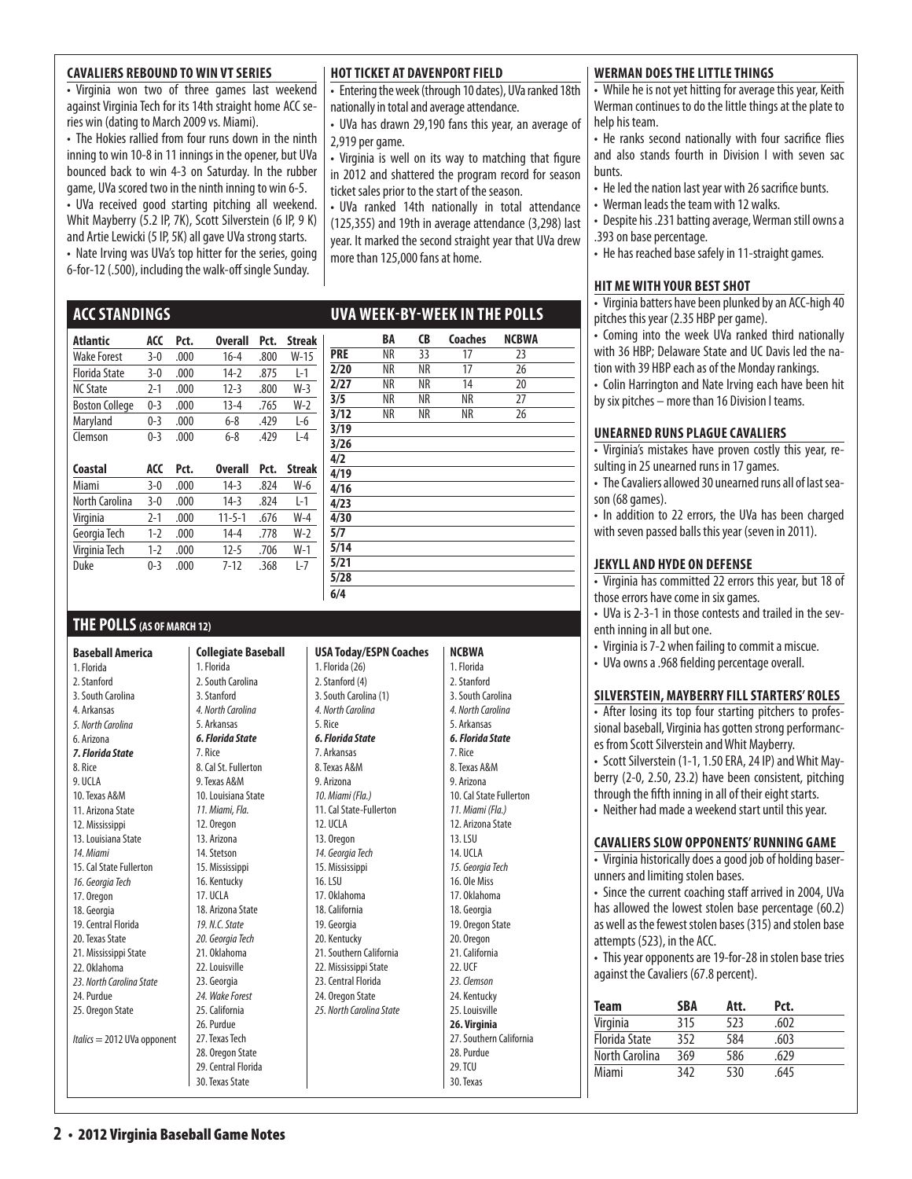#### **Cavaliers Rebound to Win VT Series**

• Virginia won two of three games last weekend against Virginia Tech for its 14th straight home ACC series win (dating to March 2009 vs. Miami).

• The Hokies rallied from four runs down in the ninth inning to win 10-8 in 11 innings in the opener, but UVa bounced back to win 4-3 on Saturday. In the rubber game, UVa scored two in the ninth inning to win 6-5. • UVa received good starting pitching all weekend. Whit Mayberry (5.2 IP, 7K), Scott Silverstein (6 IP, 9 K) and Artie Lewicki (5 IP, 5K) all gave UVa strong starts. • Nate Irving was UVa's top hitter for the series, going 6-for-12 (.500), including the walk-off single Sunday.

#### **HOT TICKET AT DAVENPORT FIELD**

• Entering the week (through 10 dates), UVa ranked 18th nationally in total and average attendance.

• UVa has drawn 29,190 fans this year, an average of 2,919 per game.

• Virginia is well on its way to matching that figure in 2012 and shattered the program record for season ticket sales prior to the start of the season.

• UVa ranked 14th nationally in total attendance (125,355) and 19th in average attendance (3,298) last year. It marked the second straight year that UVa drew more than 125,000 fans at home.

 **BA CB Coaches NCBWA**

### **uva week-by-week in the polls**

| Atlantic              | ACC     | Pct. | <b>Overall</b> | Pct. | <b>Streak</b> |            | BA | CB | Coaches | <b>NCBI</b> |
|-----------------------|---------|------|----------------|------|---------------|------------|----|----|---------|-------------|
| Wake Forest           | $3-0$   | .000 | $16 - 4$       | .800 | $W-15$        | <b>PRE</b> | NR | 33 | 17      | 23          |
| Florida State         | $3-0$   | .000 | 14-2           | .875 | $L-1$         | 2/20       | NR | NR | 17      | 26          |
| <b>NC State</b>       | $2 - 1$ | .000 | $12 - 3$       | .800 | $W-3$         | 2/27       | ΝR | NR | 14      | 20          |
| <b>Boston College</b> | $0 - 3$ | .000 | $13 - 4$       | .765 | $W-2$         | 3/5        | NR | NR | NR      | 27          |
| Maryland              | $0 - 3$ | .000 | $6 - 8$        | .429 | $L-6$         | 3/12       | NR | NR | ΝR      | 26          |
| Clemson               | $0 - 3$ | .000 | $6 - 8$        | .429 | $L-4$         | 3/19       |    |    |         |             |
|                       |         |      |                |      |               | 3/26       |    |    |         |             |
| Coastal               | ACC     | Pct. | <b>Overall</b> | Pct. | <b>Streak</b> | 4/2        |    |    |         |             |
|                       |         |      |                |      |               | 4/19       |    |    |         |             |
| Miami                 | $3-0$   | .000 | 14-3           | .824 | $W-6$         | 4/16       |    |    |         |             |
| North Carolina        | $3 - 0$ | .000 | 14-3           | .824 | $L-1$         | 4/23       |    |    |         |             |
| Virginia              | $2 - 1$ | .000 | $11 - 5 - 1$   | .676 | $W-4$         | 4/30       |    |    |         |             |
| Georgia Tech          | $1 - 2$ | .000 | $14 - 4$       | .778 | $W-2$         | 5/7        |    |    |         |             |
| Virginia Tech         | $1 - 2$ | .000 | $12 - 5$       | .706 | $W-1$         | 5/14       |    |    |         |             |
| Duke                  | $0 - 3$ | .000 | $7 - 12$       | .368 | $L-7$         | 5/21       |    |    |         |             |
|                       |         |      |                |      |               | 5/28       |    |    |         |             |

### **THE POLLS(AS OF MARCH 12)**

**ACCStandings** 

**Baseball America**  1. Florida 2. Stanford 3. South Carolina 4. Arkansas *5. North Carolina* 6. Arizona *7. Florida State* 8. Rice 9. UCLA 10. Texas A&M 11. Arizona State 12. Mississippi 13. Louisiana State *14. Miami* 15. Cal State Fullerton *16. Georgia Tech*  17. Oregon 18. Georgia 19. Central Florida 20. Texas State 21. Mississippi State 22. Oklahoma *23. North Carolina State* 24. Purdue 25. Oregon State *Italics* = 2012 UVa opponent

#### **Collegiate Baseball**  1. Florida 2. South Carolina 3. Stanford *4. North Carolina* 5. Arkansas *6. Florida State* 7. Rice 8. Cal St. Fullerton 9. Texas A&M 10. Louisiana State *11. Miami, Fla.* 12. Oregon 13. Arizona 14. Stetson 15. Mississippi 16. Kentucky 17. UCLA 18. Arizona State *19. N.C. State 20. Georgia Tech* 21. Oklahoma 22. Louisville 23. Georgia *24. Wake Forest*  25. California 26. Purdue 27. Texas Tech 28. Oregon State 29. Central Florida 30. Texas State

#### **USA Today/ESPN Coaches** 1. Florida (26) 2. Stanford (4) 3. South Carolina (1) *4. North Carolina* 5. Rice *6. Florida State*  7. Arkansas 8. Texas A&M 9. Arizona *10. Miami (Fla.)*  11. Cal State-Fullerton 12. UCLA 13. Oregon *14. Georgia Tech*  15. Mississippi 16. LSU 17. Oklahoma 18. California 19. Georgia 20. Kentucky 21. Southern California 22. Mississippi State 23. Central Florida 24. Oregon State *25. North Carolina State*

**6/4**

| NCBWA                   |
|-------------------------|
|                         |
| 1. Florida              |
| 2. Stanford             |
| 3. South Carolina       |
| 4. North Carolina       |
| 5. Arkansas             |
| 6. Florida State        |
| 7. Rice                 |
| 8. Texas A&M            |
| 9. Arizona              |
| 10. Cal State Fullerton |
| 11. Miami (Fla.)        |
| 12. Arizona State       |
| 13. LSU                 |
| 14. UCLA                |
| 15. Georgia Tech        |
| 16. Ole Miss            |
| 17. Oklahoma            |
| 18. Georgia             |
| 19. Oregon State        |
| 20. Oregon              |
| 21. California          |
| 22. LICF                |
| 23. Clemson             |
| 24. Kentucky            |
| 25. Louisville          |
| 26. Virginia            |
| 27. Southern California |
| 28. Purdue              |
| 29. TCU                 |
| 30. Texas               |

#### **WERMAN DOES THE LITTLE THINGS**

• While he is not yet hitting for average this year, Keith Werman continues to do the little things at the plate to help his team.

• He ranks second nationally with four sacrifice flies and also stands fourth in Division I with seven sac bunts.

- He led the nation last year with 26 sacrifice bunts.
- Werman leads the team with 12 walks.
- Despite his .231 batting average, Werman still owns a .393 on base percentage.
- He has reached base safely in 11-straight games.

#### **hit me with your best shot**

• Virginia batters have been plunked by an ACC-high 40 pitches this year (2.35 HBP per game).

• Coming into the week UVa ranked third nationally with 36 HBP; Delaware State and UC Davis led the nation with 39 HBP each as of the Monday rankings.

• Colin Harrington and Nate Irving each have been hit by six pitches – more than 16 Division I teams.

#### **UNEARNED RUNS PLAGUE CAVALIERS**

• Virginia's mistakes have proven costly this year, resulting in 25 unearned runs in 17 games.

• The Cavaliers allowed 30 unearned runs all of last season (68 games).

• In addition to 22 errors, the UVa has been charged with seven passed balls this year (seven in 2011).

#### **jekyll and hyde on defense**

• Virginia has committed 22 errors this year, but 18 of those errors have come in six games.

- UVa is 2-3-1 in those contests and trailed in the seventh inning in all but one.
- Virginia is 7-2 when failing to commit a miscue.
- UVa owns a .968 fielding percentage overall.

#### **silverstein, mayberry fill starters' roles**

• After losing its top four starting pitchers to professional baseball, Virginia has gotten strong performances from Scott Silverstein and Whit Mayberry.

• Scott Silverstein (1-1, 1.50 ERA, 24 IP) and Whit Mayberry (2-0, 2.50, 23.2) have been consistent, pitching through the fifth inning in all of their eight starts.

• Neither had made a weekend start until this year.

#### **Cavaliers Slow Opponents' Running Game**

• Virginia historically does a good job of holding baserunners and limiting stolen bases.

• Since the current coaching staff arrived in 2004, UVa has allowed the lowest stolen base percentage (60.2) as well as the fewest stolen bases (315) and stolen base attempts (523), in the ACC.

• This year opponents are 19-for-28 in stolen base tries against the Cavaliers (67.8 percent).

| Team           | SBA | Att. | Pct. |  |
|----------------|-----|------|------|--|
| Virginia       | 315 | 523  | .602 |  |
| Florida State  | 352 | 584  | .603 |  |
| North Carolina | 369 | 586  | .629 |  |
| Miami          | 342 | 530  | .645 |  |
|                |     |      |      |  |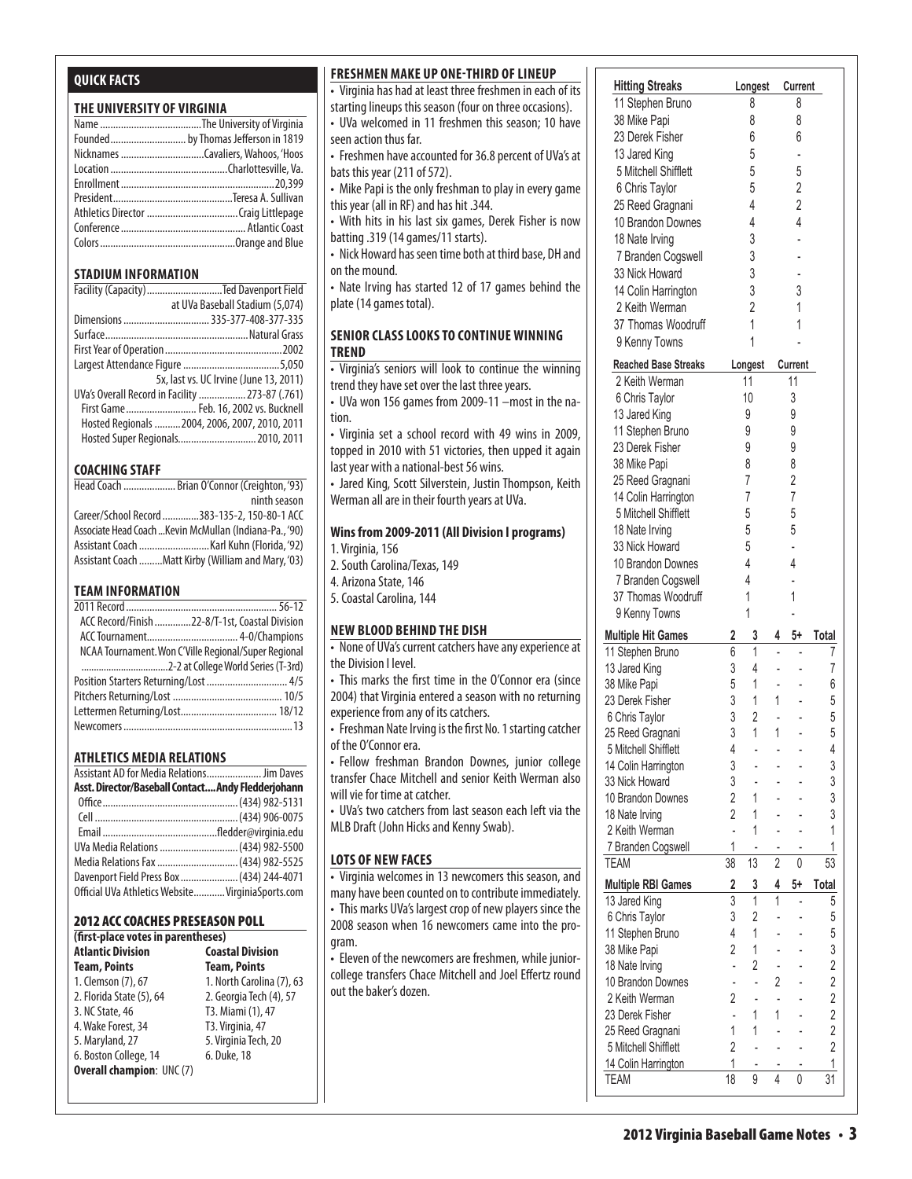### **Quick Facts**

#### **THE UNIVERSITY OF VIRGINIA**

| Founded by Thomas Jefferson in 1819 |
|-------------------------------------|
|                                     |
|                                     |
|                                     |
|                                     |
|                                     |
|                                     |
|                                     |
|                                     |

#### **STADIUM INFORMATION**

| Facility (Capacity) Ted Davenport Field         |                                        |
|-------------------------------------------------|----------------------------------------|
|                                                 | at UVa Baseball Stadium (5,074)        |
|                                                 |                                        |
|                                                 |                                        |
|                                                 |                                        |
|                                                 |                                        |
|                                                 | 5x, last vs. UC Irvine (June 13, 2011) |
| UVa's Overall Record in Facility  273-87 (.761) |                                        |
| First Game Feb. 16, 2002 vs. Bucknell           |                                        |
| Hosted Regionals  2004, 2006, 2007, 2010, 2011  |                                        |
| Hosted Super Regionals 2010, 2011               |                                        |

#### **COACHING STAFF**

| Head Coach  Brian O'Connor (Creighton, '93)             |
|---------------------------------------------------------|
| ninth season                                            |
| Career/School Record 383-135-2, 150-80-1 ACC            |
| Associate Head Coach  Kevin McMullan (Indiana-Pa., '90) |
|                                                         |
| Assistant Coach Matt Kirby (William and Mary, '03)      |

#### **TEAM INFORMATION**

| ACC Record/Finish 22-8/T-1st, Coastal Division       |  |
|------------------------------------------------------|--|
|                                                      |  |
| NCAA Tournament. Won C'Ville Regional/Super Regional |  |
|                                                      |  |
| Position Starters Returning/Lost  4/5                |  |
|                                                      |  |
|                                                      |  |
|                                                      |  |
|                                                      |  |

#### **Athletics MEDIA RELATIONS**

| Assistant AD for Media Relations Jim Daves         |  |
|----------------------------------------------------|--|
| Asst. Director/Baseball Contact Andy Fledderjohann |  |
|                                                    |  |
|                                                    |  |
|                                                    |  |
| UVa Media Relations  (434) 982-5500                |  |
| Media Relations Fax  (434) 982-5525                |  |
| Davenport Field Press Box  (434) 244-4071          |  |
| Official UVa Athletics Website VirginiaSports.com  |  |

#### 2012 ACC Coaches Preseason Poll

| (first-place votes in parentheses) |                           |  |  |  |  |  |  |  |  |  |  |  |
|------------------------------------|---------------------------|--|--|--|--|--|--|--|--|--|--|--|
| <b>Atlantic Division</b>           | <b>Coastal Division</b>   |  |  |  |  |  |  |  |  |  |  |  |
| <b>Team, Points</b>                | <b>Team, Points</b>       |  |  |  |  |  |  |  |  |  |  |  |
| 1. Clemson (7), 67                 | 1. North Carolina (7), 63 |  |  |  |  |  |  |  |  |  |  |  |
| 2. Florida State (5), 64           | 2. Georgia Tech (4), 57   |  |  |  |  |  |  |  |  |  |  |  |
| 3. NC State, 46                    | T3. Miami (1), 47         |  |  |  |  |  |  |  |  |  |  |  |
| 4. Wake Forest, 34                 | T3. Virginia, 47          |  |  |  |  |  |  |  |  |  |  |  |
| 5. Maryland, 27                    | 5. Virginia Tech, 20      |  |  |  |  |  |  |  |  |  |  |  |
| 6. Boston College, 14              | 6. Duke, 18               |  |  |  |  |  |  |  |  |  |  |  |
| <b>Overall champion: UNC (7)</b>   |                           |  |  |  |  |  |  |  |  |  |  |  |
|                                    |                           |  |  |  |  |  |  |  |  |  |  |  |

#### **Freshmen make up one-third oflineup**

- Virginia has had at least three freshmen in each of its starting lineups this season (four on three occasions).  $\|$
- UVa welcomed in 11 freshmen this season; 10 have  $\mathsf{seen}\xspace$  action thus far.
- Freshmen have accounted for 36.8 percent of UVa's at  $\vert$ bats this year (211 of 572).  $\begin{array}{|c} \hline \end{array}$
- Mike Papi is the only freshman to play in every game  $|$ this year (all in RF) and has hit  $.344.$
- $\bullet$  With hits in his last six games, Derek Fisher is now  $\vert$  $b$ atting .319 (14 games/11 starts).
- Nick Howard has seen time both at third base, DH and  $\parallel$ on the mound.  $\|\cdot\|$
- Nate Irving has started 12 of 17 games behind the  $|$ plate (14 games total).

TEAM 38 13 2 0 53

#### **senior class looks to continue winning trend**

- Virginia's seniors will look to continue the winning trend they have set over the last three years.
- UVa won 156 games from 2009-11 -most in the nation.
- Virginia set a school record with 49 wins in 2009, topped in 2010 with 51 victories, then upped it again last year with a national-best 56 wins.
- Jared King, Scott Silverstein, Justin Thompson, Keith Werman all are in their fourth years at UVa.

#### Wins from 2009-2011 (All Division I programs)

- 1. Virginia, 156
- 2. South Carolina/Texas, 149
- 4. Arizona State, 146
- 5. Coastal Carolina, 144

#### **new blood behind the dish**

- None of UVa's current catchers have any experience at the Division I level.
- This marks the first time in the O'Connor era (since 2004) that Virginia entered a season with no returning experience from any of its catchers.
- Freshman Nate Irving is the first No. 1 starting catcher of the O'Connor era.
- Fellow freshman Brandon Downes, junior college transfer Chace Mitchell and senior Keith Werman also will vie for time at catcher.
- UVa's two catchers from last season each left via the | | 18 Nate Irvi MLB Draft (John Hicks and Kenny Swab). **All States in Institute 1996**

#### **lots of new faces**

• Virginia welcomes in 13 newcomers this season, and many have been counted on to contribute immediately. • This marks UVa's largest crop of new players since the 2008 season when 16 newcomers came into the program. 38 Mike Papi 5 1 - 6 1 - 6 1 - 6 1 - 6 1 - 6 1 - 6 1 - 6 1 - 6 1 - 6 1 - 6 1 - 6 1 - 6 1 - 6 1 - 6 1 - 6 1 - 6<br>2001 - 6 1 - 6 1 - 6 1 - 6 1 - 6 1 - 6 1 - 6 1 - 6 1 - 6 1 - 6 1 - 6 1 - 6 1 - 6 1 - 6 1 - 6 1 - 6 1 - 6 1 - 6

U Eleven of the newcomers are freshmen, while juniorcollege transfers Chace Mitchell and Joel Effertz round out the baker's dozen.

TEAM 38 13 2 0 53

| <b>Hitting Streaks</b>      |                | Longest        |                | Current        |                |
|-----------------------------|----------------|----------------|----------------|----------------|----------------|
| 11 Stephen Bruno            |                | 8              |                | 8              |                |
| 38 Mike Papi                |                | 8              |                | 8              |                |
| 23 Derek Fisher             |                | 6              |                | 6              |                |
| 13 Jared King               |                | 5              |                |                |                |
| 5 Mitchell Shifflett        |                | 5              |                | 5              |                |
| 6 Chris Taylor              |                | 5              |                | $\overline{2}$ |                |
| 25 Reed Gragnani            |                | 4              |                | $\overline{2}$ |                |
| 10 Brandon Downes           |                | 4              |                | $\overline{4}$ |                |
| 18 Nate Irving              |                | 3              |                |                |                |
| 7 Branden Cogswell          |                | 3              |                |                |                |
| 33 Nick Howard              |                | 3              |                |                |                |
| 14 Colin Harrington         |                | 3              |                | 3              |                |
| 2 Keith Werman              |                | $\overline{2}$ |                | 1              |                |
| 37 Thomas Woodruff          |                | 1              |                | 1              |                |
| 9 Kenny Towns               |                | 1              |                |                |                |
| <b>Reached Base Streaks</b> |                | Longest        |                | Current        |                |
| 2 Keith Werman              |                | 11             |                | 11             |                |
| 6 Chris Taylor              |                | 10             |                | 3              |                |
| 13 Jared King               |                | 9              |                | 9              |                |
| 11 Stephen Bruno            |                | 9              |                | 9              |                |
| 23 Derek Fisher             |                | 9              |                | 9              |                |
| 38 Mike Papi                |                | 8              |                | 8              |                |
| 25 Reed Gragnani            |                | $\overline{7}$ |                | $\overline{2}$ |                |
| 14 Colin Harrington         |                | $\overline{7}$ |                | $\overline{7}$ |                |
| 5 Mitchell Shifflett        |                | 5              |                | 5              |                |
| 18 Nate Irving              |                | 5              |                | 5              |                |
| 33 Nick Howard              |                | 5              |                |                |                |
| 10 Brandon Downes           |                | 4              |                | 4              |                |
| 7 Branden Cogswell          |                | $\overline{4}$ |                |                |                |
| 37 Thomas Woodruff          |                | 1              |                | 1              |                |
| 9 Kenny Towns               |                | 1              |                |                |                |
| <b>Multiple Hit Games</b>   | 2              | 3              | 4              | 5+             | Total          |
| 11 Stephen Bruno            | 6              | $\overline{1}$ |                |                | 7              |
| 13 Jared King               | 3              | 4              |                |                | 7              |
| 38 Mike Papi                | 5              | 1              |                |                | 6              |
| 23 Derek Fisher             | 3              | 1              | 1              |                | 5              |
| 6 Chris Taylor              | 3              | $\overline{2}$ |                |                | 5              |
| 25 Reed Gragnani            | 3              | 1              | 1              |                | 5              |
| 5 Mitchell Shifflett        | 4              |                |                |                | 4              |
| 14 Colin Harrington         | 3              |                |                |                | 3              |
| 33 Nick Howard              | 3              |                |                |                | 3              |
| 10 Brandon Downes           | $\overline{2}$ | 1              |                |                | 3              |
| 18 Nate Irving              | $\overline{2}$ | 1              |                |                | 3              |
| 2 Keith Werman              | L,             | 1              |                |                | 1              |
| 7 Branden Cogswell          | 1              | $\blacksquare$ |                |                | 1              |
| <b>TEAM</b>                 | 38             | 13             | $\overline{2}$ | 0              | 53             |
| <b>Multiple RBI Games</b>   | 2              | 3              | 4              | 5+             | Total          |
| 13 Jared King               | $\overline{3}$ | $\overline{1}$ | 1              | $\overline{a}$ | 5              |
| 6 Chris Taylor              | 3              | $\overline{2}$ |                |                | 5              |
| 11 Stephen Bruno            | 4              | 1              |                |                | 5              |
| 38 Mike Papi                | $\overline{2}$ | 1              |                |                | 3              |
| 18 Nate Irving              | ÷.             | 2              |                |                | 2              |
| 10 Brandon Downes           | $\overline{a}$ | L,             | $\overline{2}$ |                | 2              |
| 2 Keith Werman              | $\overline{2}$ | $\overline{a}$ | $\overline{a}$ |                | $\overline{2}$ |
| 23 Derek Fisher             | $\overline{a}$ | 1              | 1              |                | $\overline{2}$ |
| 25 Reed Gragnani            | 1              | 1              |                |                | $\overline{2}$ |
| 5 Mitchell Shifflett        | 2              | $\overline{a}$ |                |                | 2              |
| 14 Colin Harrington         | 1              |                |                |                | 1              |
| <b>TEAM</b>                 | 18             | 9              | $\overline{4}$ | 0              | 31             |
|                             |                |                |                |                |                |

**Multiple RBI Games 2 3 4 5+ Total** 13 Jan 20 1 - 5 1 - 5 1 - 5 1 - 5 1 - 5 1 - 5 1 - 5 1 - 5 1 - 5 1 - 5 1 - 5 1 - 5 1 - 5 1 - 5 1 - 5 1 - 5 1 - 5 6 Chris Taylor 3 2 - - 5 11 Stephen Bruno 4 1 - - 5 38 Mike Papi 2 1 - - 3 18 Nate 2014 10 Brandon Downes - - 2 - 2  $2.2$  Keith Werman 2 -  $2.2$ 23 Derek Fisher - 1 1 - 2 25 Reed Gragnani 1 1 - - 2  $5.5$  Mitchell Shifflett 2  $-$ 14 Colin Harrington 1 - - - 1 TEAM 18 9 4 0 31

**Reached Base Streaks Longest Current** 2 Keith Werman 11 11 6 Chris Taylor 10 3 13 Jared King 9 9 11 Stephen Bruno 9 9 23 Derek Fisher 9 9 38 Mike Papi 8 8 25 Reed Gragnani 7 2 14 Colin Harrington 7 7 5 Mitchell Shifflett 5 5 18 Nate <sub>18</sub> Nat 33 Nick Howard 5 - 10 Brandon Downes 4 4

 $14.4$  Colin Harrington 3  $3.4$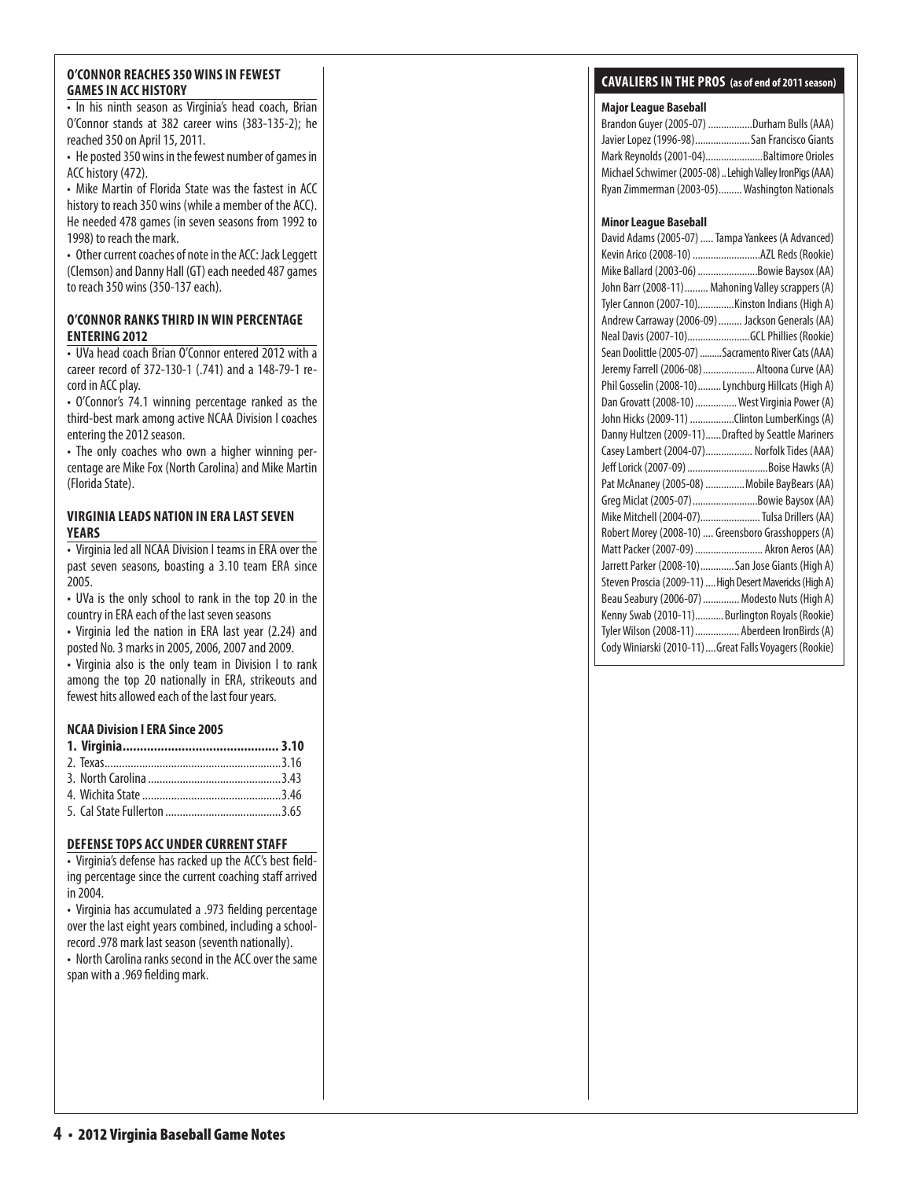# **GAMES IN ACC HISTOR**

#### **o**'CONNOR RANKS THIRD IN WIN PERCENTAGE **enter i ng 2012**

#### **VIRGINIA LEADS NATION IN ERA LAST SE Y e a r s**

#### **NCAA Division I ERA Since 2005**

| O'CONNOR REACHES 350 WINS IN FEWEST<br><b>GAMES IN ACC HISTORY</b>                                                                                                                                                                                                                                                                                                                                  |  |
|-----------------------------------------------------------------------------------------------------------------------------------------------------------------------------------------------------------------------------------------------------------------------------------------------------------------------------------------------------------------------------------------------------|--|
| . In his ninth season as Virginia's head coach, Bria<br>O'Connor stands at 382 career wins (383-135-2); h<br>reached 350 on April 15, 2011.<br>• He posted 350 wins in the fewest number of games i<br>ACC history (472).                                                                                                                                                                           |  |
| • Mike Martin of Florida State was the fastest in AC<br>history to reach 350 wins (while a member of the ACC)<br>He needed 478 games (in seven seasons from 1992 t<br>1998) to reach the mark.<br>• Other current coaches of note in the ACC: Jack Legget<br>(Clemson) and Danny Hall (GT) each needed 487 game<br>to reach 350 wins (350-137 each).                                                |  |
| O'CONNOR RANKS THIRD IN WIN PERCENTAGE<br><b>ENTERING 2012</b>                                                                                                                                                                                                                                                                                                                                      |  |
| • UVa head coach Brian O'Connor entered 2012 with<br>career record of 372-130-1 (.741) and a 148-79-1 re                                                                                                                                                                                                                                                                                            |  |
| cord in ACC play.<br>· O'Connor's 74.1 winning percentage ranked as th<br>third-best mark among active NCAA Division I coache<br>entering the 2012 season.<br>• The only coaches who own a higher winning per<br>centage are Mike Fox (North Carolina) and Mike Marti<br>(Florida State).                                                                                                           |  |
| <b>VIRGINIA LEADS NATION IN ERA LAST SEVEN</b><br><b>YEARS</b>                                                                                                                                                                                                                                                                                                                                      |  |
| • Virginia led all NCAA Division I teams in ERA over th<br>past seven seasons, boasting a 3.10 team ERA sinc<br>2005.<br>• UVa is the only school to rank in the top 20 in th<br>country in ERA each of the last seven seasons<br>• Virginia led the nation in ERA last year (2.24) an<br>posted No. 3 marks in 2005, 2006, 2007 and 2009.<br>• Virginia also is the only team in Division I to ran |  |
| among the top 20 nationally in ERA, strikeouts an<br>fewest hits allowed each of the last four years.                                                                                                                                                                                                                                                                                               |  |
| <b>NCAA Division I ERA Since 2005</b><br>$2.$ Texas                                                                                                                                                                                                                                                                                                                                                 |  |
| <b>DEFENSE TOPS ACC UNDER CURRENT STAFF</b><br>• Virginia's defense has racked up the ACC's best field<br>ing percentage since the current coaching staff arrive<br>in 2004                                                                                                                                                                                                                         |  |
| • Virginia has accumulated a .973 fielding percentag<br>over the last eight years combined, including a school<br>record .978 mark last season (seventh nationally).<br>• North Carolina ranks second in the ACC over the sam<br>span with a .969 fielding mark.                                                                                                                                    |  |
|                                                                                                                                                                                                                                                                                                                                                                                                     |  |
| 4 • 2012 Virginia Baseball Game Notes                                                                                                                                                                                                                                                                                                                                                               |  |

#### **DEFENSE TOPS ACC UNDER CURRENT STAFF**

### **CAVALIERS IN THE PROS** (as of end of 2011 season)

#### **Major League Baseball**

| Brandon Guyer (2005-07) Durham Bulls (AAA)              |  |
|---------------------------------------------------------|--|
| Javier Lopez (1996-98) San Francisco Giants             |  |
| Mark Reynolds (2001-04)Baltimore Orioles                |  |
| Michael Schwimer (2005-08) Lehigh Valley IronPigs (AAA) |  |
| Ryan Zimmerman (2003-05) Washington Nationals           |  |

#### **Minor League Baseball**

| David Adams (2005-07)  Tampa Yankees (A Advanced)        |
|----------------------------------------------------------|
| Kevin Arico (2008-10) AZL Reds (Rookie)                  |
| Mike Ballard (2003-06) Bowie Baysox (AA)                 |
| John Barr (2008-11)  Mahoning Valley scrappers (A)       |
| Tyler Cannon (2007-10)Kinston Indians (High A)           |
| Andrew Carraway (2006-09)  Jackson Generals (AA)         |
| Neal Davis (2007-10)GCL Phillies (Rookie)                |
| Sean Doolittle (2005-07)  Sacramento River Cats (AAA)    |
| Jeremy Farrell (2006-08)  Altoona Curve (AA)             |
| Phil Gosselin (2008-10)  Lynchburg Hillcats (High A)     |
| Dan Grovatt (2008-10)  West Virginia Power (A)           |
| John Hicks (2009-11) Clinton LumberKings (A)             |
| Danny Hultzen (2009-11)Drafted by Seattle Mariners       |
| Casey Lambert (2004-07) Norfolk Tides (AAA)              |
|                                                          |
| Pat McAnaney (2005-08)  Mobile BayBears (AA)             |
| Greg Miclat (2005-07) Bowie Baysox (AA)                  |
| Mike Mitchell (2004-07) Tulsa Drillers (AA)              |
| Robert Morey (2008-10)  Greensboro Grasshoppers (A)      |
| Matt Packer (2007-09)  Akron Aeros (AA)                  |
| Jarrett Parker (2008-10)San Jose Giants (High A)         |
| Steven Proscia (2009-11)  High Desert Mavericks (High A) |
| Beau Seabury (2006-07)  Modesto Nuts (High A)            |
| Kenny Swab (2010-11)Burlington Royals (Rookie)           |
| Tyler Wilson (2008-11)  Aberdeen IronBirds (A)           |
| Cody Winiarski (2010-11)  Great Falls Voyagers (Rookie)  |
|                                                          |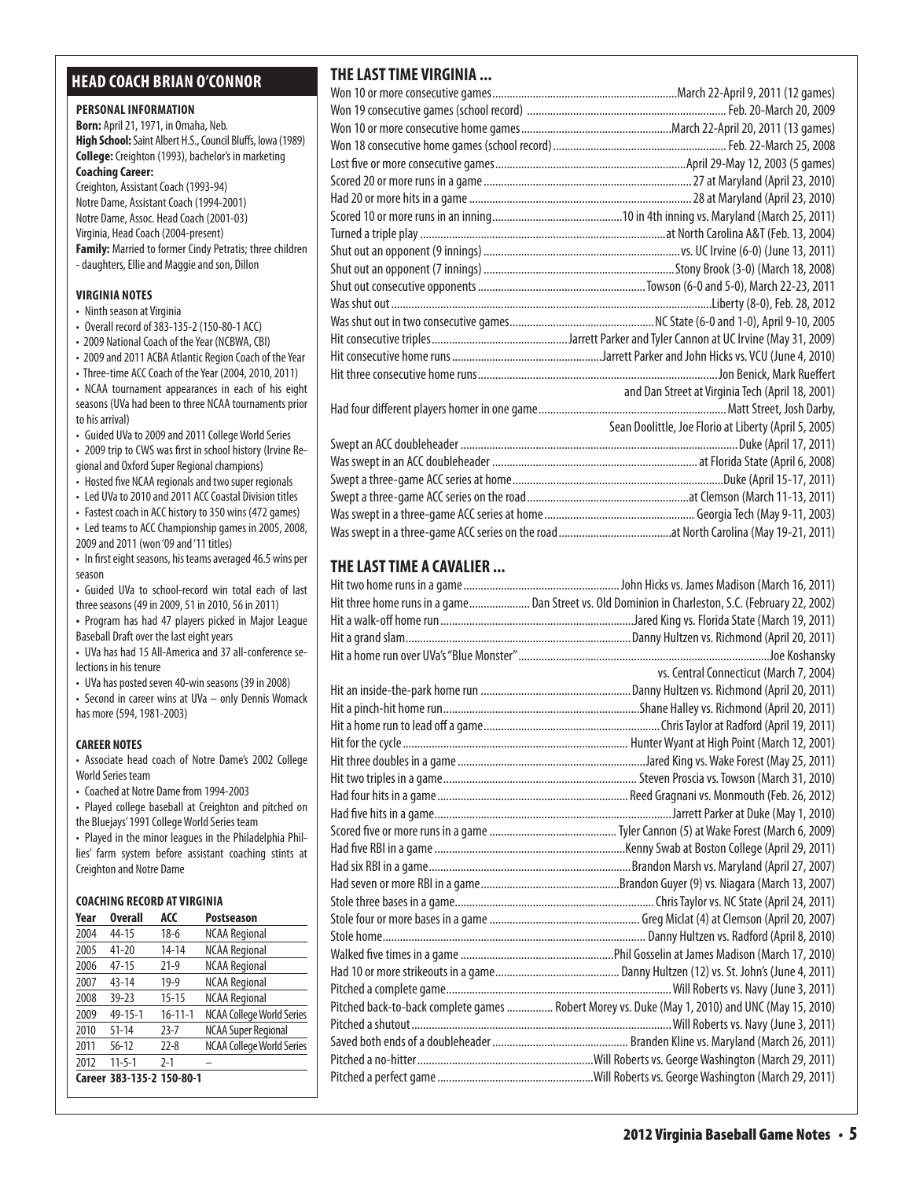# **head coach brian o'connor**

#### **PERSONAL INFORMATION**

**Born:** April 21, 1971, in Omaha, Neb. **High School:** Saint Albert H.S., Council Bluffs, Iowa (1989) **College:** Creighton (1993), bachelor's in marketing **Coaching Career:**  Creighton, Assistant Coach (1993-94) Notre Dame, Assistant Coach (1994-2001)

Notre Dame, Assoc. Head Coach (2001-03) Virginia, Head Coach (2004-present) **Family:** Married to former Cindy Petratis; three children - daughters, Ellie and Maggie and son, Dillon

#### **virginia Notes**

- Ninth season at Virginia
- Overall record of 383-135-2 (150-80-1 ACC)
- 2009 National Coach of the Year (NCBWA, CBI)
- 2009 and 2011 ACBA Atlantic Region Coach of the Year

• Three-time ACC Coach of the Year (2004, 2010, 2011) • NCAA tournament appearances in each of his eight seasons (UVa had been to three NCAA tournaments prior to his arrival)

• Guided UVa to 2009 and 2011 College World Series

• 2009 trip to CWS was first in school history (Irvine Regional and Oxford Super Regional champions)

• Hosted five NCAA regionals and two super regionals

• Led UVa to 2010 and 2011 ACC Coastal Division titles

• Fastest coach in ACC history to 350 wins (472 games) • Led teams to ACC Championship games in 2005, 2008,

- 2009 and 2011 (won '09 and '11 titles)
- In first eight seasons, his teams averaged 46.5 wins per season

• Guided UVa to school-record win total each of last three seasons (49 in 2009, 51 in 2010, 56 in 2011)

**•**  Program has had 47 players picked in Major League Baseball Draft over the last eight years

• UVa has had 15 All-America and 37 all-conference selections in his tenure

• UVa has posted seven 40-win seasons (39 in 2008)

• Second in career wins at UVa – only Dennis Womack has more (594, 1981-2003)

#### **CAREER NOTES**

• Associate head coach of Notre Dame's 2002 College World Series team

• Coached at Notre Dame from 1994-2003

• Played college baseball at Creighton and pitched on the Bluejays' 1991 College World Series team

• Played in the minor leagues in the Philadelphia Phillies' farm system before assistant coaching stints at Creighton and Notre Dame

#### **Coaching Record at virginia**

| Year | <b>Overall</b>            | ACC           | <b>Postseason</b>                |
|------|---------------------------|---------------|----------------------------------|
| 2004 | 44-15                     | $18-6$        | <b>NCAA Regional</b>             |
| 2005 | $41 - 20$                 | $14 - 14$     | <b>NCAA Regional</b>             |
| 2006 | $47 - 15$                 | $21-9$        | <b>NCAA Regional</b>             |
| 2007 | $43 - 14$                 | $19-9$        | <b>NCAA Regional</b>             |
| 2008 | $39 - 23$                 | $15 - 15$     | <b>NCAA Regional</b>             |
| 2009 | 49-15-1                   | $16 - 11 - 1$ | <b>NCAA College World Series</b> |
| 2010 | $51 - 14$                 | $73 - 7$      | <b>NCAA Super Regional</b>       |
| 2011 | $56 - 12$                 | $22 - 8$      | <b>NCAA College World Series</b> |
| 2012 | $11 - 5 - 1$              | $2 - 1$       |                                  |
|      | Career 383-135-2 150-80-1 |               |                                  |

# **THE LAST TIME VIRGINIA ...**

| and Dan Street at Virginia Tech (April 18, 2001)      |
|-------------------------------------------------------|
|                                                       |
| Sean Doolittle, Joe Florio at Liberty (April 5, 2005) |
|                                                       |
|                                                       |
|                                                       |
|                                                       |
|                                                       |
|                                                       |

### **THE LAST TIME A CAVALIER ...**

| Hit three home runs in a game Dan Street vs. Old Dominion in Charleston, S.C. (February 22, 2002) |
|---------------------------------------------------------------------------------------------------|
|                                                                                                   |
|                                                                                                   |
|                                                                                                   |
| vs. Central Connecticut (March 7, 2004)                                                           |
|                                                                                                   |
|                                                                                                   |
|                                                                                                   |
|                                                                                                   |
|                                                                                                   |
|                                                                                                   |
|                                                                                                   |
|                                                                                                   |
|                                                                                                   |
|                                                                                                   |
|                                                                                                   |
|                                                                                                   |
|                                                                                                   |
|                                                                                                   |
|                                                                                                   |
|                                                                                                   |
|                                                                                                   |
|                                                                                                   |
| Pitched back-to-back complete games  Robert Morey vs. Duke (May 1, 2010) and UNC (May 15, 2010)   |
|                                                                                                   |
|                                                                                                   |
|                                                                                                   |
|                                                                                                   |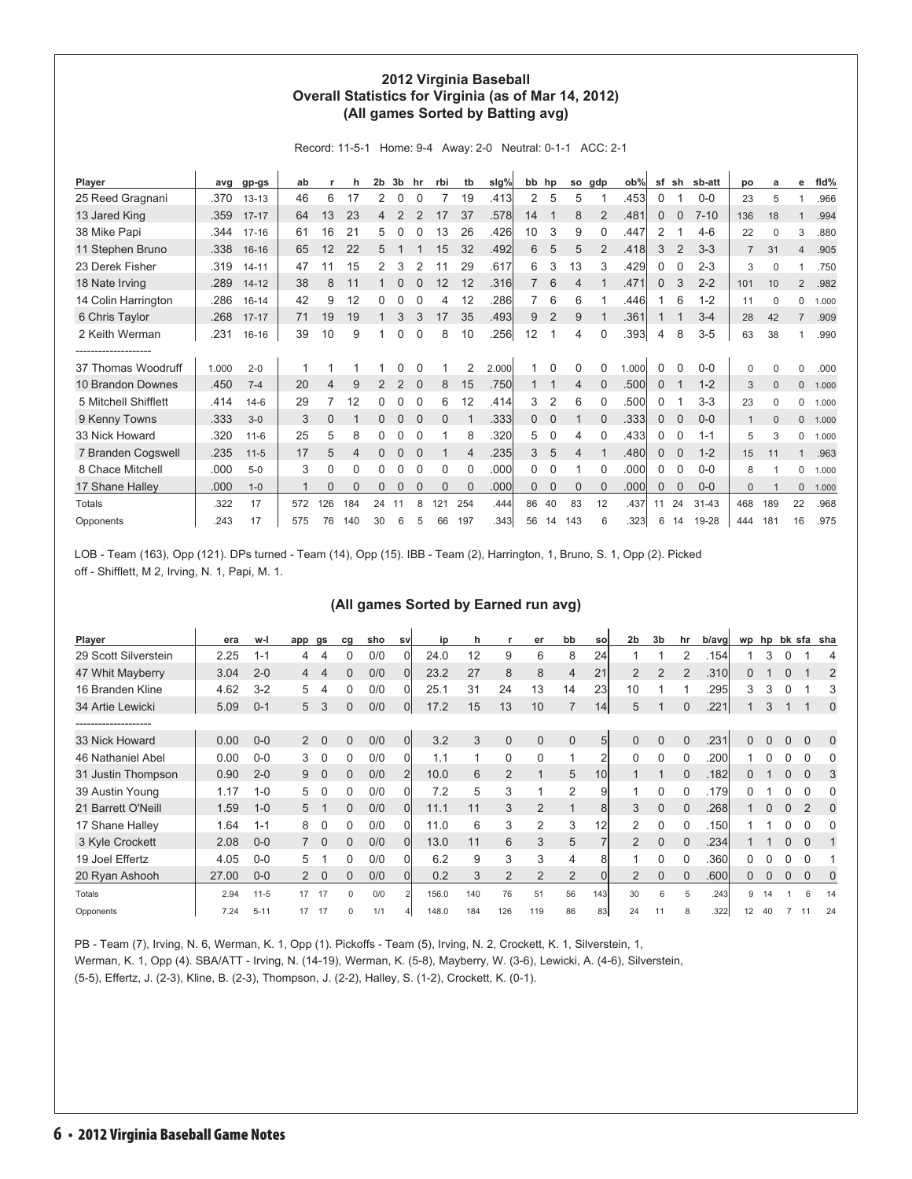#### **2012 Virginia Baseball Overall Statistics for Virginia (as of Mar 14, 2012) (All games Sorted by Batting avg)**

Record: 11-5-1 Home: 9-4 Away: 2-0 Neutral: 0-1-1 ACC: 2-1

| Player               |       | avg gp-gs | ab  |                | h        | 2 <sub>b</sub> | 3 <sub>b</sub> | hr       | rbi      | tb       | slg%  | bb hp |              |                | so gdp         | ob%   | sf           | sh             | sb-att    | po             | a        | е              | fld%  |
|----------------------|-------|-----------|-----|----------------|----------|----------------|----------------|----------|----------|----------|-------|-------|--------------|----------------|----------------|-------|--------------|----------------|-----------|----------------|----------|----------------|-------|
| 25 Reed Gragnani     | .370  | $13 - 13$ | 46  | 6              | 17       | 2              | 0              | 0        |          | 19       | .413  | 2     | 5            | 5              |                | .4531 | 0            |                | $0-0$     | 23             | 5        |                | .966  |
| 13 Jared King        | .359  | $17 - 17$ | 64  | 13             | 23       | 4              |                |          | 17       | 37       | .578  | 14    | 1            | 8              | 2              | .481  | $\mathbf{0}$ | $\mathbf 0$    | $7 - 10$  | 136            | 18       |                | .994  |
| 38 Mike Papi         | .344  | $17 - 16$ | 61  | 16             | 21       | 5              |                |          | 13       | 26       | .426  | 10    | 3            | 9              |                | .447  | 2            |                | $4 - 6$   | 22             | $\Omega$ | 3              | .880  |
| 11 Stephen Bruno     | .338  | $16 - 16$ | 65  | 12             | 22       | 5              |                |          | 15       | 32       | .492  | 6     | 5            | 5              | $\overline{2}$ | .418  | 3            | $\overline{2}$ | $3 - 3$   | $\overline{7}$ | 31       | 4              | .905  |
| 23 Derek Fisher      | .319  | $14 - 11$ | 47  |                | 15       |                | 3              |          |          | 29       | .617  | 6     | 3            | 13             | 3              | .429  | 0            | $\Omega$       | $2 - 3$   | 3              | $\Omega$ |                | .750  |
| 18 Nate Irving       | .289  | $14 - 12$ | 38  | 8              | 11       |                | 0              | $\Omega$ | 12       | 12       | .316  |       | 6            | $\overline{4}$ |                | .471  | $\mathbf{0}$ | 3              | $2 - 2$   | 101            | 10       | $\overline{2}$ | .982  |
| 14 Colin Harrington  | .286  | $16 - 14$ | 42  | 9              | 12       | 0              |                |          | 4        | 12       | .286  | 7     | 6            | 6              |                | .4461 |              | 6              | $1 - 2$   | 11             | $\Omega$ | 0              | 1.000 |
| 6 Chris Taylor       | .268  | $17 - 17$ | 71  | 19             | 19       |                | 3              |          | 17       | 35       | .493  | 9     | 2            | 9              |                | .361  |              |                | $3 - 4$   | 28             | 42       | $\overline{7}$ | .909  |
| 2 Keith Werman       | .231  | $16 - 16$ | 39  | 10             | 9        |                | 0              | $\Omega$ | 8        | 10       | .256  | 12    | 1            | 4              | $\Omega$       | .393  | 4            | 8              | $3 - 5$   | 63             | 38       |                | .990  |
|                      |       |           |     |                |          |                |                |          |          |          |       |       |              |                |                |       |              |                |           |                |          |                |       |
| 37 Thomas Woodruff   | 1.000 | $2 - 0$   |     |                |          |                |                |          |          | 2        | 2.000 |       |              | $\Omega$       |                | 1.000 | 0            | $\Omega$       | $0 - 0$   | 0              | $\Omega$ | 0              | .000  |
| 10 Brandon Downes    | .450  | $7 - 4$   | 20  | $\overline{4}$ | 9        | 2              | $\overline{2}$ | $\Omega$ | 8        | 15       | .750  |       |              | 4              | $\Omega$       | .500  | 0            |                | $1 - 2$   | 3              | $\Omega$ | 0              | 1.000 |
| 5 Mitchell Shifflett | .414  | $14-6$    | 29  |                | 12       |                | 0              |          | 6        | 12       | .414  | 3     | 2            | 6              | $\Omega$       | .500  | 0            |                | $3-3$     | 23             | $\Omega$ | $\Omega$       | 1.000 |
| 9 Kenny Towns        | .333  | $3 - 0$   | 3   | $\Omega$       |          | $\Omega$       | 0              | $\Omega$ | $\Omega$ |          | .333  | 0     | $\mathbf 0$  |                | $\Omega$       | .333  | $\mathbf{0}$ | $\mathbf{0}$   | $0 - 0$   | $\mathbf{1}$   | $\Omega$ | 0              | 1.000 |
| 33 Nick Howard       | .320  | $11 - 6$  | 25  | 5              | 8        | 0              | 0              |          |          | 8        | .320  | 5     | $\Omega$     | 4              |                | .433  | 0            | 0              | $1 - 1$   | 5              | 3        | 0              | 1.000 |
| 7 Branden Cogswell   | .235  | $11 - 5$  | 17  | 5              | 4        | 0              | 0              |          |          | 4        | .235  | 3     | 5            | 4              |                | .480  | $\mathbf{0}$ | $\mathbf 0$    | $1 - 2$   | 15             | 11       |                | .963  |
| 8 Chace Mitchell     | .000  | $5-0$     | 3   | $\Omega$       | 0        |                |                |          | $\Omega$ | $\Omega$ | .000  | 0     | $\Omega$     |                | $\Omega$       | .000  | $\Omega$     | $\Omega$       | $0-0$     | 8              |          | 0              | 1.000 |
| 17 Shane Halley      | .000  | $1 - 0$   | 1   | $\Omega$       | $\Omega$ | $\Omega$       | 0              | $\Omega$ | $\Omega$ | $\Omega$ | .000  | 0     | $\mathbf{0}$ | $\Omega$       | $\Omega$       | .000  | 0            | $\Omega$       | $0 - 0$   | $\overline{0}$ |          | 0              | 1.000 |
| Totals               | .322  | 17        | 572 | 126            | 184      | 24             | 11             | 8        | 21       | 254      | .444  | 86    | 40           | 83             | 12             | .437  | 11           | 24             | $31 - 43$ | 468            | 189      | 22             | .968  |
| Opponents            | .243  | 17        | 575 | 76             | 140      | 30             | 6              |          | 66       | 197      | .343  | 56    | 14           | 143            | ิค             | .3231 | 6            | 14             | 19-28     | 444            | 181      | 16             | .975  |

LOB - Team (163), Opp (121). DPs turned - Team (14), Opp (15). IBB - Team (2), Harrington, 1, Bruno, S. 1, Opp (2). Picked off - Shifflett, M 2, Irving, N. 1, Papi, M. 1.

#### **(All games Sorted by Earned run avg)**

| Player               | era   | w-l      | app            | gs       | cg       | sho | <b>SV</b> | ip    | h   |                | er             | bb             | sol             | 2 <sub>b</sub> | 3 <sub>b</sub> | hr       | b/avg | wp | hp |             |                | bk sfa sha   |
|----------------------|-------|----------|----------------|----------|----------|-----|-----------|-------|-----|----------------|----------------|----------------|-----------------|----------------|----------------|----------|-------|----|----|-------------|----------------|--------------|
| 29 Scott Silverstein | 2.25  | $1 - 1$  | 4              | 4        | 0        | 0/0 |           | 24.0  | 12  | 9              | 6              | 8              | 24              |                |                | 2        | .154  |    |    |             |                | 4            |
| 47 Whit Mayberry     | 3.04  | $2 - 0$  | 4              |          | 0        | 0/0 | $\Omega$  | 23.2  | 27  | 8              | 8              | $\overline{4}$ | 21              | 2              | $\overline{2}$ |          | .310  | 0  |    | $\Omega$    |                | 2            |
| 16 Branden Kline     | 4.62  | $3 - 2$  | 5              | 4        | 0        | 0/0 |           | 25.1  | 31  | 24             | 13             | 14             | 23              | 10             |                |          | .295  | 3  | 3  | $\Omega$    |                | 3            |
| 34 Artie Lewicki     | 5.09  | $0 - 1$  | 5              | 3        | 0        | 0/0 | 0l        | 17.2  | 15  | 13             | 10             | $\overline{7}$ | 14              | 5              |                | $\Omega$ | .221  |    | 3  |             |                | $\mathbf{0}$ |
| ------------------   |       |          |                |          |          |     |           |       |     |                |                |                |                 |                |                |          |       |    |    |             |                |              |
| 33 Nick Howard       | 0.00  | $0-0$    | $\overline{2}$ | $\Omega$ | 0        | 0/0 | Ol        | 3.2   | 3   | $\mathbf 0$    | $\overline{0}$ | $\mathbf 0$    | 5 <sup>1</sup>  | $\Omega$       | $\Omega$       |          | .231  | 0  |    | $\Omega$    | $\Omega$       | $\Omega$     |
| 46 Nathaniel Abel    | 0.00  | $0-0$    | 3              | $\Omega$ |          | 0/0 |           | 1.1   |     | 0              | 0              |                | $\overline{2}$  | $\Omega$       |                |          | .200  |    |    |             |                | 0            |
| 31 Justin Thompson   | 0.90  | $2 - 0$  | 9              | 0        | 0        | 0/0 | 2         | 10.0  | 6   | $\overline{2}$ |                | 5              | 10 <sup>1</sup> |                |                |          | .182l | 0  |    | $\Omega$    | $\Omega$       | 3            |
| 39 Austin Young      | 1.17  | $1 - 0$  | 5              | 0        | 0        | 0/0 | Ωl        | 7.2   | 5   | 3              |                | 2              | 9               |                | 0              | $\Omega$ | .1791 | 0  |    | 0           | O              | 0            |
| 21 Barrett O'Neill   | 1.59  | $1 - 0$  | 5              |          | 0        | 0/0 | $\Omega$  | 11.1  | 11  | 3              | $\overline{2}$ |                | 8               | 3              | $\Omega$       |          | .268  |    |    | $\Omega$    | $\mathfrak{p}$ | $\Omega$     |
| 17 Shane Halley      | 1.64  | $1 - 1$  | 8              | 0        |          | 0/0 |           | 11.0  | 6   | 3              | $\overline{2}$ | 3              | 12              | 2              |                |          | .150  |    |    |             |                | 0            |
| 3 Kyle Crockett      | 2.08  | $0 - 0$  |                | $\Omega$ | 0        | 0/0 | ΩI        | 13.0  | 11  | 6              | 3              | 5              |                 | 2              | $\Omega$       | $\Omega$ | .234  |    |    | $\Omega$    | $\Omega$       |              |
| 19 Joel Effertz      | 4.05  | $0-0$    | 5              |          |          | 0/0 |           | 6.2   | 9   | 3              | 3              | $\overline{4}$ | 8               |                |                |          | .360  | 0  |    |             |                |              |
| 20 Ryan Ashooh       | 27.00 | $0 - 0$  | $\overline{2}$ | $\Omega$ | 0        | 0/0 | Οl        | 0.2   | 3   | $\overline{2}$ | $\overline{2}$ | 2              |                 | $\overline{2}$ | $\Omega$       | $\Omega$ | .600  | 0  |    | $\mathbf 0$ | $\Omega$       | 0            |
| Totals               | 2.94  | $11 - 5$ | 17             | 17       | $\Omega$ | 0/0 |           | 156.0 | 140 | 76             | 51             | 56             | 143             | 30             | 6              | 5        | .243  | 9  |    |             | 6              | 14           |
| Opponents            | 7.24  | $5 - 11$ | 17             | 17       | U        | 1/1 |           | 148.0 | 184 | 126            | 119            | 86             | 83              | 24             |                |          | .322  | 12 | 40 |             |                | 24           |

PB - Team (7), Irving, N. 6, Werman, K. 1, Opp (1). Pickoffs - Team (5), Irving, N. 2, Crockett, K. 1, Silverstein, 1, Werman, K. 1, Opp (4). SBA/ATT - Irving, N. (14-19), Werman, K. (5-8), Mayberry, W. (3-6), Lewicki, A. (4-6), Silverstein, (5-5), Effertz, J. (2-3), Kline, B. (2-3), Thompson, J. (2-2), Halley, S. (1-2), Crockett, K. (0-1).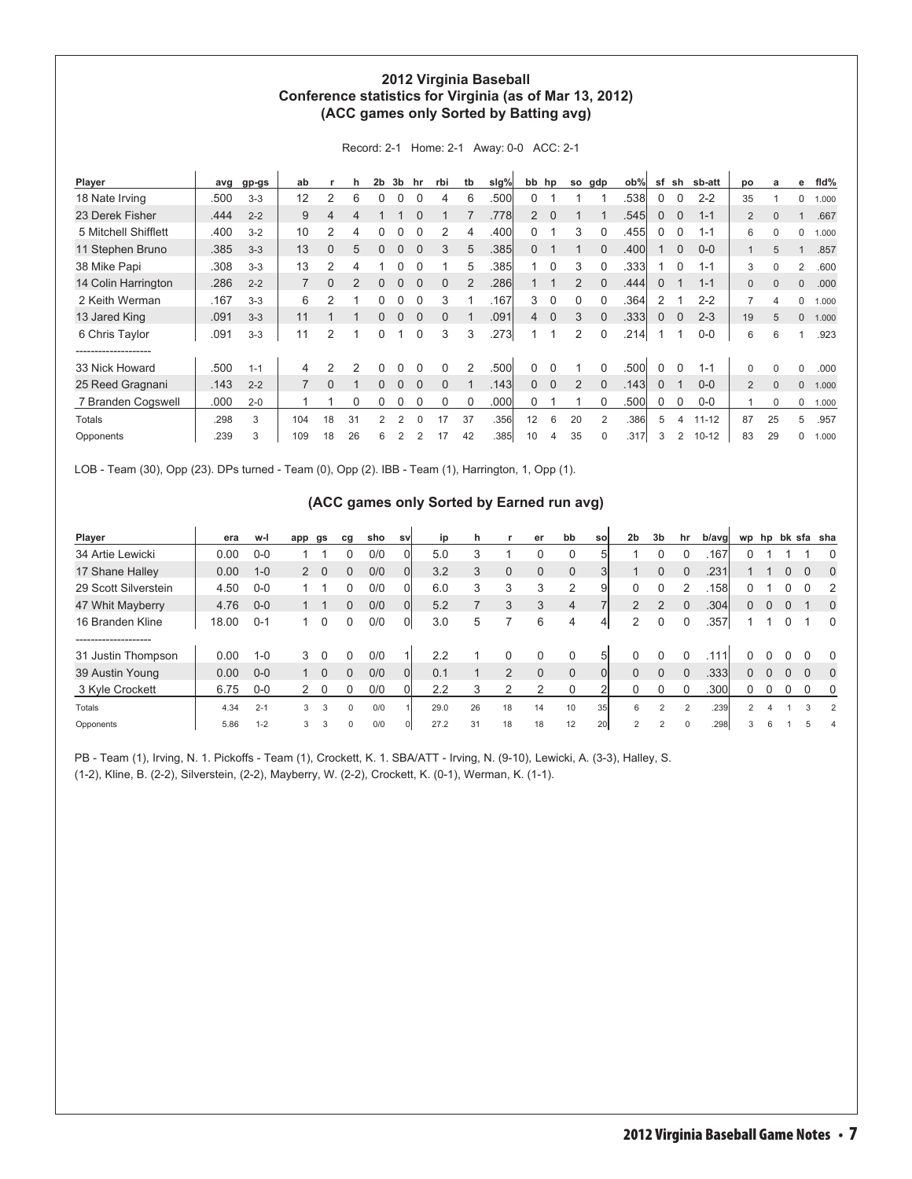#### **2012 Virginia Baseball Conference statistics for Virginia (as of Mar 13, 2012) (ACC games only Sorted by Batting avg)**

| Player               | avg  | gp-gs   | ab             |          |                | 2 <sub>b</sub> | 3 <sub>b</sub> | hr       | rbi      | tb             | slg% | bb hp          |          | so             | gdp      | ob%   | sf           | sh          | sb-att    | DO             | a        | е | fld%  |
|----------------------|------|---------|----------------|----------|----------------|----------------|----------------|----------|----------|----------------|------|----------------|----------|----------------|----------|-------|--------------|-------------|-----------|----------------|----------|---|-------|
| 18 Nate Irving       | .500 | $3 - 3$ | 12             |          | 6              | 0              |                |          | 4        | 6              | .500 | 0              |          |                |          | .538  | $\Omega$     | $\Omega$    | $2 - 2$   | 35             |          | 0 | 1.000 |
| 23 Derek Fisher      | .444 | $2 - 2$ | 9              | 4        | 4              |                |                |          |          |                | .778 | $\overline{2}$ | $\Omega$ |                |          | .545  | $\mathbf{0}$ | $\mathbf 0$ | $1 - 1$   | $\overline{2}$ | $\Omega$ |   | .667  |
| 5 Mitchell Shifflett | .400 | $3 - 2$ | 10             | 2        | 4              |                |                |          | 2        |                | .400 | 0              |          | 3              |          | .455  | $\Omega$     | 0           | $1 - 1$   | 6              | 0        | 0 | 1.000 |
| 11 Stephen Bruno     | .385 | $3 - 3$ | 13             | 0        | 5              | O              |                |          | 3        | 5              | .385 | 0              |          |                | $\Omega$ | .400  |              | $\Omega$    | $0 - 0$   | 1              | 5        |   | .857  |
| 38 Mike Papi         | .308 | $3-3$   | 13             | 2        | 4              |                |                |          |          | 5              | .385 |                | $\Omega$ | 3              | 0        | .3331 |              | $\Omega$    | $1 - 1$   | 3              | 0        | 2 | .600  |
| 14 Colin Harrington  | .286 | $2 - 2$ | $\overline{7}$ | $\Omega$ | $\mathfrak{p}$ | $\Omega$       | 0              | $\Omega$ | $\Omega$ | $\overline{2}$ | .286 |                |          | $\overline{2}$ | $\Omega$ | .444  | $\Omega$     |             | $1 - 1$   | $\overline{0}$ | $\Omega$ | 0 | .000  |
| 2 Keith Werman       | .167 | $3-3$   | 6              | 2        |                |                |                |          | 3        |                | .167 | 3              | $\Omega$ | $\Omega$       | $\Omega$ | .364  | 2            |             | $2 - 2$   | $\overline{7}$ | 4        | 0 | 1.000 |
| 13 Jared King        | .091 | $3-3$   | 11             |          |                | 0              | 0              | $\Omega$ | $\Omega$ |                | .091 | $\overline{4}$ | $\Omega$ | 3              | $\Omega$ | .333  | $\Omega$     | $\mathbf 0$ | $2 - 3$   | 19             | 5        | 0 | 1.000 |
| 6 Chris Taylor       | .091 | $3 - 3$ | 11             | 2        | 1              | $\Omega$       |                |          | 3        | 3              | .273 |                |          | 2              | $\Omega$ | .214  |              |             | $0-0$     | 6              | 6        |   | .923  |
|                      |      |         |                |          |                |                |                |          |          |                |      |                |          |                |          |       |              |             |           |                |          |   |       |
| 33 Nick Howard       | .500 | $1 - 1$ | 4              |          | 2              | ი              |                |          | 0        | $\overline{2}$ | .500 |                |          |                |          | .500  | 0            | $\Omega$    | $1 - 1$   | 0              | $\Omega$ | 0 | .000  |
| 25 Reed Gragnani     | .143 | $2 - 2$ |                | $\Omega$ |                | $\Omega$       | $\Omega$       | $\Omega$ | $\Omega$ |                | .143 | 0              | $\Omega$ | 2              | $\Omega$ | .1431 | $\Omega$     |             | $0 - 0$   | $\overline{2}$ | $\Omega$ | 0 | 1.000 |
| 7 Branden Cogswell   | .000 | $2 - 0$ |                |          | O              |                |                |          | $\Omega$ | $\Omega$       | .000 | 0              |          |                |          | .500  | $\Omega$     | $\Omega$    | $0-0$     |                | $\Omega$ | 0 | 1.000 |
| <b>Totals</b>        | .298 | 3       | 104            | 18       | 31             | 2              | 2              | $\Omega$ | 17       | 37             | .356 | 12             | 6        | 20             | 2        | .386  | 5            | 4           | $11 - 12$ | 87             | 25       | 5 | .957  |
| Opponents            | .239 | 3       | 109            | 18       | 26             | 6              | 2              |          | 17       | 42             | .385 | 10             | 4        | 35             | 0        | .317  | 3            | 2           | $10 - 12$ | 83             | 29       | 0 | 1.000 |

Record: 2-1 Home: 2-1 Away: 0-0 ACC: 2-1

LOB - Team (30), Opp (23). DPs turned - Team (0), Opp (2). IBB - Team (1), Harrington, 1, Opp (1).

#### **(ACC games only Sorted by Earned run avg)**

| Player               | era   | w-l     | app | gs          | cg       | sho | <b>SV</b> | ip   | n  |                | er       | bb             | sol           | 2 <sub>b</sub> | 3b             | hr       | b/avg |                |          |             |          | wp hp bk sfa sha |
|----------------------|-------|---------|-----|-------------|----------|-----|-----------|------|----|----------------|----------|----------------|---------------|----------------|----------------|----------|-------|----------------|----------|-------------|----------|------------------|
| 34 Artie Lewicki     | 0.00  | $0-0$   |     |             |          | 0/0 | 0         | 5.0  |    |                | 0        | $\Omega$       | 51            |                |                |          | .167  |                |          |             |          | O                |
| 17 Shane Halley      | 0.00  | $1 - 0$ | 2   | $\mathbf 0$ | 0        | 0/0 | 0l        | 3.2  | 3  | $\mathbf 0$    | $\Omega$ | $\Omega$       | 31            |                | 0              |          | .231  |                |          |             | $\Omega$ | $\Omega$         |
| 29 Scott Silverstein | 4.50  | $0 - 0$ |     |             |          | 0/0 | 0         | 6.0  | 3  | 3              | 3        | 2              | 9             |                |                |          | .158l | 0              |          |             |          | 2                |
| 47 Whit Mayberry     | 4.76  | $0 - 0$ |     |             | 0        | 0/0 | 0l        | 5.2  |    | 3              | 3        | $\overline{4}$ |               | $\overline{2}$ | $\mathfrak{p}$ |          | .304  | 0              |          | $\mathbf 0$ |          | $\Omega$         |
| 16 Branden Kline     | 18.00 | $0 - 1$ |     | $\Omega$    | 0        | 0/0 | 0         | 3.0  | 5  |                | 6        | 4              | $\frac{4}{3}$ | 2              |                |          | .357  |                |          |             |          | 0                |
| -------------------  |       |         |     |             |          |     |           |      |    |                |          |                |               |                |                |          |       |                |          |             |          |                  |
| 31 Justin Thompson   | 0.00  | $1 - 0$ | 3   | $\Omega$    | 0        | 0/0 |           | 2.2  |    | 0              |          | 0              | 51            |                |                |          | 111   | N              |          |             |          | $\Omega$         |
| 39 Austin Young      | 0.00  | $0 - 0$ |     | $\Omega$    | 0        | 0/0 | 01        | 0.1  |    | $\overline{2}$ | $\Omega$ | $\Omega$       | $\Omega$      | $\Omega$       | $\Omega$       | $\Omega$ | .333  | 0              | $\Omega$ | $\Omega$    | $\Omega$ | $\Omega$         |
| 3 Kyle Crockett      | 6.75  | $0-0$   | 2   | $\Omega$    | 0        | 0/0 |           | 2.2  |    | ◠              |          |                |               |                |                |          | .300  | 0              |          | 0           | 0        | 0                |
| Totals               | 4.34  | $2 - 1$ | 3   | 3           | $\Omega$ | 0/0 |           | 29.0 | 26 | 18             | 14       | 10             | 35            | 6              | 2              | 2        | .239  | $\mathfrak{p}$ | Δ        |             | 3        | $\overline{2}$   |
| Opponents            | 5.86  | $1 - 2$ | 3   | 3           | $\Omega$ | 0/0 |           | 27.2 | 31 | 18             | 18       | 12             | <b>20</b>     |                |                |          | .298  | 3              | 6        |             |          | 4                |

PB - Team (1), Irving, N. 1. Pickoffs - Team (1), Crockett, K. 1. SBA/ATT - Irving, N. (9-10), Lewicki, A. (3-3), Halley, S. (1-2), Kline, B. (2-2), Silverstein, (2-2), Mayberry, W. (2-2), Crockett, K. (0-1), Werman, K. (1-1).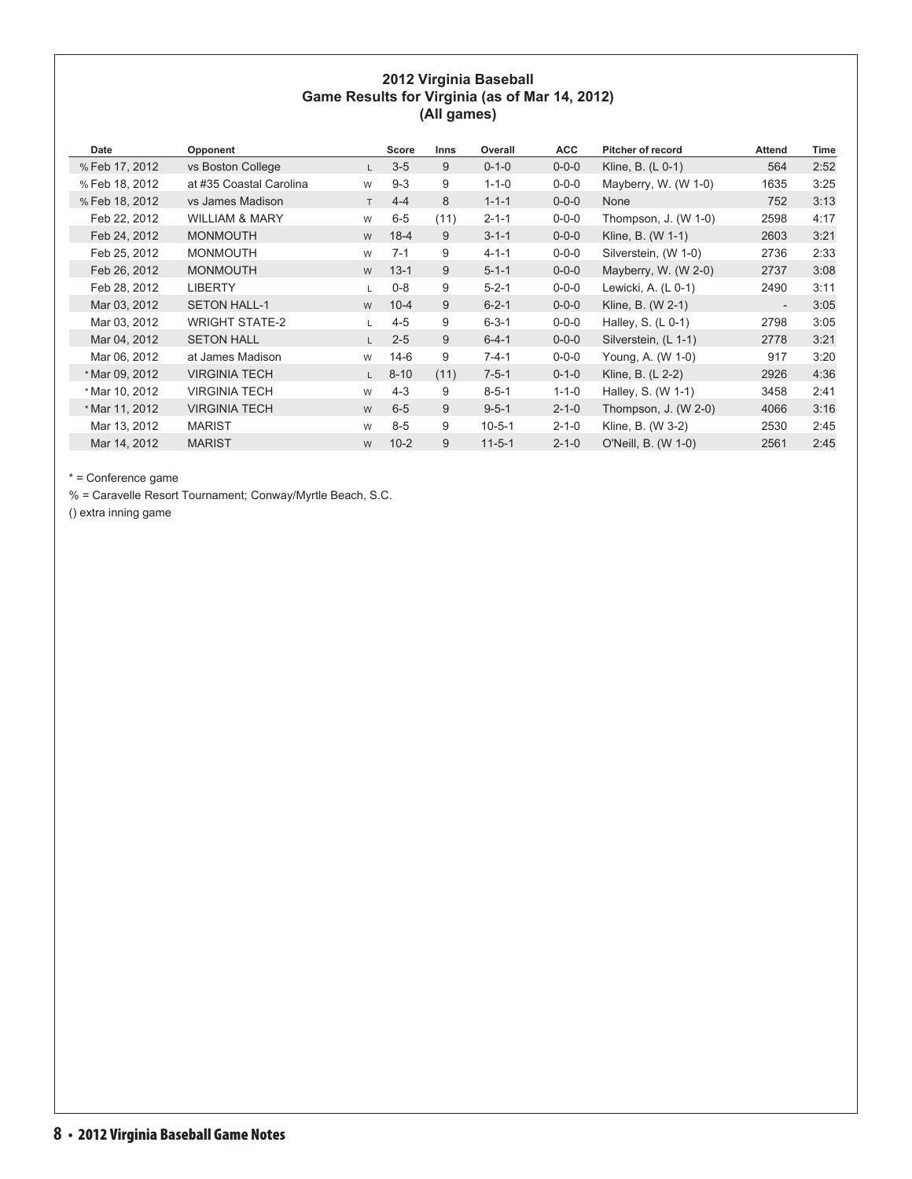#### **2012 Virginia Baseball Game Results for Virginia (as of Mar 14, 2012) (All games)**

| Date           | Opponent                  |    | Score    | <b>Inns</b> | Overall      | <b>ACC</b>  | <b>Pitcher of record</b> | <b>Attend</b>            | Time |
|----------------|---------------------------|----|----------|-------------|--------------|-------------|--------------------------|--------------------------|------|
| % Feb 17, 2012 | vs Boston College         |    | $3-5$    | 9           | $0 - 1 - 0$  | $0 - 0 - 0$ | Kline, B. $(L 0-1)$      | 564                      | 2:52 |
| % Feb 18, 2012 | at #35 Coastal Carolina   | W  | $9 - 3$  | 9           | $1 - 1 - 0$  | $0 - 0 - 0$ | Mayberry, W. (W 1-0)     | 1635                     | 3:25 |
| % Feb 18, 2012 | vs James Madison          | T. | $4 - 4$  | 8           | $1 - 1 - 1$  | $0 - 0 - 0$ | None                     | 752                      | 3:13 |
| Feb 22, 2012   | <b>WILLIAM &amp; MARY</b> | W  | $6-5$    | (11)        | $2 - 1 - 1$  | $0 - 0 - 0$ | Thompson, J. $(W 1-0)$   | 2598                     | 4:17 |
| Feb 24, 2012   | <b>MONMOUTH</b>           | W  | $18-4$   | 9           | $3 - 1 - 1$  | $0 - 0 - 0$ | Kline, B. (W 1-1)        | 2603                     | 3:21 |
| Feb 25, 2012   | <b>MONMOUTH</b>           | W  | $7 - 1$  | 9           | $4 - 1 - 1$  | $0 - 0 - 0$ | Silverstein, (W 1-0)     | 2736                     | 2:33 |
| Feb 26, 2012   | <b>MONMOUTH</b>           | W  | $13 - 1$ | 9           | $5 - 1 - 1$  | $0 - 0 - 0$ | Mayberry, W. $(W 2-0)$   | 2737                     | 3:08 |
| Feb 28, 2012   | <b>LIBERTY</b>            |    | $0 - 8$  | 9           | $5 - 2 - 1$  | $0 - 0 - 0$ | Lewicki, A. (L 0-1)      | 2490                     | 3:11 |
| Mar 03, 2012   | <b>SETON HALL-1</b>       | W  | $10 - 4$ | 9           | $6 - 2 - 1$  | $0 - 0 - 0$ | Kline, B. (W 2-1)        | $\overline{\phantom{a}}$ | 3:05 |
| Mar 03, 2012   | <b>WRIGHT STATE-2</b>     |    | $4 - 5$  | 9           | $6 - 3 - 1$  | $0 - 0 - 0$ | Halley, S. $(L 0-1)$     | 2798                     | 3:05 |
| Mar 04, 2012   | <b>SETON HALL</b>         | L. | $2 - 5$  | 9           | $6 - 4 - 1$  | $0 - 0 - 0$ | Silverstein, (L 1-1)     | 2778                     | 3:21 |
| Mar 06, 2012   | at James Madison          | W  | $14-6$   | 9           | $7 - 4 - 1$  | $0 - 0 - 0$ | Young, A. (W 1-0)        | 917                      | 3:20 |
| * Mar 09, 2012 | <b>VIRGINIA TECH</b>      | L. | $8 - 10$ | (11)        | $7 - 5 - 1$  | $0 - 1 - 0$ | Kline, B. (L 2-2)        | 2926                     | 4:36 |
| * Mar 10, 2012 | <b>VIRGINIA TECH</b>      | W  | $4 - 3$  | 9           | $8 - 5 - 1$  | $1 - 1 - 0$ | Halley, S. (W 1-1)       | 3458                     | 2:41 |
| * Mar 11, 2012 | <b>VIRGINIA TECH</b>      | W  | $6 - 5$  | 9           | $9 - 5 - 1$  | $2 - 1 - 0$ | Thompson, $J. (W 2-0)$   | 4066                     | 3:16 |
| Mar 13, 2012   | <b>MARIST</b>             | W  | $8-5$    | 9           | $10 - 5 - 1$ | $2 - 1 - 0$ | Kline, B. (W 3-2)        | 2530                     | 2:45 |
| Mar 14, 2012   | <b>MARIST</b>             | W  | $10 - 2$ | 9           | $11 - 5 - 1$ | $2 - 1 - 0$ | O'Neill, B. (W 1-0)      | 2561                     | 2:45 |

\* = Conference game

% = Caravelle Resort Tournament; Conway/Myrtle Beach, S.C.

() extra inning game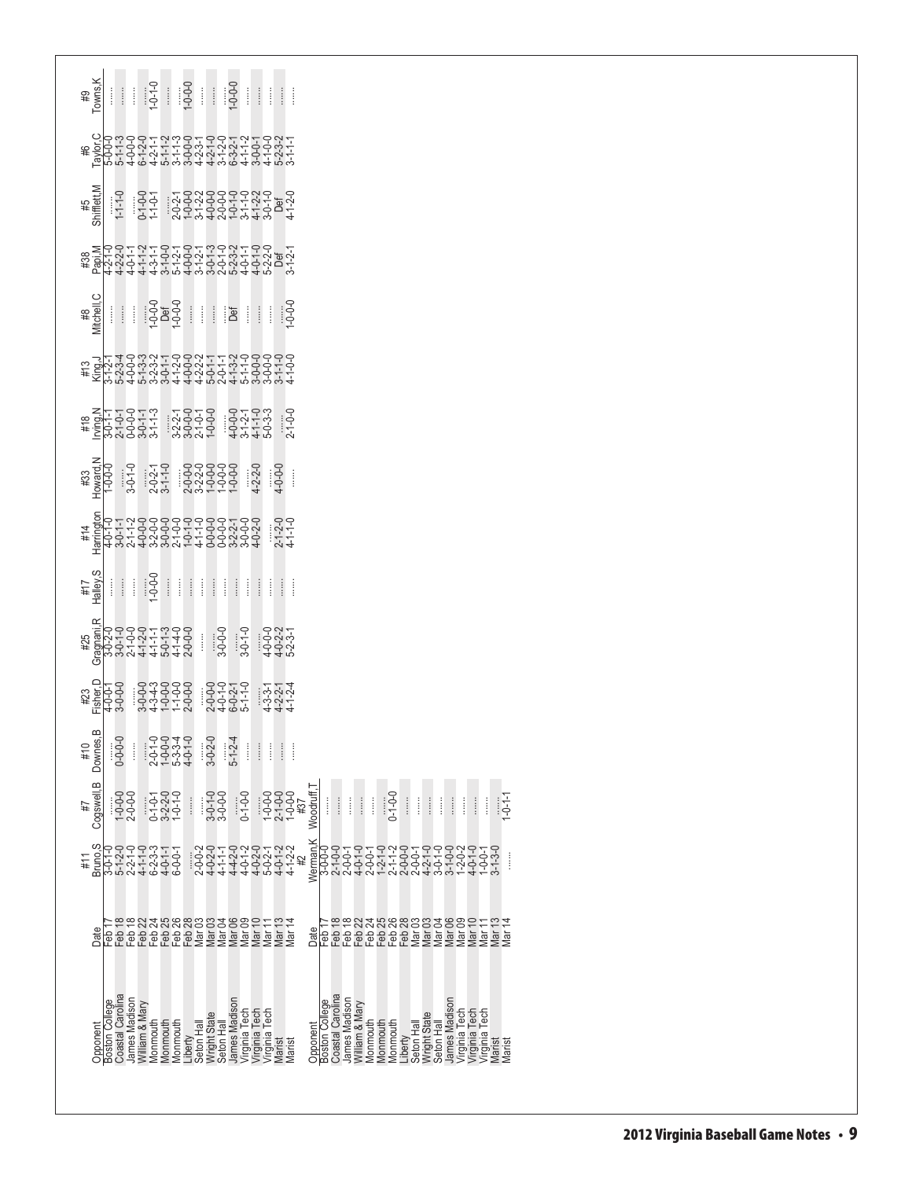| ݩݳݦݷݳݼݼݙݼݙݷݙݷݒݳݣݒݣݡݷݒ<br>ݻݞݴݼݼݼݑݦݙݼݙݼݦݩݬݘݙݷݤݼݼݙݒݴ<br>ݻݞݴݦݑݼݙݷݙݦݬݳݒݒݙݷݬݥݷݬݙݷݙݙݙݙݙݙ                                                                                                                                                                                                                                                                                                                     |                       |                    |               |                |          |                               |          |                                 |                     |           |               |                                                 |          |   |                                           |           |                |                  |               |                |           |                               |                      |                                   |                             |            |   |                                                 |   |                  |
|-------------------------------------------------------------------------------------------------------------------------------------------------------------------------------------------------------------------------------------------------------------------------------------------------------------------------------------------------------------------------------------------------------|-----------------------|--------------------|---------------|----------------|----------|-------------------------------|----------|---------------------------------|---------------------|-----------|---------------|-------------------------------------------------|----------|---|-------------------------------------------|-----------|----------------|------------------|---------------|----------------|-----------|-------------------------------|----------------------|-----------------------------------|-----------------------------|------------|---|-------------------------------------------------|---|------------------|
|                                                                                                                                                                                                                                                                                                                                                                                                       |                       |                    |               |                |          |                               |          |                                 |                     |           |               |                                                 |          |   |                                           |           |                |                  |               |                |           |                               |                      |                                   |                             |            |   |                                                 |   |                  |
|                                                                                                                                                                                                                                                                                                                                                                                                       |                       |                    |               |                |          |                               |          |                                 |                     |           |               |                                                 |          |   |                                           |           |                |                  |               |                |           |                               |                      |                                   |                             |            |   |                                                 |   |                  |
| $\begin{picture}(130,10) \put(0,0){\line(1,0){155}} \put(15,0){\line(1,0){155}} \put(15,0){\line(1,0){155}} \put(15,0){\line(1,0){155}} \put(15,0){\line(1,0){155}} \put(15,0){\line(1,0){155}} \put(15,0){\line(1,0){155}} \put(15,0){\line(1,0){155}} \put(15,0){\line(1,0){155}} \put(15,0){\line(1,0){155}} \put(15,0){\line(1,0){155}}$                                                          |                       |                    |               |                |          |                               |          |                                 |                     |           |               |                                                 |          |   |                                           |           |                |                  |               |                |           |                               |                      |                                   |                             |            |   |                                                 |   |                  |
| キ だいやいのかようしょうのかもののかようしゃ こうしょうしょうしょうしょうしょうしょうしょうしょう こうしょうこうしょう こうしゅうしょう こうしゅうしょう こうしゅうしょう                                                                                                                                                                                                                                                                                                              |                       |                    |               |                |          |                               |          |                                 |                     |           |               |                                                 |          |   |                                           |           |                |                  |               |                |           |                               |                      |                                   |                             |            |   |                                                 |   |                  |
|                                                                                                                                                                                                                                                                                                                                                                                                       |                       |                    |               |                |          |                               |          |                                 |                     |           |               |                                                 |          |   |                                           |           |                |                  |               |                |           |                               |                      |                                   |                             |            |   |                                                 |   |                  |
|                                                                                                                                                                                                                                                                                                                                                                                                       |                       |                    |               |                |          |                               |          |                                 |                     |           |               |                                                 |          |   |                                           |           |                |                  |               |                |           |                               |                      |                                   |                             |            |   |                                                 |   |                  |
|                                                                                                                                                                                                                                                                                                                                                                                                       |                       |                    |               |                |          |                               |          |                                 |                     |           |               |                                                 |          |   |                                           |           |                |                  |               |                |           |                               |                      |                                   |                             |            |   |                                                 |   |                  |
| $\frac{1}{\sqrt{2}}\left[\begin{array}{c c} \frac{1}{\sqrt{2}} & \frac{1}{\sqrt{2}} & \frac{1}{\sqrt{2}} \\ \frac{1}{\sqrt{2}} & \frac{1}{\sqrt{2}} & \frac{1}{\sqrt{2}} \\ \frac{1}{\sqrt{2}} & \frac{1}{\sqrt{2}} & \frac{1}{\sqrt{2}} \end{array}\right]$                                                                                                                                          |                       |                    |               |                |          |                               |          |                                 |                     |           |               |                                                 |          |   |                                           |           |                |                  |               |                |           |                               |                      |                                   |                             |            |   |                                                 |   |                  |
| $\begin{array}{l} \mathbb{E}[\mathbf{z}^{0}_{1}]=\mathbb{E}[\mathbf{z}^{0}_{1}=\mathbf{z}^{0}_{1}=\mathbf{z}^{0}_{1}=\mathbf{z}^{0}_{1}=\mathbf{z}^{0}_{1}=\mathbf{z}^{0}_{1}=\mathbf{z}^{0}_{1}=\mathbf{z}^{0}_{1}=\mathbf{z}^{0}_{1}=\mathbf{z}^{0}_{1}=\mathbf{z}^{0}_{1}=\mathbf{z}^{0}_{1}=\mathbf{z}^{0}_{1}=\mathbf{z}^{0}_{1}=\mathbf{z}^{0}_{1}=\mathbf{z}^{0}_{1}=\mathbf{z}^{0}_{1}=\math$ |                       |                    |               |                |          |                               |          |                                 |                     |           |               |                                                 |          |   |                                           |           |                |                  |               |                |           |                               |                      |                                   |                             |            |   |                                                 |   |                  |
| # מקרים משפט הלקלים לאורים<br>אלקס וסטיקים לקלים ולאורים<br>משפט וסטיקים ולאורים ולאורים<br>הרה המססס ססרים הרא                                                                                                                                                                                                                                                                                       |                       |                    |               |                |          |                               |          |                                 |                     |           |               |                                                 |          |   |                                           |           |                |                  |               |                |           |                               |                      |                                   |                             |            |   |                                                 |   |                  |
| Downes.                                                                                                                                                                                                                                                                                                                                                                                               |                       | $0 - 0 - 0$        | $\vdots$      |                |          | 22247<br>222377<br>22377      |          |                                 | $3 - 0 - 2 - 0$     |           | $-1-24$       | İ                                               | $\vdots$ | Î | $\vdots$                                  |           |                |                  |               |                |           |                               |                      |                                   |                             |            |   |                                                 |   |                  |
| Cogswell, B                                                                                                                                                                                                                                                                                                                                                                                           |                       | 1-0-0-0<br>2-0-0-0 |               |                |          | 0-1-0-1<br>3-2-2-0<br>1-0-1-0 |          | $\vdots$                        | 3-0-1-0<br>3-0-0-0  |           |               | $0 - 1 - 0 - 0$                                 |          |   | $1-0-0$<br>$2-1-0-0$<br>$1-0-0$<br>$1+37$ | Woodruff, |                |                  |               |                | Î         | $-0.11$                       |                      | $\vdots$                          | İ                           | $\vdots$   | İ |                                                 | Î | $-0-1-1$         |
| 3nuno <sub>,</sub> S                                                                                                                                                                                                                                                                                                                                                                                  |                       |                    |               |                |          |                               |          |                                 |                     |           |               |                                                 |          |   |                                           | Werman,K  |                |                  |               |                |           |                               |                      |                                   |                             |            |   |                                                 |   |                  |
| Date                                                                                                                                                                                                                                                                                                                                                                                                  |                       |                    |               |                |          |                               |          | RREREREWENNESSE<br>PRASSSSSESSE |                     |           |               |                                                 |          |   |                                           | Date      |                | Feb 18<br>Feb 18 |               |                |           | 232888383<br>おようのは<br>このでするです |                      |                                   |                             | Mar<br>Mar |   | Mar <sup>-</sup>                                |   |                  |
|                                                                                                                                                                                                                                                                                                                                                                                                       |                       |                    |               |                |          |                               |          |                                 |                     |           |               |                                                 |          |   |                                           |           |                |                  |               |                |           |                               |                      |                                   |                             |            |   |                                                 |   |                  |
| pponent                                                                                                                                                                                                                                                                                                                                                                                               | <b>Boston College</b> | Coastal Carolina   | lames Madison | Villiam & Mary | Aonmouth | Monmouth                      | Monmouth | Liberty<br>Seton Hall           | <b>Nright State</b> | Seton Hal | James Madison | Virginia Tech<br>Virginia Tech<br>Virginia Tech |          |   | Vlarist                                   | Opponent  | Boston College | Coastal Carolina | James Madison | William & Mary | Vlonmouth | Vlonmouth                     | Vlonmouth<br>Liberty | <b>Nright State</b><br>Seton Hall | James Madisor<br>Seton Hall |            |   | Virginia Tech<br>Virginia Tech<br>Virginia Tech |   | Aarist<br>Aarist |
|                                                                                                                                                                                                                                                                                                                                                                                                       |                       |                    |               |                |          |                               |          |                                 |                     |           |               |                                                 |          |   |                                           |           |                |                  |               |                |           |                               |                      |                                   |                             |            |   |                                                 |   |                  |

**(All games)**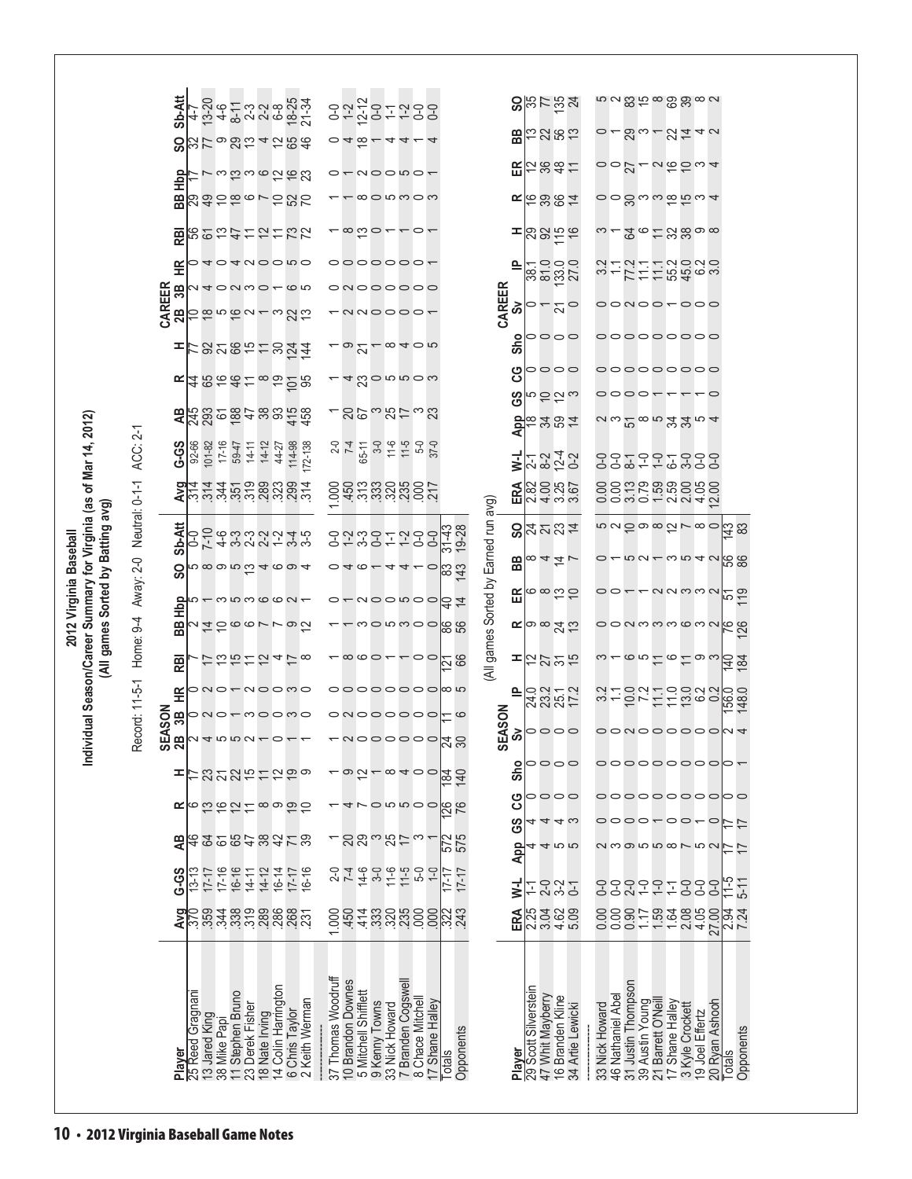|                                                             |                                    | Sb-Att             |                  |                               |                    |                                                          |           | 4 12 4 8 2 2 3 4 3 4 7<br>4 12 4 8 2 2 4 9 5 2 4<br>4 12 4 8 2 4 9 8 2 4 |             |                    |                                                                              |        |       |                  | 02201200<br>01201100                          |                             |         |                                        |                                      |           |                      |                  | $s$ ន្ទដន្ទ្រង                            | ೲೲೲೱೲೲೲೲ                                                                        |        |                                       |                   |                                    |                 |                          |                   |           |
|-------------------------------------------------------------|------------------------------------|--------------------|------------------|-------------------------------|--------------------|----------------------------------------------------------|-----------|--------------------------------------------------------------------------|-------------|--------------------|------------------------------------------------------------------------------|--------|-------|------------------|-----------------------------------------------|-----------------------------|---------|----------------------------------------|--------------------------------------|-----------|----------------------|------------------|-------------------------------------------|---------------------------------------------------------------------------------|--------|---------------------------------------|-------------------|------------------------------------|-----------------|--------------------------|-------------------|-----------|
|                                                             |                                    | င္တ                |                  |                               |                    |                                                          |           | 329824254                                                                |             |                    | ⊲ ∞                                                                          |        |       | 4                | $4 -$                                         | ↴                           |         |                                        |                                      |           |                      |                  | $B \sim 285$                              | $-50 - 844 - 9$                                                                 |        |                                       |                   |                                    |                 |                          |                   |           |
|                                                             |                                    | 흽                  |                  |                               |                    |                                                          |           | てるはる6262                                                                 |             |                    |                                                                              |        |       |                  | -aaoono-                                      |                             |         |                                        |                                      |           |                      |                  | <b>띥</b> 능쑪승는                             | $\circ$ $\circ$ $\sim$ $\sim$ $\circ$ $\circ$ $\circ$ $\sim$                    |        |                                       |                   |                                    |                 |                          |                   |           |
|                                                             |                                    | æ                  |                  |                               |                    |                                                          |           | 232867282                                                                |             |                    |                                                                              |        |       |                  | $\cdot$ ∞ $\circ$ ∞ $\circ$ ∞                 |                             |         |                                        |                                      |           |                      |                  | $E = 887$                                 | $\circ$ $\circ$ $\approx$ $\sim$ $\sim$ $\sim$ $\sim$                           |        |                                       |                   |                                    |                 |                          |                   |           |
|                                                             |                                    | 霞                  |                  |                               |                    |                                                          |           | <b>600カイカカカファ</b>                                                        |             |                    |                                                                              |        |       |                  | $\infty$ is $\sim$ $\sim$ $\sim$ $\sim$       |                             |         |                                        |                                      | ᆍ         |                      |                  | 885.6<br>885                              | $\omega$ $\sim$ $\Omega$ $\approx$ $\sim$ $\omega$ $\approx$ $\omega$ $\approx$ |        |                                       |                   |                                    |                 |                          |                   |           |
|                                                             |                                    | 푼                  |                  |                               |                    |                                                          |           | 40400000<br>N 4 0 N M 0 <del>-</del> 0 W                                 |             |                    |                                                                              |        |       |                  | 0000000-<br>0N000000                          |                             |         |                                        |                                      | ≞         |                      |                  | 38532<br>28532                            | 377277999999                                                                    |        |                                       |                   |                                    |                 |                          |                   |           |
|                                                             |                                    | CAREER<br>æ,<br>28 |                  |                               |                    |                                                          |           | 1856911313                                                               |             |                    |                                                                              |        |       |                  | $\cap \cap \cup \cap \cap \cap \cap$          |                             |         |                                        | CAREER                               | တိ        |                      |                  | $\frac{2}{10}$                            | 00N00-000                                                                       |        |                                       |                   |                                    |                 |                          |                   |           |
|                                                             |                                    | ᆍ                  |                  |                               |                    |                                                          |           | rg2@tt824                                                                |             |                    |                                                                              |        |       |                  | $ \omega$ $\simeq$ $ \infty$ $ \infty$        |                             |         |                                        |                                      | Sho       |                      |                  |                                           | 000000000                                                                       |        |                                       |                   |                                    |                 |                          |                   |           |
|                                                             |                                    |                    |                  |                               |                    |                                                          |           | $\propto$ $4866228$                                                      |             |                    |                                                                              |        |       |                  | 480nn00                                       |                             |         |                                        |                                      | ပ္ပ       |                      |                  | 000C                                      | 000000000                                                                       |        |                                       |                   |                                    |                 |                          |                   |           |
|                                                             |                                    |                    |                  |                               |                    |                                                          |           | 288258248922                                                             |             |                    |                                                                              |        |       |                  | 263273                                        |                             |         |                                        |                                      | အ         |                      |                  | n S S w                                   | 0000-                                                                           |        |                                       |                   |                                    |                 |                          |                   |           |
|                                                             | ACC: 2-1                           |                    |                  | 92-66<br>101-82<br>17-16      | 59-47<br>14-11     | $14 - 12$                                                | 44-27     | 114-98                                                                   |             |                    | $\frac{2-0}{7-4}$                                                            |        |       |                  | $65-11$<br>3-0<br>11-5<br>11-5<br>5-0<br>57-0 |                             |         |                                        |                                      |           |                      |                  | <mark>유</mark> 은성없는                       | $a$ ພ $2\alpha$ ພັນຊິມ                                                          |        |                                       |                   |                                    |                 |                          |                   |           |
|                                                             |                                    | <b>G-GS</b>        |                  |                               |                    |                                                          |           |                                                                          | $172 - 138$ |                    |                                                                              |        |       |                  |                                               |                             |         |                                        |                                      | ₹         |                      |                  | 2242<br>2242                              | 998776899                                                                       |        |                                       |                   |                                    |                 |                          |                   |           |
| ual Season/Career Summary for Virginia (as of Mar 14, 2012) | Home: 9-4 Away: 2-0 Neutral: 0-1-1 |                    |                  |                               |                    |                                                          |           | $\sum_{i=1}^{n} a_i$ a dia dia dia $a_i$                                 |             |                    |                                                                              |        |       |                  | <u>ទី៥ដំបូងខ្លួងទី21</u>                      |                             |         |                                        |                                      | ERA       |                      |                  | 88050<br>28050                            | oowo-ww47                                                                       |        |                                       |                   |                                    |                 |                          |                   |           |
| (All games Sorted by Batting avg)                           |                                    | Sb-At              |                  | 00033210 7 4 3 2 2 1          |                    |                                                          |           |                                                                          |             |                    |                                                                              |        |       |                  | 82~85±288<br>82~87                            |                             |         | 3143<br>19-28                          | (All games Sorted by Earned run avg) |           |                      |                  | $9xzz_4$                                  | <u>៲៰៷៹៰៰៷៷៲</u> ៷៙៰                                                            |        |                                       |                   |                                    |                 |                          | $\frac{4}{3}$     |           |
| 2012 Virginia Baseball                                      |                                    | င္တ                |                  |                               |                    |                                                          |           |                                                                          |             |                    |                                                                              |        |       |                  | $040 - 44 - 0$                                |                             |         | 82<br>83                               |                                      |           |                      |                  | $\frac{1}{2}$ $\frac{1}{2}$ $\frac{1}{2}$ | $0 - 5 - 5 - 5$                                                                 |        |                                       |                   |                                    |                 |                          | ၂၀ အ              |           |
|                                                             |                                    | Hbp                |                  |                               |                    |                                                          |           | $5 - 70000000$                                                           |             |                    |                                                                              |        |       |                  |                                               |                             |         | $0 - 0$ $0 - 0$ $0 - 0$                |                                      | 띥         |                      |                  | $\circ$ $\circ$ $\circ$ $\circ$           | $\frac{1}{2}$                                                                   |        |                                       |                   |                                    |                 |                          |                   |           |
|                                                             |                                    | 88                 |                  |                               |                    |                                                          |           | いはいてのファのひ                                                                |             |                    |                                                                              |        |       |                  |                                               |                             |         | ၣႍႍၛၟၣၣၯၯၣၯ                            |                                      |           |                      |                  | $\mathbf{R}$ တြက $\mathcal{L}$ ည်         | oonmmmomn <mark>kg</mark>                                                       |        |                                       |                   |                                    |                 |                          |                   |           |
|                                                             |                                    | 蓖                  |                  |                               |                    |                                                          |           | 125147∞                                                                  |             |                    |                                                                              |        |       |                  |                                               |                             |         | $8800 - 0000$                          |                                      |           |                      |                  | ∓☆☆☆☆                                     | $m - \infty$ $n \infty$ $\infty$ $\infty$                                       |        |                                       |                   |                                    |                 |                          | <u>484</u>        |           |
|                                                             | ord: 11-5-1                        | 또<br>នី<br>3B      |                  |                               |                    |                                                          |           | ono-noomo<br>ono-moomo                                                   |             |                    |                                                                              |        |       |                  |                                               |                             |         | 000000000<br>onoooooo <mark>r</mark> o | SON                                  | 으         |                      |                  | 0 2 3 4<br>2 3 5 7 2<br>0 3 5 7 2         | singuingus                                                                      |        |                                       |                   |                                    |                 |                          | 156.0<br>148.0    |           |
| Individ                                                     | Rec                                | <u>ଅ</u><br>ଅ      |                  |                               |                    |                                                          |           | 245521011                                                                |             |                    |                                                                              |        |       |                  | <u>LUOOOOOO</u>                               |                             |         | $\frac{1}{24}$                         | <b>SEA</b>                           | ္တ        |                      |                  |                                           |                                                                                 | $\sim$ |                                       |                   |                                    |                 |                          |                   |           |
|                                                             |                                    |                    |                  |                               |                    |                                                          |           | <b>22251529</b>                                                          |             |                    |                                                                              |        |       |                  |                                               |                             |         | <u>lad</u><br>24                       |                                      | Sho       |                      |                  | <b>POOC</b>                               | 000000000                                                                       |        |                                       |                   |                                    |                 |                          |                   |           |
|                                                             |                                    | ≃                  |                  |                               |                    |                                                          |           | <b>てはおけりのかり</b>                                                          |             |                    |                                                                              |        |       |                  | onnoo                                         |                             |         | 26                                     |                                      | ပ္ပ       |                      |                  | <b>POOC</b>                               | <u>oooooooooo</u> o                                                             |        |                                       |                   |                                    |                 |                          |                   |           |
|                                                             |                                    | ੩                  |                  |                               |                    |                                                          |           | 486648478                                                                |             |                    |                                                                              |        |       |                  | aganton                                       |                             |         | 575<br>575                             |                                      | <u>င်</u> |                      |                  | 4 ო<br>455                                | --------<br>239558752                                                           |        |                                       |                   |                                    |                 | $\circ$                  |                   | 17        |
|                                                             |                                    | <b>G-S</b>         | $13 - 13$        | $17 - 16$                     | 16-16<br>$14 - 11$ | $14 - 12$                                                | $16 - 14$ | $17 - 17$                                                                | $16 - 16$   |                    | $\frac{2}{7}$                                                                | $14-6$ | $3-0$ | $\frac{6}{11-5}$ |                                               | $-6 - 0$                    | $17-17$ | $17 - 17$                              |                                      | App       |                      |                  |                                           |                                                                                 |        |                                       |                   |                                    |                 |                          |                   |           |
|                                                             |                                    |                    |                  |                               |                    |                                                          |           |                                                                          |             |                    |                                                                              |        |       |                  |                                               |                             |         | 843388888883                           |                                      | i<br>N    | Ξ                    |                  | ついし<br>ひとり                                | <b>888997</b>                                                                   |        |                                       |                   |                                    | 9-0<br>0-0      | O-0                      | 1-5<br>1-5<br>1-5 |           |
|                                                             |                                    | Avg                |                  |                               |                    |                                                          |           | n 1934 2002 2003 2012<br>2004 2005 2008 2012                             |             | 000                |                                                                              |        |       |                  |                                               |                             |         |                                        |                                      | ERA       |                      |                  | sa<br>Raga<br>Raga                        | 880<br>0.00                                                                     |        | 1.17                                  | $1.59$<br>$1.64$  | 2.08                               | 4.05            | 27.00                    | 33<br>234         |           |
|                                                             |                                    | Player             | 25 Reed Gragnani | 13 Jared King<br>38 Mike Papi | 11 Stephen Bruno   | 23 Derek Fisher<br>18 Nate Irving<br>14 Colin Harrington |           | 6 Chris Taylor<br>2 Keith Werman                                         |             | 37 Thomas Woodruff | 10 Brandon Downes<br>5 Mitchell Shifflett<br>9 Kenny Towns<br>33 Nick Howard |        |       |                  | 7 Branden Cogswel<br><b>Chace Mitchel</b>     | 17 Shane Halley<br>$\infty$ | Totals  | Opponents                              |                                      | Player    | 29 Scott Silverstein | 47 Whit Mayberry | 16 Branden Kline<br>34 Artie Lewicki      | 33 Nick Howard<br>46 Nathaniel Abel                                             |        | 31 Justin Thompson<br>39 Austin Young | 21 Barrett O'Neil | 17 Shane Halley<br>3 Kyle Crockett | 19 Joel Effertz | 20 Ryan Ashooh<br>Totals |                   | Opponents |
| 10 · 2012 Virginia Baseball Game Notes                      |                                    |                    |                  |                               |                    |                                                          |           |                                                                          |             |                    |                                                                              |        |       |                  |                                               |                             |         |                                        |                                      |           |                      |                  |                                           |                                                                                 |        |                                       |                   |                                    |                 |                          |                   |           |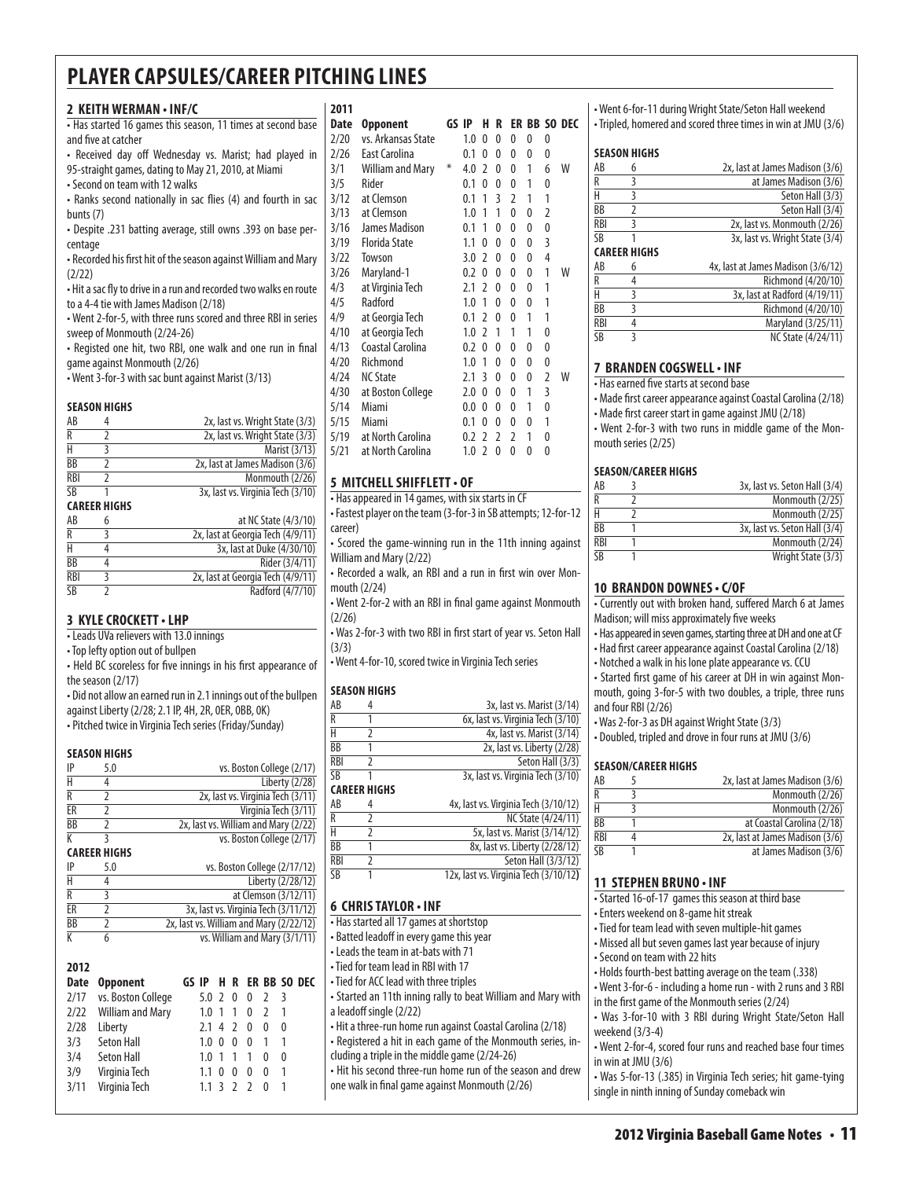**2011**

#### **2 KeithWerman • INF/C**

• Has started 16 games this season, 11 times at second base and five at catcher

• Received day off Wednesday vs. Marist; had played in 95-straight games, dating to May 21, 2010, at Miami • Second on team with 12 walks

• Ranks second nationally in sac flies (4) and fourth in sac bunts (7)

• Despite .231 batting average, still owns .393 on base percentage

• Recorded his first hit of the season against William and Mary (2/22)

• Hit a sac fly to drive in a run and recorded two walks en route to a 4-4 tie with James Madison (2/18)

• Went 2-for-5, with three runs scored and three RBI in series sweep of Monmouth (2/24-26)

• Registed one hit, two RBI, one walk and one run in final game against Monmouth (2/26)

• Went 3-for-3 with sac bunt against Marist (3/13)

#### **Season Highs**

| AB         |                     | 2x, last vs. Wright State (3/3)   |
|------------|---------------------|-----------------------------------|
| R          |                     | 2x, last vs. Wright State (3/3)   |
| Н          |                     | Marist (3/13)                     |
| BB         |                     | 2x, last at James Madison (3/6)   |
| <b>RBI</b> |                     | Monmouth (2/26)                   |
| SΒ         |                     | 3x, last vs. Virginia Tech (3/10) |
|            | <b>CAREER HIGHS</b> |                                   |

| AB              | at NC State (4/3/10)              |
|-----------------|-----------------------------------|
| R               | 2x, last at Georgia Tech (4/9/11) |
| Н               | 3x, last at Duke (4/30/10)        |
| ВB              | Rider (3/4/11)                    |
| <b>RBI</b>      | 2x, last at Georgia Tech (4/9/11) |
| $\overline{SB}$ | Radford (4/7/10)                  |

#### **3 Kyle crockett• LHP**

• Leads UVa relievers with 13.0 innings

• Top lefty option out of bullpen

• Held BC scoreless for five innings in his first appearance of the season (2/17)

• Did not allow an earned run in 2.1 innings out of the bullpen against Liberty (2/28; 2.1 IP, 4H, 2R, 0ER, 0BB, 0K) • Pitched twice in Virginia Tech series (Friday/Sunday)

#### **Season Highs**

| IP        | 5.0 | vs. Boston College (2/17)            |
|-----------|-----|--------------------------------------|
|           |     | Liberty (2/28)                       |
|           |     | 2x, last vs. Virginia Tech (3/11)    |
| ER        |     | Virginia Tech (3/11)                 |
| <b>BB</b> |     | 2x, last vs. William and Mary (2/22) |
|           |     | vs. Boston College (2/17)            |

#### **Career Highs**

| IP | 5.0 | vs. Boston College (2/17/12)            |
|----|-----|-----------------------------------------|
| Н  |     | Liberty (2/28/12)                       |
| R  |     | at Clemson (3/12/11)                    |
| FR |     | 3x, last vs. Virginia Tech (3/11/12)    |
| BB |     | 2x, last vs. William and Mary (2/22/12) |
|    | n   | vs. William and Mary (3/1/11)           |

| 2012        |                         |                  |                |                |   |                          |                         |                  |
|-------------|-------------------------|------------------|----------------|----------------|---|--------------------------|-------------------------|------------------|
| <b>Date</b> | <b>Opponent</b>         | GS IP            |                |                |   |                          |                         | H R ER BB SO DEC |
|             | 2/17 vs. Boston College | $5.0$ 2 0        |                |                | 0 | $\overline{\phantom{a}}$ | $\overline{\mathbf{3}}$ |                  |
|             | 2/22 William and Mary   | 1.0              | $\overline{1}$ | $\overline{1}$ | 0 | $\mathcal{I}$            |                         |                  |
| 2/28        | Liberty                 | $2.1 \, 4 \, 2$  |                |                | 0 | 0                        | 0                       |                  |
| 3/3         | Seton Hall              | 1.0              | 0              | 0              | 0 |                          | 1                       |                  |
| 3/4         | Seton Hall              | 1.0              |                | $\overline{1}$ | 1 | 0                        | 0                       |                  |
| 3/9         | Virginia Tech           | 1.1              | 0              | 0              | 0 | 0                        | 1                       |                  |
| 3/11        | Virginia Tech           | 1.1 <sup>3</sup> |                | 2 <sub>2</sub> |   | O                        |                         |                  |
|             |                         |                  |                |                |   |                          |                         |                  |

| Date | <b>Opponent</b>         |   | GS IP | н              | R |   |   |                | ER BB SO DEC |
|------|-------------------------|---|-------|----------------|---|---|---|----------------|--------------|
| 2/20 | vs. Arkansas State      |   | 1.0   | 0              | 0 | 0 | 0 | 0              |              |
| 2/26 | East Carolina           |   | 0.1   | 0              | 0 | 0 | 0 | 0              |              |
| 3/1  | <b>William and Mary</b> | ⋇ | 4.0   | 2              | 0 | 0 | 1 | 6              | W            |
| 3/5  | Rider                   |   | 0.1   | 0              | 0 | 0 | 1 | 0              |              |
| 3/12 | at Clemson              |   | 0.1   | 1              | 3 | 2 | 1 | 1              |              |
| 3/13 | at Clemson              |   | 1.0   | 1              | 1 | 0 | 0 | 2              |              |
| 3/16 | James Madison           |   | 0.1   | 1              | 0 | 0 | 0 | 0              |              |
| 3/19 | <b>Florida State</b>    |   | 1.1   | 0              | 0 | 0 | 0 | 3              |              |
| 3/22 | Towson                  |   | 3.0   | $\mathfrak z$  | 0 | 0 | 0 | 4              |              |
| 3/26 | Maryland-1              |   | 0.2   | 0              | 0 | 0 | 0 | 1              | W            |
| 4/3  | at Virginia Tech        |   | 2.1   | $\overline{2}$ | 0 | 0 | 0 | 1              |              |
| 4/5  | Radford                 |   | 1.0   | 1              | 0 | 0 | 0 | 1              |              |
| 4/9  | at Georgia Tech         |   | 0.1   | 2              | 0 | 0 | 1 | 1              |              |
| 4/10 | at Georgia Tech         |   | 1.0   | 2              | 1 | 1 | 1 | 0              |              |
| 4/13 | Coastal Carolina        |   | 0.2   | 0              | 0 | 0 | 0 | 0              |              |
| 4/20 | Richmond                |   | 1.0   | 1              | 0 | 0 | 0 | 0              |              |
| 4/24 | <b>NC State</b>         |   | 2.1   | 3              | 0 | 0 | 0 | $\overline{2}$ | W            |
| 4/30 | at Boston College       |   | 2.0   | 0              | 0 | 0 | 1 | 3              |              |
| 5/14 | Miami                   |   | 0.0   | 0              | 0 | 0 | 1 | 0              |              |
| 5/15 | Miami                   |   | 0.1   | 0              | 0 | 0 | 0 | 1              |              |
| 5/19 | at North Carolina       |   | 0.2   | $\overline{2}$ | 2 | 2 | 1 | 0              |              |
| 5/21 | at North Carolina       |   | 1.0   | 2              | 0 | 0 | 0 | 0              |              |
|      |                         |   |       |                |   |   |   |                |              |

#### **5 MitchellShifflett• OF**

• Has appeared in 14 games, with six starts in CF

• Fastest player on the team (3-for-3 in SB attempts; 12-for-12 career)

• Scored the game-winning run in the 11th inning against William and Mary (2/22)

• Recorded a walk, an RBI and a run in first win over Monmouth (2/24)

• Went 2-for-2 with an RBI in final game against Monmouth (2/26)

• Was 2-for-3 with two RBI in first start of year vs. Seton Hall (3/3)

• Went 4-for-10, scored twice in Virginia Tech series

#### **season Highs**

| AB         |                     | 3x, last vs. Marist (3/14)            |
|------------|---------------------|---------------------------------------|
| R          |                     | 6x, last vs. Virginia Tech (3/10)     |
| Н          | 2                   | 4x, last vs. Marist (3/14)            |
| BB         |                     | 2x, last vs. Liberty (2/28)           |
| <b>RBI</b> | 2                   | Seton Hall (3/3)                      |
| <b>SB</b>  | 1                   | 3x, last vs. Virginia Tech (3/10)     |
|            | <b>CAREER HIGHS</b> |                                       |
| AB         | 4                   | 4x, last vs. Virginia Tech (3/10/12)  |
| R          | 2                   | NC State (4/24/11)                    |
| Н          | 2                   | 5x, last vs. Marist (3/14/12)         |
| <b>BB</b>  | 1                   | 8x, last vs. Liberty (2/28/12)        |
| <b>RBI</b> | 2                   | Seton Hall (3/3/12)                   |
| SB         | 1                   | 12x, last vs. Virginia Tech (3/10/12) |
|            |                     |                                       |

#### **6 Chris Taylor • INF**

• Has started all 17 games at shortstop

• Batted leadoff in every game this year

• Leads the team in at-bats with 71

• Tied for team lead in RBI with 17

• Tied for ACC lead with three triples

• Started an 11th inning rally to beat William and Mary with a leadoff single (2/22)

• Hit a three-run home run against Coastal Carolina (2/18) • Registered a hit in each game of the Monmouth series, in-

cluding a triple in the middle game (2/24-26)

• Hit his second three-run home run of the season and drew one walk in final game against Monmouth (2/26)

• Went 6-for-11 during Wright State/Seton Hall weekend • Tripled, homered and scored three times in win at JMU (3/6)

#### **Season Highs**

| AB         | 6                   | 2x, last at James Madison (3/6)    |
|------------|---------------------|------------------------------------|
| R          | 3                   | at James Madison (3/6)             |
| Н          | 3                   | Seton Hall (3/3)                   |
| BB         | 2                   | Seton Hall (3/4)                   |
| <b>RBI</b> | 3                   | 2x, last vs. Monmouth (2/26)       |
| <b>SB</b>  |                     | 3x, last vs. Wright State (3/4)    |
|            | <b>CAREER HIGHS</b> |                                    |
| AB         | 6                   | 4x, last at James Madison (3/6/12) |
| R          | 4                   | Richmond (4/20/10)                 |
| Н          |                     |                                    |
|            | 3                   | 3x, last at Radford (4/19/11)      |
| BB         | ς                   | Richmond (4/20/10)                 |
| <b>RBI</b> | 4                   | Maryland (3/25/11)                 |

#### **7 Branden Cogswell• INF**

• Has earned five starts at second base

• Made first career appearance against Coastal Carolina (2/18) • Made first career start in game against JMU (2/18)

• Went 2-for-3 with two runs in middle game of the Mon-

mouth series (2/25)

#### **Season/Career Highs**

| AB              | 3x, last vs. Seton Hall (3/4) |
|-----------------|-------------------------------|
| $\overline{R}$  | Monmouth (2/25)               |
| Н               | Monmouth (2/25)               |
| <b>BB</b>       | 3x, last vs. Seton Hall (3/4) |
| RBI             | Monmouth (2/24)               |
| $\overline{SB}$ | Wright State (3/3)            |

#### **10 brandon downes • c/OF**

• Currently out with broken hand, suffered March 6 at James Madison; will miss approximately five weeks

• Has appeared in seven games, starting three at DH and one at CF • Had first career appearance against Coastal Carolina (2/18)

• Notched a walk in his lone plate appearance vs. CCU

• Started first game of his career at DH in win against Monmouth, going 3-for-5 with two doubles, a triple, three runs and four RBI (2/26)

• Was 2-for-3 as DH against Wright State (3/3)

• Doubled, tripled and drove in four runs at JMU (3/6)

#### **Season/Career Highs**

| AB                   | 2x, last at James Madison (3/6) |
|----------------------|---------------------------------|
| R                    | Monmouth (2/26)                 |
| Н                    | Monmouth (2/26)                 |
| <b>B<sub>B</sub></b> | at Coastal Carolina (2/18)      |
| <b>RBI</b>           | 2x, last at James Madison (3/6) |
| ςR                   | at James Madison (3/6)          |

#### **11 Stephen Bruno • INF**

• Started 16-of-17 games this season at third base

• Enters weekend on 8-game hit streak

• Tied for team lead with seven multiple-hit games

• Missed all but seven games last year because of injury

• Second on team with 22 hits

• Holds fourth-best batting average on the team (.338)

• Went 3-for-6 - including a home run - with 2 runs and 3 RBI in the first game of the Monmouth series (2/24)

• Was 3-for-10 with 3 RBI during Wright State/Seton Hall weekend (3/3-4)

• Went 2-for-4, scored four runs and reached base four times in win at JMU (3/6)

• Was 5-for-13 (.385) in Virginia Tech series; hit game-tying single in ninth inning of Sunday comeback win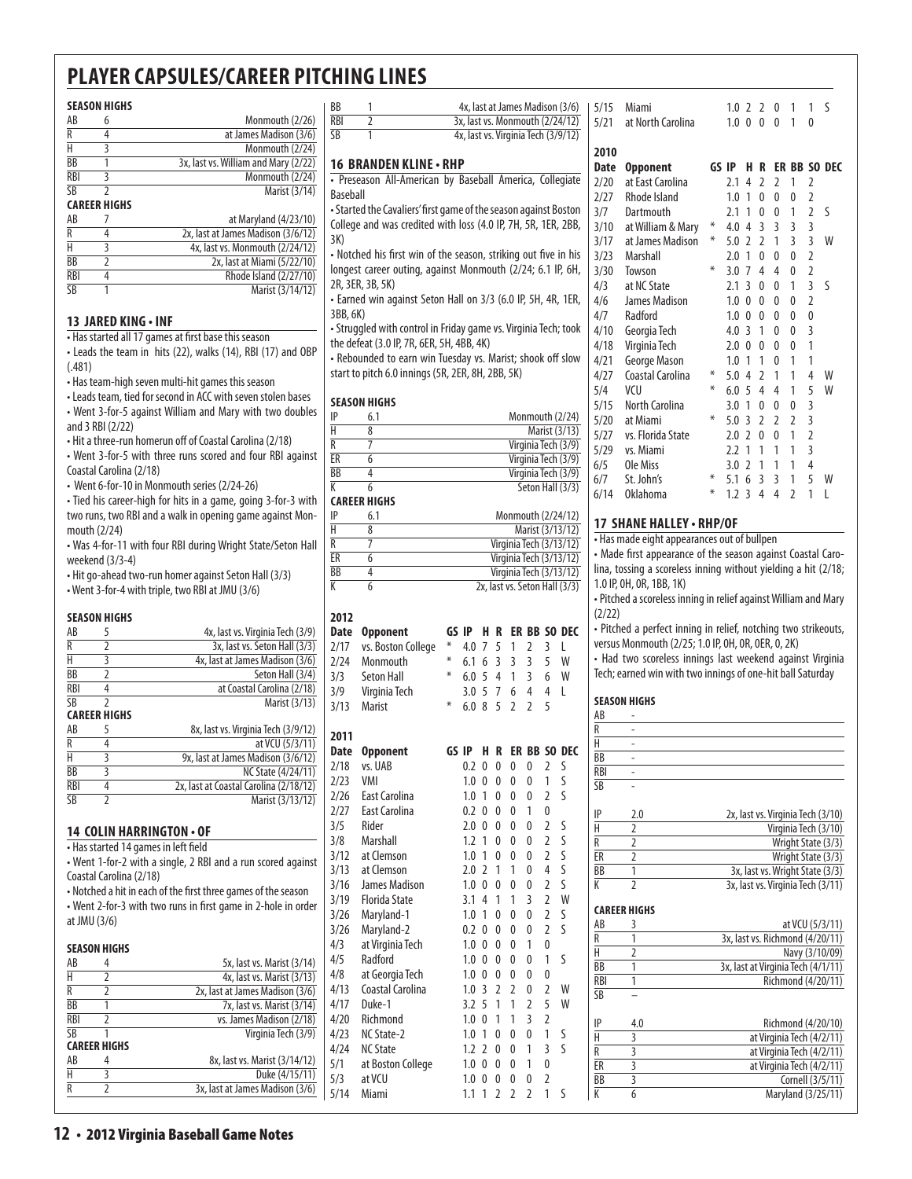#### **Season Highs** AB 6 Monmouth (2/26) R 4 at James Madison (3/6)  $\frac{H}{B}$  3 Monmouth (2/24)<br>BB 1 3x. last vs. William and Mary (2/22) 1 3x, last vs. William and Mary (2/22) RBI 3 Monmouth (2/24) SB 2 Marist (3/14) **Career Highs** AB 7 at Maryland (4/23/10)  $R$  4 2x, last at James Madison  $(3/6/12)$ <br>H 3 4x, last vs. Monmouth  $(2/24/12)$  $4x$ , last vs. Monmouth  $\left(\frac{2}{24}{12}\right)$ BB 2 2x, last at Miami (5/22/10) RBI 4 Rhode Island (2/27/10) SB 1 Marist (3/14/12)

#### **13 Jared King • INF**

• Has started all 17 games at first base this season

• Leads the team in hits (22), walks (14), RBI (17) and OBP (.481)

• Has team-high seven multi-hit games this season

• Leads team, tied for second in ACC with seven stolen bases • Went 3-for-5 against William and Mary with two doubles

and 3 RBI (2/22)

• Hit a three-run homerun off of Coastal Carolina (2/18) • Went 3-for-5 with three runs scored and four RBI against

Coastal Carolina (2/18)

• Went 6-for-10 in Monmouth series (2/24-26)

• Tied his career-high for hits in a game, going 3-for-3 with two runs, two RBI and a walk in opening game against Monmouth (2/24)

• Was 4-for-11 with four RBI during Wright State/Seton Hall weekend (3/3-4)

• Hit go-ahead two-run homer against Seton Hall (3/3) • Went 3-for-4 with triple, two RBI at JMU (3/6)

#### **season Highs**

| AB                  | 5             | 4x, last vs. Virginia Tech (3/9)       |  |  |  |  |
|---------------------|---------------|----------------------------------------|--|--|--|--|
| R                   | 2             | 3x, last vs. Seton Hall (3/3)          |  |  |  |  |
| Н                   | 3             | 4x, last at James Madison (3/6)        |  |  |  |  |
| ВB                  | $\mathfrak z$ | Seton Hall (3/4)                       |  |  |  |  |
| <b>RBI</b>          | 4             | at Coastal Carolina (2/18)             |  |  |  |  |
| SB                  | 2             | Marist (3/13)                          |  |  |  |  |
| <b>CAREER HIGHS</b> |               |                                        |  |  |  |  |
| AB                  | 5             | 8x, last vs. Virginia Tech (3/9/12)    |  |  |  |  |
| R                   | 4             | at VCU (5/3/11)                        |  |  |  |  |
| H                   | 3             | 9x, last at James Madison (3/6/12)     |  |  |  |  |
| BB                  | 3             | <b>NC State (4/24/11)</b>              |  |  |  |  |
| <b>RBI</b>          | 4             | 2x, last at Coastal Carolina (2/18/12) |  |  |  |  |
| SB                  |               | Marist (3/13/12)                       |  |  |  |  |
|                     |               |                                        |  |  |  |  |

#### **14 Colin Harrington • OF**

| • Has started 14 games in left field                         |
|--------------------------------------------------------------|
| • Went 1-for-2 with a single, 2 RBI and a run scored against |
| Coastal Carolina (2/18)                                      |

• Notched a hit in each of the first three games of the season • Went 2-for-3 with two runs in first game in 2-hole in order at JMU (3/6)

#### **SEASON HIGHS**

| AB         |                     | 5x, last vs. Marist (3/14)      |
|------------|---------------------|---------------------------------|
| Н          |                     | 4x, last vs. Marist (3/13)      |
| R          |                     | 2x, last at James Madison (3/6) |
| <b>BB</b>  |                     | 7x, last vs. Marist (3/14)      |
| <b>RBI</b> |                     | vs. James Madison (2/18)        |
| SB         |                     | Virginia Tech (3/9)             |
|            | <b>CAREER HIGHS</b> |                                 |
| AB         |                     | 8x, last vs. Marist (3/14/12)   |
|            |                     | Duke (4/15/11)                  |
| R          |                     | 3x, last at James Madison (3/6) |

 $\frac{BB}{RB}$  1 4x, last at James Madison  $(3/6)$  | 5/15 Miami<br>RBI 2 3x, last vs. Monmouth  $(2/24/12)$  | 5/21 at Nort 3x, last vs. Monmouth (2/24/12) SB 1 4x, last vs. Virginia Tech (3/9/12) **16 branden kline• RHP** • Preseason All-American by Baseball America, Collegiate Baseball • Started the Cavaliers' first game of the season against Boston College and was credited with loss (4.0 IP, 7H, 5R, 1ER, 2BB, 3K) • Notched his first win of the season, striking out five in his longest career outing, against Monmouth (2/24; 6.1 IP, 6H, 2R, 3ER, 3B, 5K)

• Earned win against Seton Hall on 3/3 (6.0 IP, 5H, 4R, 1ER, 3BB, 6K)

• Struggled with control in Friday game vs. Virginia Tech; took the defeat (3.0 IP, 7R, 6ER, 5H, 4BB, 4K)

• Rebounded to earn win Tuesday vs. Marist; shook off slow start to pitch 6.0 innings (5R, 2ER, 8H, 2BB, 5K)

#### **Season Highs**

| IP | 6.1                 | Monmouth (2/24)     |
|----|---------------------|---------------------|
| Н  |                     | Marist (3/13)       |
| R  |                     | Virginia Tech (3/9) |
| ER |                     | Virginia Tech (3/9) |
| ВB |                     | Virginia Tech (3/9) |
| K  |                     | Seton Hall (3/3)    |
|    | <b>CAREER HIGHS</b> |                     |
| IP | 6.1                 | Monmouth (2/24/12)  |

| . . | 11011111001111272111127       |
|-----|-------------------------------|
| Н   | Marist (3/13/12)              |
| R   | Virginia Tech (3/13/12)       |
| ER  | Virginia Tech (3/13/12)       |
| ВB  | Virginia Tech (3/13/12)       |
| К   | 2x, last vs. Seton Hall (3/3) |
|     |                               |

#### **2012**

| <b>Date</b> | <b>Opponent</b>      | GS    | IP  | н              | R                       | ER             | BB             | S <sub>0</sub> | <b>DEC</b>          |
|-------------|----------------------|-------|-----|----------------|-------------------------|----------------|----------------|----------------|---------------------|
| 2/17        | vs. Boston College   | ∗     | 4.0 | 7              | 5                       | 1              | $\overline{2}$ | 3              | L                   |
| 2/24        | Monmouth             | ⋇     | 6.1 | 6              | 3                       | $\overline{3}$ | $\overline{3}$ | 5              | W                   |
| 3/3         | <b>Seton Hall</b>    | ⋇     | 6.0 | 5              | $\overline{\mathbf{4}}$ | 1              | $\overline{3}$ | 6              | W                   |
| 3/9         | Virginia Tech        |       | 3.0 | 5              | 7                       | 6              | 4              | 4              | L                   |
| 3/13        | <b>Marist</b>        | ⋇     | 6.0 | 8              | 5                       | $\overline{2}$ | $\overline{2}$ | 5              |                     |
| 2011        |                      |       |     |                |                         |                |                |                |                     |
| <b>Date</b> | <b>Opponent</b>      | GS IP |     | н              | R                       |                |                |                | <b>ER BB SO DEC</b> |
| 2/18        | vs. UAB              |       | 0.2 | 0              | 0                       | 0              | 0              | $\overline{2}$ | S                   |
| 2/23        | VMI                  |       | 1.0 | 0              | 0                       | 0              | $\overline{0}$ | 1              | S                   |
| 2/26        | <b>East Carolina</b> |       | 1.0 | 1              | 0                       | 0              | 0              | $\overline{2}$ | S                   |
| 2/27        | <b>East Carolina</b> |       | 0.2 | 0              | $\Omega$                | 0              | 1              | $\theta$       |                     |
| 3/5         | Rider                |       | 2.0 | 0              | 0                       | 0              | $\overline{0}$ | $\overline{2}$ | S                   |
| 3/8         | Marshall             |       | 1.2 | 1              | 0                       | $\mathbf{0}$   | 0              | $\overline{2}$ | S                   |
| 3/12        | at Clemson           |       | 1.0 | 1              | 0                       | $\mathbf{0}$   | 0              | $\overline{2}$ | S                   |
| 3/13        | at Clemson           |       | 2.0 | $\overline{2}$ | 1                       | 1              | 0              | $\overline{4}$ | S                   |
| 3/16        | James Madison        |       | 1.0 | $\mathbf{0}$   | 0                       | $\overline{0}$ | 0              | $\overline{2}$ | S                   |
| 3/19        | <b>Florida State</b> |       | 3.1 | 4              | 1                       | 1              | 3              | $\overline{2}$ | W                   |
| 3/26        | Maryland-1           |       | 1.0 | 1              | $\mathbf{0}$            | 0              | 0              | $\overline{2}$ | S                   |
| 3/26        | Maryland-2           |       | 0.2 | 0              | 0                       | $\overline{0}$ | 0              | $\overline{2}$ | S                   |
| 4/3         | at Virginia Tech     |       | 1.0 | 0              | 0                       | $\Omega$       | 1              | 0              |                     |
| 4/5         | Radford              |       | 1.0 | 0              | 0                       | 0              | 0              | 1              | S                   |
| 4/8         | at Georgia Tech      |       | 1.0 | 0              | 0                       | $\mathbf{0}$   | 0              | 0              |                     |
| 4/13        | Coastal Carolina     |       | 1.0 | 3              | $\overline{2}$          | $\overline{2}$ | 0              | $\overline{2}$ | W                   |
| 4/17        | Duke-1               |       | 3.2 | 5              | 1                       | 1              | $\overline{2}$ | 5              | W                   |
| 4/20        | Richmond             |       | 1.0 | 0              | 1                       | 1              | 3              | $\overline{2}$ |                     |
| 4/23        | NC State-2           |       | 1.0 | 1              | 0                       | $\Omega$       | 0              | 1              | S                   |
| 4/24        | <b>NC State</b>      |       | 1.2 | $\overline{2}$ | 0                       | 0              | 1              | $\overline{3}$ | S                   |
| 5/1         | at Boston College    |       | 1.0 | $\mathbf{0}$   | 0                       | 0              | 1              | $\overline{0}$ |                     |
| 5/3         | at VCU               |       | 1.0 | $\Omega$       | 0                       | 0              | 0              | $\overline{2}$ |                     |
| 5/14        | Miami                |       | 1.1 | 1              | $\overline{2}$          | $\overline{2}$ | $\overline{2}$ | 1              | S                   |

| 5/21 | at North Carolina |   | $1.0 \ 0$ |                | 0              | 0              | 1 | 0              |              |
|------|-------------------|---|-----------|----------------|----------------|----------------|---|----------------|--------------|
| 2010 |                   |   |           |                |                |                |   |                |              |
| Date | <b>Opponent</b>   |   | GS IP     | Н              | R              |                |   |                | ER BB SO DEC |
| 2/20 | at East Carolina  |   | 2.1       | 4              | $\overline{2}$ | 2              | 1 | $\overline{2}$ |              |
| 2/27 | Rhode Island      |   | 1.0       | 1              | $\Omega$       | 0              | 0 | $\overline{2}$ |              |
| 3/7  | Dartmouth         |   | 2.1       | 1              | 0              | $\mathbf{0}$   | 1 | $\overline{2}$ | S            |
| 3/10 | at William & Mary | ⋇ | 4.0       | 4              | 3              | $\overline{3}$ | 3 | 3              |              |
| 3/17 | at James Madison  | ⋇ | 5.0       | $\mathfrak z$  | $\mathfrak{p}$ | 1              | 3 | 3              | W            |
| 3/23 | Marshall          |   | 2.0       | 1              | 0              | 0              | 0 | $\overline{2}$ |              |
| 3/30 | Towson            | ⋇ | 3.0       | 7              | 4              | 4              | 0 | $\overline{2}$ |              |
| 4/3  | at NC State       |   | 2.1       | 3              | 0              | 0              | 1 | 3              | ς            |
| 4/6  | James Madison     |   | 1.0       | 0              | 0              | 0              | 0 | $\overline{2}$ |              |
| 4/7  | Radford           |   | 1.0       | $\Omega$       | 0              | $\Omega$       | 0 | 0              |              |
| 4/10 | Georgia Tech      |   | 4.0       | 3              | 1              | 0              | 0 | $\overline{3}$ |              |
| 4/18 | Virginia Tech     |   | 2.0       | $\Omega$       | 0              | $\Omega$       | 0 | $\overline{1}$ |              |
| 4/21 | George Mason      |   | 1.0       | 1              | 1              | 0              | 1 | 1              |              |
| 4/27 | Coastal Carolina  | ⋇ | 5.0       | 4              | $\mathfrak z$  | 1              | 1 | 4              | W            |
| 5/4  | VCU               | ⋇ | 6.0       | 5              | 4              | 4              | 1 | 5              | W            |
| 5/15 | North Carolina    |   | 3.0       | 1              | 0              | $\mathbf{0}$   | 0 | 3              |              |
| 5/20 | at Miami          | ⋇ | 5.0       | 3              | $\mathfrak z$  | $\overline{2}$ | 2 | 3              |              |
| 5/27 | vs. Florida State |   | 2.0       | $\mathcal{P}$  | 0              | $\Omega$       | 1 | $\overline{2}$ |              |
| 5/29 | vs. Miami         |   | 2.2       | 1              | 1              | 1              | 1 | $\overline{3}$ |              |
| 6/5  | Ole Miss          |   | 3.0       | $\mathfrak{p}$ | 1              | 1              | 1 | $\overline{4}$ |              |
| 6/7  | St. John's        | ∗ | 5.1       | 6              | 3              | 3              | 1 | 5              | W            |
| 6/14 | <b>Oklahoma</b>   | ⋇ | 1.2       | 3              | 4              | 4              | 2 | 1              | L            |

5/15 Miami 1.0 2 2 0 1 1 S

#### **17 shane halley • RHP/OF**

• Has made eight appearances out of bullpen

• Made first appearance of the season against Coastal Carolina, tossing a scoreless inning without yielding a hit (2/18; 1.0 IP, 0H, 0R, 1BB, 1K)

• Pitched a scoreless inning in relief against William and Mary (2/22)

• Pitched a perfect inning in relief, notching two strikeouts, versus Monmouth (2/25; 1.0 IP, 0H, 0R, 0ER, 0, 2K)

• Had two scoreless innings last weekend against Virginia Tech; earned win with two innings of one-hit ball Saturday

#### **Season Highs**

| AB                      |                           |                                    |
|-------------------------|---------------------------|------------------------------------|
| R                       |                           |                                    |
| H                       |                           |                                    |
| BB                      |                           |                                    |
| <b>RBI</b>              |                           |                                    |
| <b>SB</b>               |                           |                                    |
| IP                      | 2.0                       | 2x, last vs. Virginia Tech (3/10)  |
| $\overline{\textrm{H}}$ | $\overline{\phantom{a}}$  | Virginia Tech (3/10)               |
| R                       | $\overline{2}$            | Wright State (3/3)                 |
| ER                      | $\overline{2}$            | Wright State (3/3)                 |
| BB                      | $\overline{1}$            | 3x, last vs. Wright State (3/3)    |
| K                       | $\overline{\phantom{a}}$  | 3x, last vs. Virginia Tech (3/11)  |
|                         | <b>CAREER HIGHS</b>       |                                    |
| AB                      | 3                         | at VCU (5/3/11)                    |
| R                       | 1                         | 3x, last vs. Richmond (4/20/11)    |
| H                       | $\overline{2}$            | Navy (3/10/09)                     |
| <b>BB</b>               | 1                         | 3x, last at Virginia Tech (4/1/11) |
| <b>RBI</b>              | 1                         | Richmond (4/20/11)                 |
| <b>SB</b>               |                           |                                    |
| IP                      | 4.0                       | Richmond (4/20/10)                 |
| Ĥ                       | 3                         | at Virginia Tech (4/2/11)          |
| $\overline{R}$          | $\overline{\overline{3}}$ | at Virginia Tech (4/2/11)          |
| ER                      |                           | at Virginia Tech (4/2/11)          |
| BB                      |                           | Cornell (3/5/11)                   |
| K                       | $\overline{6}$            | Maryland (3/25/11)                 |
|                         |                           |                                    |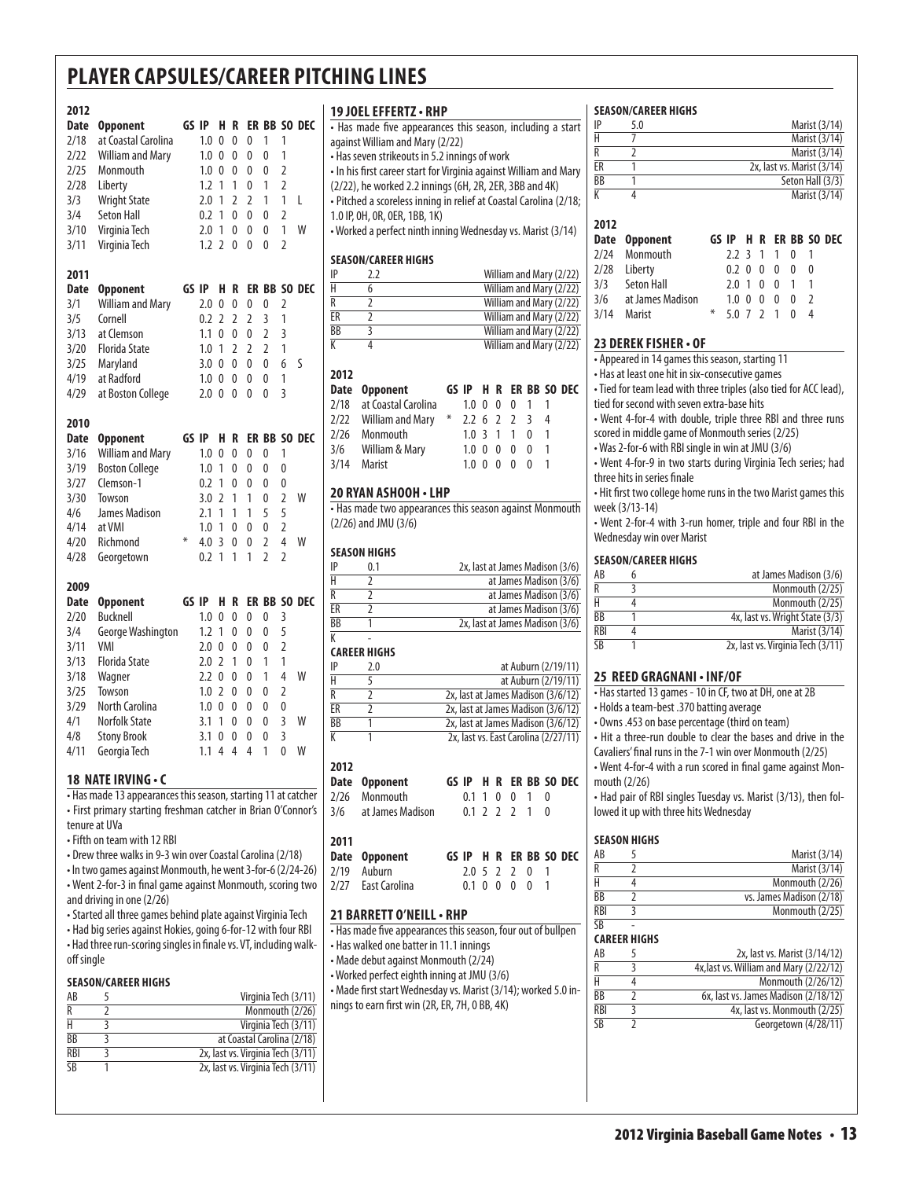# **2012**

| <b>Date</b> | <b>Opponent</b>         | GS    | IP  | н              | R              |                | ER BB          |                | SO DEC |
|-------------|-------------------------|-------|-----|----------------|----------------|----------------|----------------|----------------|--------|
| 2/18        | at Coastal Carolina     |       | 1.0 | 0              | 0              | 0              | 1              | 1              |        |
| 2/22        | <b>William and Mary</b> |       | 1.0 | 0              | 0              | 0              | $\overline{0}$ | 1              |        |
| 2/25        | Monmouth                |       | 1.0 | 0              | 0              | 0              | 0              | $\overline{2}$ |        |
| 2/28        | Liberty                 |       | 1.2 | 1              | 1              | 0              | 1              | $\overline{2}$ |        |
| 3/3         | <b>Wright State</b>     |       | 2.0 | 1              | $\overline{2}$ | $\overline{2}$ | 1              | 1              | L      |
| 3/4         | <b>Seton Hall</b>       |       | 0.2 | 1              | 0              | 0              | 0              | $\overline{2}$ |        |
| 3/10        | Virginia Tech           |       | 2.0 | 1              | 0              | 0              | 0              | 1              | W      |
| 3/11        | Virginia Tech           |       | 1.2 | $\overline{2}$ | 0              | $\mathbf{0}$   | 0              | $\overline{2}$ |        |
| 2011        |                         |       |     |                |                |                |                |                |        |
| <b>Date</b> | <b>Opponent</b>         | GS IP |     | н              | R              |                | ER BB          |                | SO DEC |
| 3/1         | <b>William and Mary</b> |       | 2.0 | 0              | $\overline{0}$ | $\overline{0}$ | $\overline{0}$ | $\overline{2}$ |        |
| 3/5         | Cornell                 |       | 0.2 | $\overline{2}$ | $\overline{2}$ | $\overline{2}$ | 3              | 1              |        |
| 3/13        | at Clemson              |       | 1.1 | 0              | $\overline{0}$ | $\overline{0}$ | $\overline{2}$ | $\overline{3}$ |        |
| 3/20        | <b>Florida State</b>    |       | 1.0 | 1              | 2              | $\overline{2}$ | $\overline{2}$ | 1              |        |
| 3/25        | Maryland                |       | 3.0 | 0              | 0              | 0              | 0              | 6              | S      |
| 4/19        | at Radford              |       | 1.0 | 0              | 0              | 0              | 0              | 1              |        |
| 4/29        | at Boston College       |       | 2.0 | 0              | 0              | 0              | 0              | 3              |        |
| 2010        |                         |       |     |                |                |                |                |                |        |
| <b>Date</b> | <b>Opponent</b>         | GS IP |     | H              | R              |                | ER BB          |                | SO DEC |
| 3/16        | <b>William and Mary</b> |       | 1.0 | 0              | 0              | 0              | 0              | 1              |        |
| 3/19        | <b>Boston College</b>   |       | 1.0 | 1              | 0              | 0              | $\overline{0}$ | 0              |        |
| 3/27        | Clemson-1               |       | 0.2 | 1              | 0              | $\overline{0}$ | 0              | 0              |        |
| 3/30        | Towson                  |       | 3.0 | $\overline{2}$ | 1              | 1              | 0              | $\overline{2}$ | W      |
| 4/6         | James Madison           |       | 2.1 | 1              | 1              | 1              | 5              | 5              |        |
| 4/14        | at VMI                  |       | 1.0 | 1              | 0              | 0              | 0              | $\overline{2}$ |        |
| 4/20        | Richmond                | ⋇     | 4.0 | $\overline{3}$ | 0              | 0              | $\overline{2}$ | $\overline{4}$ | W      |
| 4/28        | Georgetown              |       | 0.2 | 1              | 1              | 1              | $\overline{2}$ | $\overline{2}$ |        |
| 2009        |                         |       |     |                |                |                |                |                |        |
| <b>Date</b> | <b>Opponent</b>         | GS IP |     | H              | R              | ER             | <b>BB</b>      |                | SO DEC |
| 2/20        | Bucknell                |       | 1.0 | 0              | 0              | 0              | 0              | $\overline{3}$ |        |
| 3/4         | George Washington       |       | 1.2 | 1              | 0              | 0              | 0              | 5              |        |
| 3/11        | VMI                     |       | 2.0 | 0              | 0              | 0              | 0              | $\overline{2}$ |        |
| 3/13        | <b>Florida State</b>    |       | 2.0 | $\overline{2}$ | 1              | 0              | 1              | $\overline{1}$ |        |
| 3/18        | Wagner                  |       | 2.2 | 0              | 0              | 0              | 1              | $\overline{4}$ | W      |
| 3/25        | Towson                  |       | 1.0 | 2              | 0              | 0              | 0              | $\overline{2}$ |        |
| 3/29        | <b>North Carolina</b>   |       | 1.0 | 0              | 0              | 0              | 0              | 0              |        |
| 4/1         | <b>Norfolk State</b>    |       | 3.1 | 1              | 0              | 0              | 0              | 3              | W      |
| 4/8         | <b>Stony Brook</b>      |       | 3.1 | 0              | 0              | 0              | 0              | 3              |        |
| 4/11        | Georgia Tech            |       | 1.1 | 4              | 4              | 4              | 1              | $\overline{0}$ | W      |

#### **18 nateirving • c**

• Has made 13 appearances this season, starting 11 at catcher • First primary starting freshman catcher in Brian O'Connor's tenure at UVa

• Fifth on team with 12 RBI

• Drew three walks in 9-3 win over Coastal Carolina (2/18) • In two games against Monmouth, he went 3-for-6 (2/24-26) • Went 2-for-3 in final game against Monmouth, scoring two

and driving in one (2/26) • Started all three games behind plate against Virginia Tech • Had big series against Hokies, going 6-for-12 with four RBI

• Had three run-scoring singles in finale vs. VT, including walkoff single

#### **Season/career Highs**

| AB         | Virginia Tech (3/11)              |
|------------|-----------------------------------|
| R          | Monmouth (2/26)                   |
|            | Virginia Tech (3/11)              |
| BB         | at Coastal Carolina (2/18)        |
| <b>RBI</b> | 2x, last vs. Virginia Tech (3/11) |
| <b>SR</b>  | 2x, last vs. Virginia Tech (3/11) |
|            |                                   |

#### **19 Joel Effertz• RHP**

| 17 JVLL LFFLNI4 * NNF                                      |                                                |                                                      |       |                                   |              |                |                |                                                                                                                                                                                                                                                                                                                                                                                                                                                    |  |
|------------------------------------------------------------|------------------------------------------------|------------------------------------------------------|-------|-----------------------------------|--------------|----------------|----------------|----------------------------------------------------------------------------------------------------------------------------------------------------------------------------------------------------------------------------------------------------------------------------------------------------------------------------------------------------------------------------------------------------------------------------------------------------|--|
| • Has made five appearances this season, including a start |                                                |                                                      |       |                                   |              |                |                |                                                                                                                                                                                                                                                                                                                                                                                                                                                    |  |
| against William and Mary (2/22)                            |                                                |                                                      |       |                                   |              |                |                |                                                                                                                                                                                                                                                                                                                                                                                                                                                    |  |
| • Has seven strikeouts in 5.2 innings of work              |                                                |                                                      |       |                                   |              |                |                |                                                                                                                                                                                                                                                                                                                                                                                                                                                    |  |
|                                                            |                                                |                                                      |       |                                   |              |                |                |                                                                                                                                                                                                                                                                                                                                                                                                                                                    |  |
|                                                            |                                                |                                                      |       |                                   |              |                |                |                                                                                                                                                                                                                                                                                                                                                                                                                                                    |  |
|                                                            |                                                |                                                      |       |                                   |              |                |                |                                                                                                                                                                                                                                                                                                                                                                                                                                                    |  |
|                                                            |                                                |                                                      |       |                                   |              |                |                |                                                                                                                                                                                                                                                                                                                                                                                                                                                    |  |
|                                                            |                                                |                                                      |       |                                   |              |                |                |                                                                                                                                                                                                                                                                                                                                                                                                                                                    |  |
|                                                            |                                                |                                                      |       |                                   |              |                |                |                                                                                                                                                                                                                                                                                                                                                                                                                                                    |  |
|                                                            |                                                |                                                      |       |                                   |              |                |                |                                                                                                                                                                                                                                                                                                                                                                                                                                                    |  |
| 2.2                                                        |                                                |                                                      |       |                                   |              |                |                |                                                                                                                                                                                                                                                                                                                                                                                                                                                    |  |
| 6                                                          |                                                |                                                      |       |                                   |              |                |                |                                                                                                                                                                                                                                                                                                                                                                                                                                                    |  |
| $\overline{2}$                                             |                                                |                                                      |       |                                   |              |                |                |                                                                                                                                                                                                                                                                                                                                                                                                                                                    |  |
| $\overline{2}$                                             |                                                |                                                      |       |                                   |              |                |                |                                                                                                                                                                                                                                                                                                                                                                                                                                                    |  |
| 3                                                          |                                                |                                                      |       |                                   |              |                |                |                                                                                                                                                                                                                                                                                                                                                                                                                                                    |  |
| 4                                                          |                                                |                                                      |       |                                   |              |                |                |                                                                                                                                                                                                                                                                                                                                                                                                                                                    |  |
|                                                            |                                                |                                                      |       |                                   |              |                |                |                                                                                                                                                                                                                                                                                                                                                                                                                                                    |  |
|                                                            |                                                |                                                      |       |                                   |              |                |                |                                                                                                                                                                                                                                                                                                                                                                                                                                                    |  |
| Opponent                                                   |                                                |                                                      | н     | R                                 |              |                |                |                                                                                                                                                                                                                                                                                                                                                                                                                                                    |  |
|                                                            |                                                | 1.0                                                  | 0     | 0                                 | 0            | 1              | 1              |                                                                                                                                                                                                                                                                                                                                                                                                                                                    |  |
|                                                            | ⋇                                              |                                                      | 6     | $\mathcal{L}$                     |              | $\overline{3}$ | 4              |                                                                                                                                                                                                                                                                                                                                                                                                                                                    |  |
| Monmouth                                                   |                                                |                                                      |       | $\mathbf{1}$                      | $\mathbf{1}$ | 0              | 1              |                                                                                                                                                                                                                                                                                                                                                                                                                                                    |  |
| William & Mary                                             |                                                | 1.0                                                  | 0     | 0                                 | 0            | 0              | 1              |                                                                                                                                                                                                                                                                                                                                                                                                                                                    |  |
|                                                            | <b>SEASON/CAREER HIGHS</b><br>William and Mary | 1.0 IP, OH, OR, OER, 1BB, 1K)<br>at Coastal Carolina | GS IP | $2.2^{\circ}$<br>1.0 <sup>3</sup> |              |                | $\overline{2}$ | • In his first career start for Virginia against William and Mary<br>(2/22), he worked 2.2 innings (6H, 2R, 2ER, 3BB and 4K)<br>· Pitched a scoreless inning in relief at Coastal Carolina (2/18;<br>• Worked a perfect ninth inning Wednesday vs. Marist (3/14)<br>William and Mary (2/22)<br>William and Mary (2/22)<br>William and Mary (2/22)<br>William and Mary (2/22)<br>William and Mary (2/22)<br>William and Mary (2/22)<br>ER BB SO DEC |  |

#### **20 Ryan Ashooh • LHP**

• Has made two appearances this season against Monmouth (2/26) and JMU (3/6)

3/14 Marist 1.0 0 0 0 0 1

#### **Season Highs**

| IP | 0.1 | 2x, last at James Madison (3/6) |
|----|-----|---------------------------------|
| Н  |     | at James Madison (3/6)          |
| R  |     | at James Madison (3/6)          |
| ER |     | at James Madison (3/6)          |
| ВB |     | 2x, last at James Madison (3/6) |
|    |     |                                 |

#### K - **Career Highs**

| IP | 2.0 | at Auburn (2/19/11)                  |
|----|-----|--------------------------------------|
| Н  |     | at Auburn (2/19/11)                  |
| R  |     | 2x, last at James Madison (3/6/12)   |
| ER |     | 2x, last at James Madison (3/6/12)   |
| ВB |     | 2x, last at James Madison (3/6/12)   |
| K  |     | 2x, last vs. East Carolina (2/27/11) |

#### **2012**

| Date Opponent        |               |  |               |  | GS IP H R ER BB SO DEC |
|----------------------|---------------|--|---------------|--|------------------------|
| 2/26 Monmouth        | 0.1 1 0 0 1 0 |  |               |  |                        |
| 3/6 at James Madison |               |  | 0.1 2 2 2 1 0 |  |                        |

## **2011**

| Date Opponent      |               |  |  | GS IP H R ER BB SO DEC |
|--------------------|---------------|--|--|------------------------|
| 2/19 Auburn        | 2.0 5 2 2 0 1 |  |  |                        |
| 2/27 East Carolina | 0.1 0 0 0 0   |  |  |                        |

#### **21 Barrett o'neill• RHP**

• Has made five appearances this season, four out of bullpen

• Has walked one batter in 11.1 innings

• Made debut against Monmouth (2/24)

• Worked perfect eighth inning at JMU (3/6) • Made first start Wednesday vs. Marist (3/14); worked 5.0 innings to earn first win (2R, ER, 7H, 0 BB, 4K)

#### **Season/career Highs**

|                 | 5.0 | Marist (3/14)              |
|-----------------|-----|----------------------------|
|                 |     | Marist (3/14)              |
|                 |     | Marist (3/14)              |
| ER              |     | 2x, last vs. Marist (3/14) |
| $\overline{BB}$ |     | Seton Hall (3/3)           |
|                 |     | Marist (3/14)              |
|                 |     |                            |

| 2012 |                      |   |                           |  |  |                        |  |
|------|----------------------|---|---------------------------|--|--|------------------------|--|
|      | Date Opponent        |   |                           |  |  | GS IP H R ER BB SO DEC |  |
|      | 2/24 Monmouth        |   | 2.2 3 1 1 0 1             |  |  |                        |  |
|      | 2/28 Liberty         |   | 0.2 0 0 0 0 0             |  |  |                        |  |
|      | 3/3 Seton Hall       |   | 2.0 1 0 0 1 1             |  |  |                        |  |
|      | 3/6 at James Madison |   | $1.0 \t0 \t0 \t0 \t0 \t2$ |  |  |                        |  |
|      | 3/14 Marist          | ⋇ | 5.0 7 2 1 0 4             |  |  |                        |  |

#### **23 Derek fisher • of**

• Appeared in 14 games this season, starting 11

• Has at least one hit in six-consecutive games

• Tied for team lead with three triples (also tied for ACC lead), tied for second with seven extra-base hits

• Went 4-for-4 with double, triple three RBI and three runs scored in middle game of Monmouth series (2/25)

• Was 2-for-6 with RBI single in win at JMU (3/6)

• Went 4-for-9 in two starts during Virginia Tech series; had three hits in series finale

• Hit first two college home runs in the two Marist games this week (3/13-14)

• Went 2-for-4 with 3-run homer, triple and four RBI in the Wednesday win over Marist

#### **Season/career Highs**

| AB         | at James Madison (3/6)            |
|------------|-----------------------------------|
| R          | Monmouth (2/25)                   |
| н          | Monmouth (2/25)                   |
| BB         | 4x, last vs. Wright State (3/3)   |
| <b>RBI</b> | Marist (3/14)                     |
| ςR         | 2x, last vs. Virginia Tech (3/11) |

#### **25 Reed Gragnani • INF/OF**

• Has started 13 games - 10 in CF, two at DH, one at 2B

• Holds a team-best .370 batting average

• Owns .453 on base percentage (third on team)

• Hit a three-run double to clear the bases and drive in the Cavaliers' final runs in the 7-1 win over Monmouth (2/25)

• Went 4-for-4 with a run scored in final game against Monmouth (2/26)

• Had pair of RBI singles Tuesday vs. Marist (3/13), then followed it up with three hits Wednesday

#### **Season Highs**

| AB                                           | Marist (3/14)              |
|----------------------------------------------|----------------------------|
|                                              | Marist $(3/\overline{14})$ |
|                                              | Monmouth (2/26)            |
| <b>BB</b>                                    | vs. James Madison (2/18)   |
| <b>RBI</b>                                   | Monmouth (2/25)            |
| $\overline{\overline{\mathsf{S}}\mathsf{R}}$ |                            |

#### **Career Highs**

| AB         | 2x, last vs. Marist (3/14/12)           |
|------------|-----------------------------------------|
| R          | 4x, last vs. William and Mary (2/22/12) |
| Н          | Monmouth (2/26/12)                      |
| BB         | 6x, last vs. James Madison (2/18/12)    |
| <b>RBI</b> | 4x, last vs. Monmouth (2/25)            |
| SB         | Georgetown (4/28/11)                    |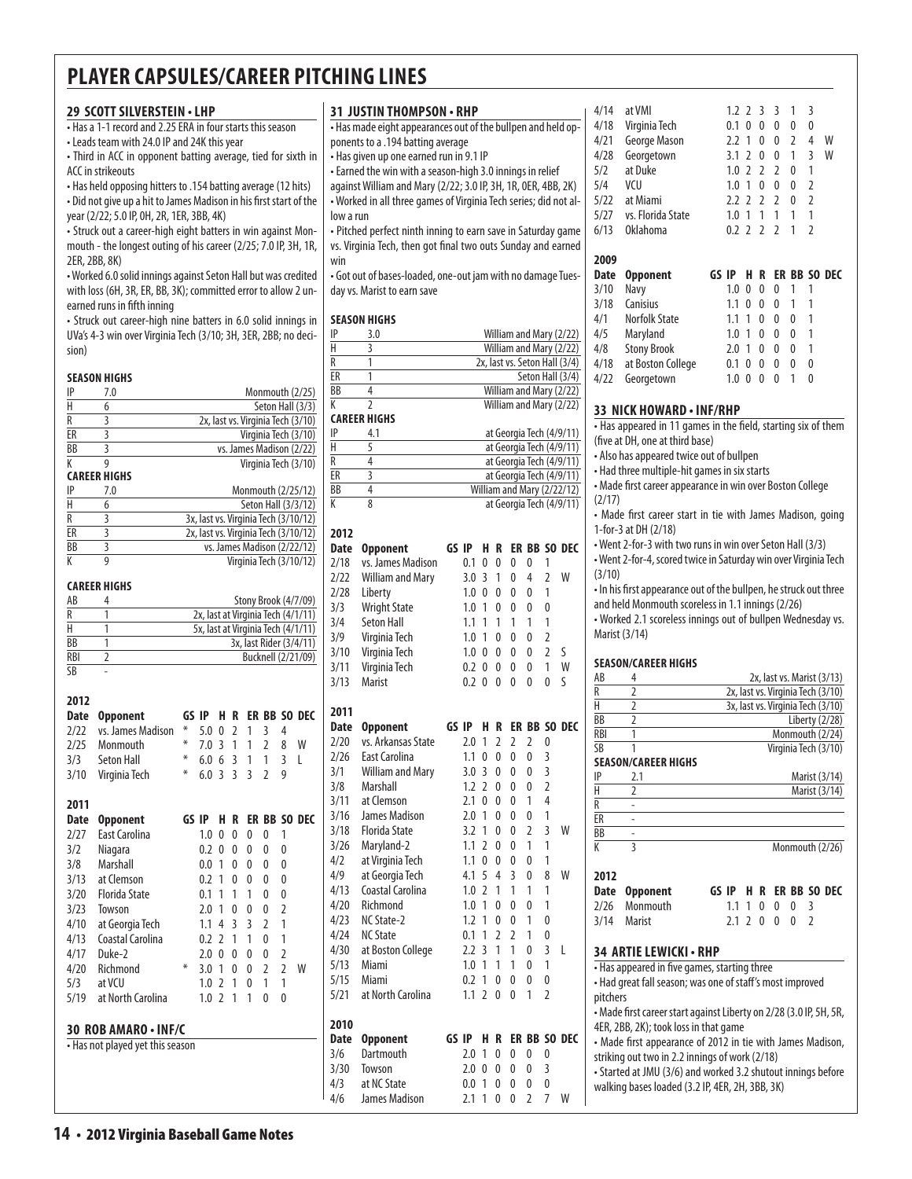#### **29 scott silverstein • LHP**

• Has a 1-1 record and 2.25 ERA in four starts this season

• Leads team with 24.0 IP and 24K this year

• Third in ACC in opponent batting average, tied for sixth in ACC in strikeouts

• Has held opposing hitters to .154 batting average (12 hits) • Did not give up a hit to James Madison in his first start of the year (2/22; 5.0 IP, 0H, 2R, 1ER, 3BB, 4K)

• Struck out a career-high eight batters in win against Monmouth - the longest outing of his career (2/25; 7.0 IP, 3H, 1R, 2ER, 2BB, 8K)

• Worked 6.0 solid innings against Seton Hall but was credited with loss (6H, 3R, ER, BB, 3K); committed error to allow 2 unearned runs in fifth inning

• Struck out career-high nine batters in 6.0 solid innings in UVa's 4-3 win over Virginia Tech (3/10; 3H, 3ER, 2BB; no decision)

#### **season Highs**

| IP        | 7.0                 | Monmouth (2/25)                      |
|-----------|---------------------|--------------------------------------|
| Н         | 6                   | Seton Hall (3/3)                     |
| R         | 3                   | 2x, last vs. Virginia Tech (3/10)    |
| ER        | ξ                   | Virginia Tech (3/10)                 |
| <b>BB</b> | 3                   | vs. James Madison (2/22)             |
| К         | g                   | Virginia Tech (3/10)                 |
|           | <b>CAREER HIGHS</b> |                                      |
| ΙP        | 7.0                 | Monmouth (2/25/12)                   |
| Н         | 6                   | Seton Hall (3/3/12)                  |
| R         | 3                   | 3x, last vs. Virginia Tech (3/10/12) |
| ER        | ξ                   | 2x, last vs. Virginia Tech (3/10/12) |
| BB        | 3                   | vs. James Madison (2/22/12)          |
|           | g                   | Virginia Tech (3/10/12)              |

#### **career Highs**

**2012**

| AB         | Stony Brook (4/7/09)               |
|------------|------------------------------------|
|            | 2x, last at Virginia Tech (4/1/11) |
|            | 5x, last at Virginia Tech (4/1/11) |
| <b>BB</b>  | 3x, last Rider (3/4/11)            |
| <b>RBI</b> | Bucknell (2/21/09)                 |
| ۲R         |                                    |

| ZUIZ                                                     |                      |        |       |                          |                |                |                |                |              |
|----------------------------------------------------------|----------------------|--------|-------|--------------------------|----------------|----------------|----------------|----------------|--------------|
| <b>Date</b>                                              | <b>Opponent</b>      |        | GS IP | н                        | R              |                |                |                | ER BB SO DEC |
| 2/22                                                     | vs. James Madison    | ⋇      | 5.0   | 0                        | $\overline{2}$ | 1              | 3              | 4              |              |
| 2/25                                                     | Monmouth             | ⋇      | 7.0   | 3                        | $\mathbf{1}$   | 1              | 2              | 8              | W            |
| 3/3                                                      | Seton Hall           | ⋇      | 6.0   | 6                        | 3              | 1              | 1              | 3              | L            |
| 3/10                                                     | Virginia Tech        | ⋇      | 6.0   | $\overline{3}$           | 3              | $\overline{3}$ | $\overline{2}$ | 9              |              |
| 2011                                                     |                      |        |       |                          |                |                |                |                |              |
| <b>Date</b>                                              | <b>Opponent</b>      |        | GS IP | н                        | R              |                |                |                | ER BB SO DEC |
| 2/27                                                     | East Carolina        |        | 1.0   | 0                        | 0              | 0              | 0              | 1              |              |
| 3/2                                                      | Niagara              |        | 0.2   | 0                        | 0              | 0              | 0              | 0              |              |
| 3/8                                                      | Marshall             |        | 0.0   | 1                        | $\Omega$       | $\Omega$       | 0              | 0              |              |
| 3/13                                                     | at Clemson           |        | 0.2   | 1                        | 0              | 0              | 0              | 0              |              |
| 3/20                                                     | <b>Florida State</b> |        | 0.1   | 1                        | 1              | 1              | 0              | 0              |              |
| 3/23                                                     | Towson               |        | 2.0   | 1                        | 0              | 0              | 0              | $\overline{2}$ |              |
| 4/10                                                     | at Georgia Tech      |        | 1.1   | 4                        | 3              | 3              | 2              | $\mathbf{1}$   |              |
| 4/13                                                     | Coastal Carolina     |        | 0.2   | $\mathfrak z$            | 1              | 1              | 0              | 1              |              |
| 4/17                                                     | Duke-2               |        | 2.0   | $\Omega$                 | 0              | $\theta$       | 0              | 2              |              |
| 4/20                                                     | Richmond             | $\ast$ | 3.0   | 1                        | 0              | 0              | $\overline{2}$ | $\overline{2}$ | W            |
| 5/3                                                      | at VCU               |        | 1.0   | $\mathfrak z$            | 1              | 0              | 1              | $\overline{1}$ |              |
| 5/19                                                     | at North Carolina    |        | 1.0   | $\overline{\phantom{0}}$ | 1              | 1              | 0              | 0              |              |
| 30 ROB AMARO · INF/C<br>• Has not played yet this season |                      |        |       |                          |                |                |                |                |              |
|                                                          |                      |        |       |                          |                |                |                |                |              |
|                                                          |                      |        |       |                          |                |                |                |                |              |
|                                                          |                      |        |       |                          |                |                |                |                |              |

|                    | <b>31 JUSTIN THOMPSON • RHP</b>                                  |       |            |                |                |                |        |                |                                                    |
|--------------------|------------------------------------------------------------------|-------|------------|----------------|----------------|----------------|--------|----------------|----------------------------------------------------|
|                    | . Has made eight appearances out of the bullpen and held op-     |       |            |                |                |                |        |                |                                                    |
|                    | ponents to a .194 batting average                                |       |            |                |                |                |        |                |                                                    |
|                    | • Has given up one earned run in 9.1 IP                          |       |            |                |                |                |        |                |                                                    |
|                    | • Earned the win with a season-high 3.0 innings in relief        |       |            |                |                |                |        |                |                                                    |
|                    | against William and Mary (2/22; 3.0 IP, 3H, 1R, 0ER, 4BB, 2K)    |       |            |                |                |                |        |                |                                                    |
|                    | - Worked in all three games of Virginia Tech series; did not al- |       |            |                |                |                |        |                |                                                    |
| low a run          |                                                                  |       |            |                |                |                |        |                |                                                    |
|                    | • Pitched perfect ninth inning to earn save in Saturday game     |       |            |                |                |                |        |                |                                                    |
|                    | vs. Virginia Tech, then got final two outs Sunday and earned     |       |            |                |                |                |        |                |                                                    |
| win                |                                                                  |       |            |                |                |                |        |                |                                                    |
|                    | . Got out of bases-loaded, one-out jam with no damage Tues-      |       |            |                |                |                |        |                |                                                    |
|                    | day vs. Marist to earn save                                      |       |            |                |                |                |        |                |                                                    |
|                    |                                                                  |       |            |                |                |                |        |                |                                                    |
|                    | <b>SEASON HIGHS</b>                                              |       |            |                |                |                |        |                |                                                    |
| IP                 | 3.0                                                              |       |            |                |                |                |        |                | William and Mary (2/22)                            |
| н                  | 3                                                                |       |            |                |                |                |        |                | William and Mary (2/22)                            |
| R                  | 1                                                                |       |            |                |                |                |        |                | 2x, last vs. Seton Hall (3/4)                      |
| ER                 | 1                                                                |       |            |                |                |                |        |                | Seton Hall (3/4)                                   |
| ВB<br>K            | 4<br>2                                                           |       |            |                |                |                |        |                | William and Mary (2/22)<br>William and Mary (2/22) |
|                    | <b>CAREER HIGHS</b>                                              |       |            |                |                |                |        |                |                                                    |
| IP                 | 4.1                                                              |       |            |                |                |                |        |                | at Georgia Tech (4/9/11)                           |
| Н                  | 5                                                                |       |            |                |                |                |        |                | at Georgia Tech (4/9/11)                           |
| R                  | 4                                                                |       |            |                |                |                |        |                | at Georgia Tech (4/9/11)                           |
| ER                 | 3                                                                |       |            |                |                |                |        |                | at Georgia Tech (4/9/11)                           |
| ВB                 | 4                                                                |       |            |                |                |                |        |                | William and Mary (2/22/12)                         |
| K                  | 8                                                                |       |            |                |                |                |        |                | at Georgia Tech (4/9/11)                           |
|                    |                                                                  |       |            |                |                |                |        |                |                                                    |
| 2012               |                                                                  | GS IP |            | Н              | R              |                |        |                | ER BB SO DEC                                       |
| <b>Date</b>        | <b>Opponent</b>                                                  |       |            |                |                |                |        |                |                                                    |
| 2/18               | vs. James Madison                                                |       | 0.1        | 0              | 0              | 0              | 0      | 1              |                                                    |
| 2/22               | <b>William and Mary</b>                                          |       | 3.0        | 3              | 1              | 0              | 4      | 2              | W                                                  |
| 2/28               | Liberty                                                          |       | 1.0        | 0              | 0              | 0              | 0      | 1              |                                                    |
| 3/3                | <b>Wright State</b>                                              |       | 1.0        | 1              | 0              | 0              | 0      | 0              |                                                    |
| 3/4                | <b>Seton Hall</b>                                                |       | 1.1        | 1              | 1              | 1              | 1      | 1              |                                                    |
| 3/9                | Virginia Tech                                                    |       | 1.0        | 1              | 0              | 0              | 0      | $\overline{2}$ |                                                    |
| 3/10               | Virginia Tech                                                    |       | 1.0        | 0              | 0              | 0              | 0      | $\overline{2}$ | ς                                                  |
| 3/11               | Virginia Tech                                                    |       | 0.2        | 0              | 0              | 0              | 0      | 1              | W                                                  |
| 3/13               | Marist                                                           |       | 0.2        | 0              | 0              | 0              | 0      | 0              | S                                                  |
| 2011               |                                                                  |       |            |                |                |                |        |                |                                                    |
| Date               | Opponent                                                         | GS IP |            | Н              | R              |                |        |                | ER BB SO DEC                                       |
| 2/20               | vs. Arkansas State                                               |       | 2.0        | 1              | $\overline{2}$ | $\overline{2}$ | 2      | 0              |                                                    |
| 2/26               | East Carolina                                                    |       | 1.1        | 0              | 0              | 0              | 0      | 3              |                                                    |
| 3/1                | <b>William and Mary</b>                                          |       | 3.0        | 3              | 0              | 0              | 0      | 3              |                                                    |
| 3/8                | Marshall                                                         |       | 1.2        | $\overline{2}$ | 0              | 0              | 0      | $\overline{2}$ |                                                    |
| 3/11               | at Clemson                                                       |       | 2.1        | 0              | 0              | 0              | 1      | $\overline{4}$ |                                                    |
| 3/16               | James Madison                                                    |       | 2.0        | 1              | 0              | 0              | 0      | 1              |                                                    |
| 3/18               | <b>Florida State</b>                                             |       | 3.2        | 1              | 0              | 0              | 2      | 3              | W                                                  |
| 3/26               | Maryland-2                                                       |       | 1.1        | 2              | 0              | 0              | 1      | 1              |                                                    |
| 4/2                | at Virginia Tech                                                 |       | 1.1        | 0              | 0              | 0              | 0      | 1              |                                                    |
| 4/9                | at Georgia Tech                                                  |       | 4.1        | 5              | 4              | 3              | 0      | 8              | W                                                  |
| 4/13               | Coastal Carolina                                                 |       | 1.0        | $\overline{2}$ | 1              | 1              | 1      | 1              |                                                    |
| 4/20               | Richmond                                                         |       | 1.0        | 1              | 0              | 0              | 0      | 1              |                                                    |
| 4/23               | NC State-2                                                       |       | 1.2        | 1              | 0              | 0              | 1      | 0              |                                                    |
| 4/24               | <b>NC State</b>                                                  |       | 0.1        | 1              | 2              | 2              | 1      | 0              |                                                    |
| 4/30               | at Boston College                                                |       | 2.2        | 3              | 1              | 1              | 0      | 3              | L                                                  |
| 5/13               | Miami                                                            |       | $1.0\,$    | 1              | 1              | 1              | 0      | 1              |                                                    |
| 5/15               | Miami                                                            |       | 0.2        | 1              | 0              | 0              | 0      | 0              |                                                    |
| 5/21               | at North Carolina                                                |       | 1.1        | $\overline{2}$ | 0              | 0              | 1      | 2              |                                                    |
|                    |                                                                  |       |            |                |                |                |        |                |                                                    |
| 2010               |                                                                  |       |            |                |                |                |        |                |                                                    |
| <b>Date</b>        | <b>Opponent</b>                                                  |       | GS IP      | H              | R              |                |        |                | ER BB SO DEC                                       |
| 3/6                | Dartmouth                                                        |       | 2.0        | 1              | 0              | 0              | 0      | 0              |                                                    |
|                    |                                                                  |       | 2.0        | 0              | 0              | 0              | 0      | 3              |                                                    |
|                    | Towson                                                           |       |            |                |                |                |        |                |                                                    |
| 3/30<br>4/3<br>4/6 | at NC State<br>James Madison                                     |       | 0.0<br>2.1 | 1<br>1         | 0<br>0         | 0<br>0         | 0<br>2 | 0<br>7         | W                                                  |

| 4/14<br>4/18<br>4/21<br>4/28<br>5/2<br>5/4<br>5/22<br>5/27<br>6/13 | at VMI<br>Virginia Tech<br>George Mason<br>Georgetown<br>at Duke<br>VCU<br>at Miami<br>vs. Florida State<br><b>Oklahoma</b> |    | 1.2.2<br>0.1<br>2.2<br>3.1<br>1.0<br>1.0<br>2.2<br>1.0<br>0.2 | 0<br>1<br>2<br>2<br>1<br>2<br>1<br>$\overline{z}$ | 3<br>0<br>0<br>0<br>$\overline{2}$<br>0<br>$\mathfrak z$<br>1<br>$\mathfrak z$ | 3<br>0<br>0<br>0<br>2<br>0<br>$\mathfrak z$<br>1<br>$\mathfrak z$ | 1<br>0<br>$\overline{2}$<br>1<br>0<br>0<br>0<br>1<br>1 | 3<br>0<br>4<br>3<br>1<br>$\overline{2}$<br>$\overline{2}$<br>1<br>$\overline{2}$ | W<br>W           |
|--------------------------------------------------------------------|-----------------------------------------------------------------------------------------------------------------------------|----|---------------------------------------------------------------|---------------------------------------------------|--------------------------------------------------------------------------------|-------------------------------------------------------------------|--------------------------------------------------------|----------------------------------------------------------------------------------|------------------|
| 2009<br>Date<br>3/10<br>3/18<br>4/1<br>4/5<br>4/8<br>4/18<br>4/22  | <b>Opponent</b><br>Navy<br>Canisius<br>Norfolk State<br>Maryland<br><b>Stony Brook</b><br>at Boston College<br>Georgetown   | GS | IP<br>1.0<br>1.1<br>1.1<br>1.0<br>2.0<br>0.1<br>1.0           | н<br>0<br>0<br>1<br>1<br>1<br>0<br>0              | R<br>0<br>0<br>0<br>0<br>0<br>0<br>0                                           | ER<br>0<br>0<br>0<br>0<br>0<br>0<br>0                             | 1<br>1<br>0<br>0<br>0<br>0<br>1                        | 1<br>1<br>1<br>1<br>1<br>0<br>0                                                  | <b>BB SO DEC</b> |

#### **33 nick howard • inf/rhp**

|            | • Has appeared in 11 games in the field, starting six of them                            |       |                |          |   |              |                |                                                                 |
|------------|------------------------------------------------------------------------------------------|-------|----------------|----------|---|--------------|----------------|-----------------------------------------------------------------|
|            | (five at DH, one at third base)                                                          |       |                |          |   |              |                |                                                                 |
|            | • Also has appeared twice out of bullpen<br>· Had three multiple-hit games in six starts |       |                |          |   |              |                |                                                                 |
|            | · Made first career appearance in win over Boston College                                |       |                |          |   |              |                |                                                                 |
| (2/17)     |                                                                                          |       |                |          |   |              |                |                                                                 |
|            | • Made first career start in tie with James Madison, going                               |       |                |          |   |              |                |                                                                 |
|            | 1-for-3 at DH (2/18)                                                                     |       |                |          |   |              |                |                                                                 |
|            | • Went 2-for-3 with two runs in win over Seton Hall (3/3)                                |       |                |          |   |              |                |                                                                 |
| (3/10)     | · Went 2-for-4, scored twice in Saturday win over Virginia Tech                          |       |                |          |   |              |                |                                                                 |
|            | . In his first appearance out of the bullpen, he struck out three                        |       |                |          |   |              |                |                                                                 |
|            | and held Monmouth scoreless in 1.1 innings (2/26)                                        |       |                |          |   |              |                |                                                                 |
|            | . Worked 2.1 scoreless innings out of bullpen Wednesday vs.                              |       |                |          |   |              |                |                                                                 |
|            | Marist (3/14)                                                                            |       |                |          |   |              |                |                                                                 |
|            |                                                                                          |       |                |          |   |              |                |                                                                 |
|            | <b>SEASON/CAREER HIGHS</b>                                                               |       |                |          |   |              |                |                                                                 |
| AB<br>R    | 4<br>$\overline{2}$                                                                      |       |                |          |   |              |                | 2x, last vs. Marist (3/13)<br>2x, last vs. Virginia Tech (3/10) |
| Н          | $\overline{2}$                                                                           |       |                |          |   |              |                | 3x, last vs. Virginia Tech (3/10)                               |
| <b>BB</b>  | $\overline{2}$                                                                           |       |                |          |   |              |                | Liberty (2/28)                                                  |
| <b>RBI</b> | 1                                                                                        |       |                |          |   |              |                | Monmouth (2/24)                                                 |
| <b>SB</b>  | 1                                                                                        |       |                |          |   |              |                | Virginia Tech (3/10)                                            |
|            | <b>SEASON/CAREER HIGHS</b>                                                               |       |                |          |   |              |                |                                                                 |
| IP         | 2.1                                                                                      |       |                |          |   |              |                | Marist (3/14)                                                   |
| Н          | 2                                                                                        |       |                |          |   |              |                | Marist (3/14)                                                   |
| R          | $\overline{a}$                                                                           |       |                |          |   |              |                |                                                                 |
| ER         | ÷,                                                                                       |       |                |          |   |              |                |                                                                 |
| <b>BB</b>  | i.                                                                                       |       |                |          |   |              |                |                                                                 |
| К          | 3                                                                                        |       |                |          |   |              |                | Monmouth (2/26)                                                 |
| 2012       |                                                                                          |       |                |          |   |              |                |                                                                 |
| Date       | <b>Opponent</b>                                                                          | GS IP | H.             | R        |   |              |                | <b>ER BB SO DEC</b>                                             |
| 2/26       | Monmouth                                                                                 | 1.1   | 1              | 0        | 0 | 0            | 3              |                                                                 |
| 3/14       | Marist                                                                                   | 2.1   | $\overline{2}$ | $\theta$ | 0 | $\mathbf{0}$ | $\overline{2}$ |                                                                 |
|            |                                                                                          |       |                |          |   |              |                |                                                                 |
|            | 34 ARTIE LEWICKI · RHP                                                                   |       |                |          |   |              |                |                                                                 |
|            | . Has appeared in five games, starting three                                             |       |                |          |   |              |                |                                                                 |
|            | · Had great fall season; was one of staff's most improved                                |       |                |          |   |              |                |                                                                 |
| pitchers   |                                                                                          |       |                |          |   |              |                |                                                                 |
|            | · Made first career start against Liberty on 2/28 (3.0 IP, 5H, 5R,                       |       |                |          |   |              |                |                                                                 |
|            | 4ER, 2BB, 2K); took loss in that game                                                    |       |                |          |   |              |                |                                                                 |
|            | • Made first appearance of 2012 in tie with James Madison,                               |       |                |          |   |              |                |                                                                 |
|            | striking out two in 2.2 innings of work (2/18)                                           |       |                |          |   |              |                |                                                                 |
|            | · Started at JMU (3/6) and worked 3.2 shutout innings before                             |       |                |          |   |              |                |                                                                 |
|            | walking bases loaded (3.2 IP, 4ER, 2H, 3BB, 3K)                                          |       |                |          |   |              |                |                                                                 |
|            |                                                                                          |       |                |          |   |              |                |                                                                 |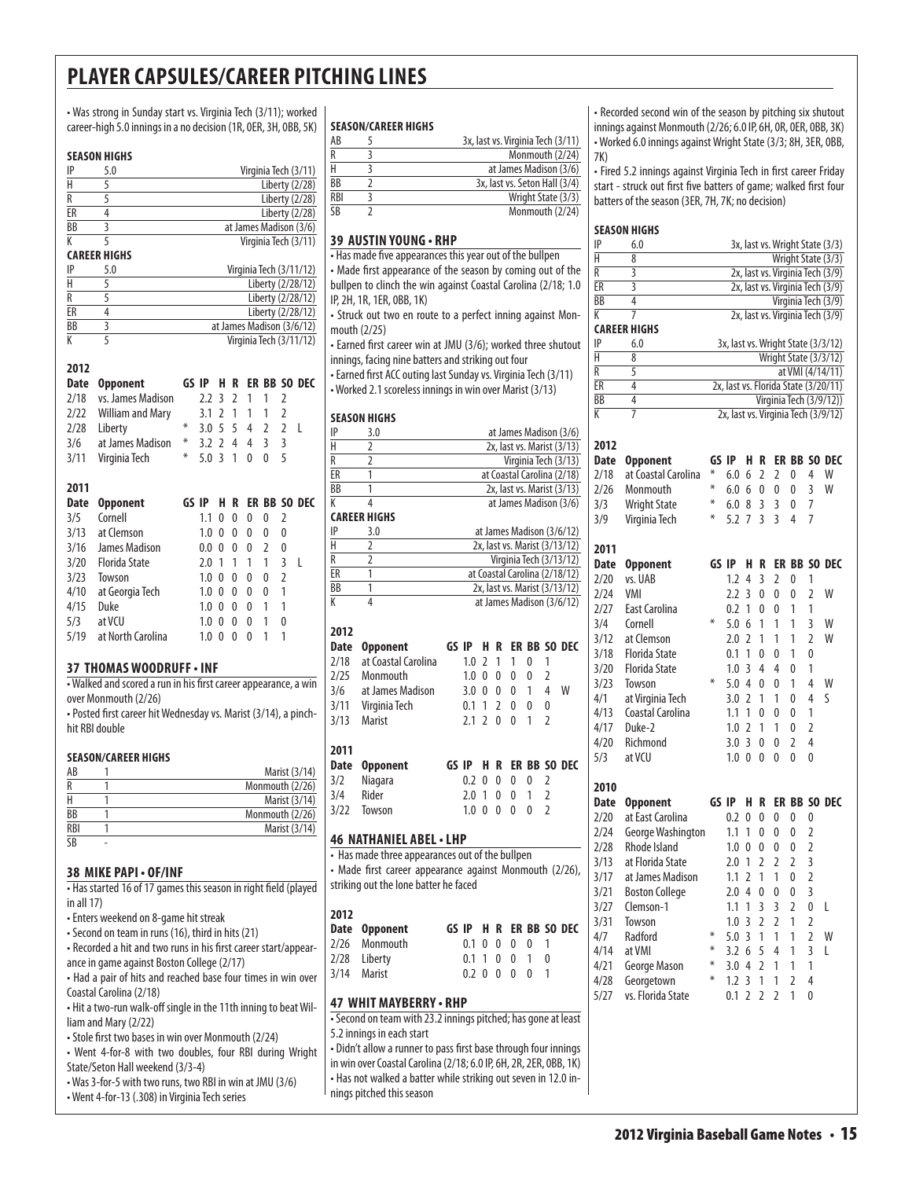• Was strong in Sunday start vs. Virginia Tech (3/11); worked career-high 5.0 innings in a no decision (1R, 0ER, 3H, 0BB, 5K)

#### **season Highs**

| IP              | 5.0                 | Virginia Tech (3/11)   |
|-----------------|---------------------|------------------------|
| Н               |                     | Liberty (2/28)         |
| R               |                     | Liberty (2/28)         |
| ER              |                     | Liberty (2/28)         |
| $\overline{BB}$ |                     | at James Madison (3/6) |
|                 |                     | Virginia Tech (3/11)   |
|                 | <b>CAREER HIGHS</b> |                        |

| IP | 5.0 | Virginia Tech (3/11/12)   |
|----|-----|---------------------------|
| H  |     | Liberty (2/28/12)         |
| R  |     | Liberty (2/28/12)         |
| FR |     | Liberty (2/28/12)         |
| BB |     | at James Madison (3/6/12) |
|    |     | Virginia Tech (3/11/12)   |

#### **2012**

| Date | <b>Opponent</b>         | GS IP |     | н              | R             |   |                |                | ER BB SO DEC |
|------|-------------------------|-------|-----|----------------|---------------|---|----------------|----------------|--------------|
| 2/18 | vs. James Madison       |       | 2.2 | 3              | $\mathfrak z$ | 1 | 1              | 2              |              |
| 2/22 | <b>William and Mary</b> |       | 3.1 | 2              | 1             | 1 | 1              | 2              |              |
| 2/28 | Liberty                 | $*$   | 3.0 | -5             | 5             | 4 | $\overline{2}$ | $\overline{2}$ | L            |
| 3/6  | at James Madison        | ⋇     | 3.2 | 2              | 4             | 4 | 3              | 3              |              |
| 3/11 | Virginia Tech           | ⋇     | 5.0 | $\overline{3}$ | 1             | 0 | 0              | 5              |              |
|      |                         |       |     |                |               |   |                |                |              |
| 2011 |                         |       |     |                |               |   |                |                |              |
| Date | <b>Opponent</b>         | GS IP |     | н              | R             |   |                |                | ER BB SO DEC |
| 3/5  | Cornell                 |       | 1.1 | 0              | 0             | 0 | 0              | 2              |              |
| 3/13 | at Clemson              |       | 1.0 | 0              | 0             | 0 | 0              | 0              |              |
| 3/16 | James Madison           |       | 0.0 | 0              | 0             | 0 | $\mathfrak z$  | 0              |              |
| 3/20 | Florida State           |       | 2.0 | $\mathbf{1}$   | 1             | 1 | 1              | 3              | L            |
| 3/23 | Towson                  |       | 1.0 | 0              | 0             | 0 | 0              | $\overline{2}$ |              |
| 4/10 | at Georgia Tech         |       | 1.0 | 0              | 0             | 0 | 0              | 1              |              |
| 4/15 | Duke                    |       | 1.0 | 0              | 0             | 0 | 1              | 1              |              |
| 5/3  | at VCU                  |       | 1.0 | 0              | 0             | 0 | 1              | 0              |              |
| 5/19 |                         |       |     |                |               |   |                |                |              |

#### **37 thomas woodruff • inf**

• Walked and scored a run in his first career appearance, a win over Monmouth (2/26)

• Posted first career hit Wednesday vs. Marist (3/14), a pinchhit RBI double

#### **Season/career Highs**

| AB  | Marist (3/14)   |
|-----|-----------------|
|     | Monmouth (2/26) |
|     | Marist (3/14)   |
| BB  | Monmouth (2/26) |
| RBI | Marist (3/14)   |
| SB  |                 |

#### **38 mike papi • OF/inf**

• Has started 16 of 17 games this season in right field (played in all 17)

• Enters weekend on 8-game hit streak

• Second on team in runs (16), third in hits (21)

• Recorded a hit and two runs in his first career start/appearance in game against Boston College (2/17)

• Had a pair of hits and reached base four times in win over Coastal Carolina (2/18)

• Hit a two-run walk-off single in the 11th inning to beat William and Mary (2/22)

- Stole first two bases in win over Monmouth (2/24)
- Went 4-for-8 with two doubles, four RBI during Wright State/Seton Hall weekend (3/3-4)
- Was 3-for-5 with two runs, two RBI in win at JMU (3/6) • Went 4-for-13 (.308) in Virginia Tech series

#### **Season/career Highs**

| AB              | 3x, last vs. Virginia Tech (3/11) |
|-----------------|-----------------------------------|
| R               | Monmouth (2/24)                   |
|                 | at James Madison (3/6)            |
| <b>BB</b>       | 3x, last vs. Seton Hall (3/4)     |
| <b>RBI</b>      | Wright State (3/3)                |
| $\overline{SB}$ | Monmouth (2/24)                   |

#### **39 austin young • rHP**

• Has made five appearances this year out of the bullpen • Made first appearance of the season by coming out of the bullpen to clinch the win against Coastal Carolina (2/18; 1.0 IP, 2H, 1R, 1ER, 0BB, 1K)

• Struck out two en route to a perfect inning against Monmouth (2/25)

• Earned first career win at JMU (3/6); worked three shutout innings, facing nine batters and striking out four

• Earned first ACC outing last Sunday vs. Virginia Tech (3/11) • Worked 2.1 scoreless innings in win over Marist (3/13)

#### **season Highs**

| ΙP                       | 3.0                                                                                        |              |                |                          |   |              |                | at James Madison (3/6)        |
|--------------------------|--------------------------------------------------------------------------------------------|--------------|----------------|--------------------------|---|--------------|----------------|-------------------------------|
| H                        | $\overline{2}$                                                                             |              |                |                          |   |              |                | 2x, last vs. Marist (3/13)    |
| R                        | $\overline{2}$                                                                             |              |                |                          |   |              |                | Virginia Tech (3/13)          |
| ER                       | 1                                                                                          |              |                |                          |   |              |                | at Coastal Carolina (2/18)    |
| $\overline{\mathsf{BB}}$ | 1                                                                                          |              |                |                          |   |              |                | 2x, last vs. Marist (3/13)    |
| K                        | 4                                                                                          |              |                |                          |   |              |                | at James Madison (3/6)        |
|                          | <b>CAREER HIGHS</b>                                                                        |              |                |                          |   |              |                |                               |
| IP                       | 3.0                                                                                        |              |                |                          |   |              |                | at James Madison (3/6/12)     |
| H                        | $\overline{2}$                                                                             |              |                |                          |   |              |                | 2x, last vs. Marist (3/13/12) |
| R                        | $\overline{2}$                                                                             |              |                |                          |   |              |                | Virginia Tech (3/13/12)       |
| ER                       | 1                                                                                          |              |                |                          |   |              |                | at Coastal Carolina (2/18/12) |
| $\overline{BB}$          | $\overline{1}$                                                                             |              |                |                          |   |              |                | 2x, last vs. Marist (3/13/12) |
| K                        | $\overline{4}$                                                                             |              |                |                          |   |              |                | at James Madison (3/6/12)     |
|                          |                                                                                            |              |                |                          |   |              |                |                               |
| 2012                     |                                                                                            |              |                |                          |   |              |                |                               |
| Date                     | <b>Opponent</b>                                                                            | GS IP        | Н.             | R                        |   |              |                | <b>ER BB SO DEC</b>           |
| 2/18                     | at Coastal Carolina                                                                        | 1.0          | $\overline{2}$ | 1                        | 1 | 0            | 1              |                               |
| 2/25                     | Monmouth                                                                                   | 1.0          | 0              | 0                        | 0 | 0            | $\overline{2}$ |                               |
| 3/6                      | at James Madison                                                                           | 3.0          | 0              | 0                        | 0 | 1            | 4              | W                             |
| 3/11                     | Virginia Tech                                                                              | 0.1          | 1              | $\overline{\phantom{a}}$ | 0 | 0            | 0              |                               |
| 3/13                     | Marist                                                                                     | 2.1          | $\overline{2}$ | $\mathbf{0}$             | 0 | 1            | $\overline{2}$ |                               |
| 2011                     |                                                                                            |              |                |                          |   |              |                |                               |
| Date                     | <b>Opponent</b>                                                                            | GS IP        | н.             | R                        |   |              |                | ER BB SO DEC                  |
| 3/2                      | Niagara                                                                                    | 0.2          | 0              | 0                        | 0 | 0            | $\overline{2}$ |                               |
| 3/4                      | Rider                                                                                      | 2.0          | $\mathbf{1}$   | 0                        | 0 | 1            | $\overline{2}$ |                               |
| 3/22                     | Towson                                                                                     | $1.0 \ \ 0$  |                | 0                        | 0 | 0            | $\overline{2}$ |                               |
|                          |                                                                                            |              |                |                          |   |              |                |                               |
|                          | 46 NATHANIEL ABEL • LHP                                                                    |              |                |                          |   |              |                |                               |
|                          | • Has made three appearances out of the bullpen                                            |              |                |                          |   |              |                |                               |
|                          | • Made first career appearance against Monmouth (2/26),                                    |              |                |                          |   |              |                |                               |
|                          | striking out the lone batter he faced                                                      |              |                |                          |   |              |                |                               |
|                          |                                                                                            |              |                |                          |   |              |                |                               |
| 2012                     |                                                                                            |              |                |                          |   |              |                |                               |
| Date                     | <b>Opponent</b>                                                                            | GS IP        | н.             | R                        |   |              |                | ER BB SO DEC                  |
| 2/26                     | Monmouth                                                                                   | 0.1          | 0              | 0                        | 0 | 0            | 1              |                               |
| 2/28                     | Liberty                                                                                    | 0.1          | $\mathbf{1}$   | 0                        | 0 | 1            | 0              |                               |
| 3/14                     | Marist                                                                                     | $0.2 \Omega$ |                | $\mathbf{0}$             | 0 | $\mathbf{0}$ | 1              |                               |
|                          |                                                                                            |              |                |                          |   |              |                |                               |
|                          | 47 WHIT MAYBERRY • RHP                                                                     |              |                |                          |   |              |                |                               |
|                          | · Second on team with 23.2 innings pitched; has gone at least<br>5.2 innings in each start |              |                |                          |   |              |                |                               |
|                          |                                                                                            |              |                |                          |   |              |                |                               |

5.2 innings in each start

• Didn't allow a runner to pass first base through four innings in win over Coastal Carolina (2/18; 6.0 IP, 6H, 2R, 2ER, 0BB, 1K) • Has not walked a batter while striking out seven in 12.0 innings pitched this season

• Recorded second win of the season by pitching six shutout innings against Monmouth (2/26; 6.0 IP, 6H, 0R, 0ER, 0BB, 3K) • Worked 6.0 innings against Wright State (3/3; 8H, 3ER, 0BB, 7K)

• Fired 5.2 innings against Virginia Tech in first career Friday start - struck out first five batters of game; walked first four batters of the season (3ER, 7H, 7K; no decision)

|      | <b>SEASON HIGHS</b>        |       |     |                |                |                |                |                |                                      |
|------|----------------------------|-------|-----|----------------|----------------|----------------|----------------|----------------|--------------------------------------|
| IP   | 6.0                        |       |     |                |                |                |                |                | 3x, last vs. Wright State (3/3)      |
| Н    | 8                          |       |     |                |                |                |                |                | Wright State (3/3)                   |
| R    | 3                          |       |     |                |                |                |                |                | 2x, last vs. Virginia Tech (3/9)     |
| ER   | $\overline{3}$             |       |     |                |                |                |                |                | 2x, last vs. Virginia Tech (3/9)     |
| ВB   | 4                          |       |     |                |                |                |                |                | Virginia Tech (3/9)                  |
| К    | 7                          |       |     |                |                |                |                |                | 2x, last vs. Virginia Tech (3/9)     |
| IP   | <b>CAREER HIGHS</b><br>6.0 |       |     |                |                |                |                |                | 3x, last vs. Wright State (3/3/12)   |
| Н    | 8                          |       |     |                |                |                |                |                | Wright State (3/3/12)                |
| R    | 5                          |       |     |                |                |                |                |                | at VMI (4/14/11)                     |
| ER   | 4                          |       |     |                |                |                |                |                | 2x, last vs. Florida State (3/20/11) |
| BB   | 4                          |       |     |                |                |                |                |                | Virginia Tech (3/9/12))              |
| К    | 7                          |       |     |                |                |                |                |                | 2x, last vs. Virginia Tech (3/9/12)  |
| 2012 |                            |       |     |                |                |                |                |                |                                      |
| Date | <b>Opponent</b>            | GS IP |     | Н              | R              | ER             |                |                | <b>BB SO DEC</b>                     |
| 2/18 | at Coastal Carolina        | ⋇     | 6.0 | 6              | 2              | 2              | 0              | 4              | W                                    |
| 2/26 | Monmouth                   | ⋇     | 6.0 | 6              | 0              | 0              | 0              | 3              | W                                    |
| 3/3  | <b>Wright State</b>        | ∗     | 6.0 | 8              | $\overline{3}$ | 3              | 0              | 7              |                                      |
| 3/9  | Virginia Tech              | ⋇     | 5.2 | 7              | 3              | 3              | 4              | 7              |                                      |
| 2011 |                            |       |     |                |                |                |                |                |                                      |
| Date | <b>Opponent</b>            | GS IP |     | Н              | R              | ER             | BB             | SO.            | DEC                                  |
| 2/20 | vs. UAB                    |       | 1.2 | 4              | 3              | 2              | 0              | 1              |                                      |
| 2/24 | <b>VMI</b>                 |       | 2.2 | 3              | 0              | 0              | 0              | $\overline{2}$ | W                                    |
| 2/27 | East Carolina              |       | 0.2 | 1              | 0              | 0              | 1              | 1              |                                      |
| 3/4  | Cornell                    | ⋇     | 5.0 | 6              | 1              | 1              | 1              | 3              | W                                    |
| 3/12 | at Clemson                 |       | 2.0 | $\overline{2}$ | 1              | 1              | 1              | 2              | W                                    |
| 3/18 | <b>Florida State</b>       |       | 0.1 | 1              | 0              | 0              | 1              | 0              |                                      |
| 3/20 | <b>Florida State</b>       |       | 1.0 | 3              | 4              | 4              | 0              | 1              |                                      |
| 3/23 | Towson                     | ⋇     | 5.0 | 4              | 0              | 0              | 1              | 4              | W                                    |
| 4/1  | at Virginia Tech           |       | 3.0 | 2              | 1              | 1              | 0              | 4              | S                                    |
| 4/13 | Coastal Carolina           |       | 1.1 | 1              | 0              | 0              | 0              | 1              |                                      |
| 4/17 | Duke-2                     |       | 1.0 | $\overline{2}$ | 1              | 1              | 0              | $\overline{2}$ |                                      |
| 4/20 | Richmond                   |       | 3.0 | 3              | 0              | 0              | $\overline{2}$ | 4              |                                      |
| 5/3  | at VCU                     |       | 1.0 | 0              | 0              | 0              | 0              | 0              |                                      |
| 2010 |                            |       |     |                |                |                |                |                |                                      |
| Date | <b>Opponent</b>            | GS IP |     | Н              | R              | ER             | BB             |                | SO DEC                               |
| 2/20 | at East Carolina           |       | 0.2 | 0              | 0              | 0              | 0              | 0              |                                      |
| 2/24 | George Washington          |       | 1.1 | 1              | 0              | 0              | 0              | 2              |                                      |
| 2/28 | Rhode Island               |       | 1.0 | 0              | 0              | 0              | 0              | $\overline{2}$ |                                      |
| 3/13 | at Florida State           |       | 2.0 | 1              | $\overline{2}$ | $\overline{2}$ | $\overline{2}$ | 3              |                                      |
| 3/17 | at James Madison           |       | 1.1 | $\overline{2}$ | 1              | 1              | 0              | $\overline{2}$ |                                      |
| 3/21 | <b>Boston College</b>      |       | 2.0 | 4              | 0              | U              | U              | 3              |                                      |
| 3/27 | Clemson-1                  |       | 1.1 | 1              | 3              | 3              | $\overline{2}$ | 0              | L                                    |
| 3/31 | Towson                     |       | 1.0 | 3              | $\overline{2}$ | $\overline{2}$ | 1              | 2              |                                      |
| 4/7  | Radford                    | ⋇     | 5.0 | 3              | 1              | 1              | 1              | $\overline{2}$ | W                                    |
| 4/14 | at VMI                     | ⋇     | 3.2 | 6              | 5              | 4              | 1              | 3              | L                                    |
| 4/21 | George Mason               | ⋇     | 3.0 | 4              | 2              | 1              | 1              | 1              |                                      |
| 4/28 | Georgetown                 | ⋇     | 1.2 | 3              | 1              | 1              | 2              | 4              |                                      |
| 5/27 | vs. Florida State          |       | 0.1 | $\overline{2}$ | $\overline{2}$ | $\overline{2}$ | 1              | 0              |                                      |
|      |                            |       |     |                |                |                |                |                |                                      |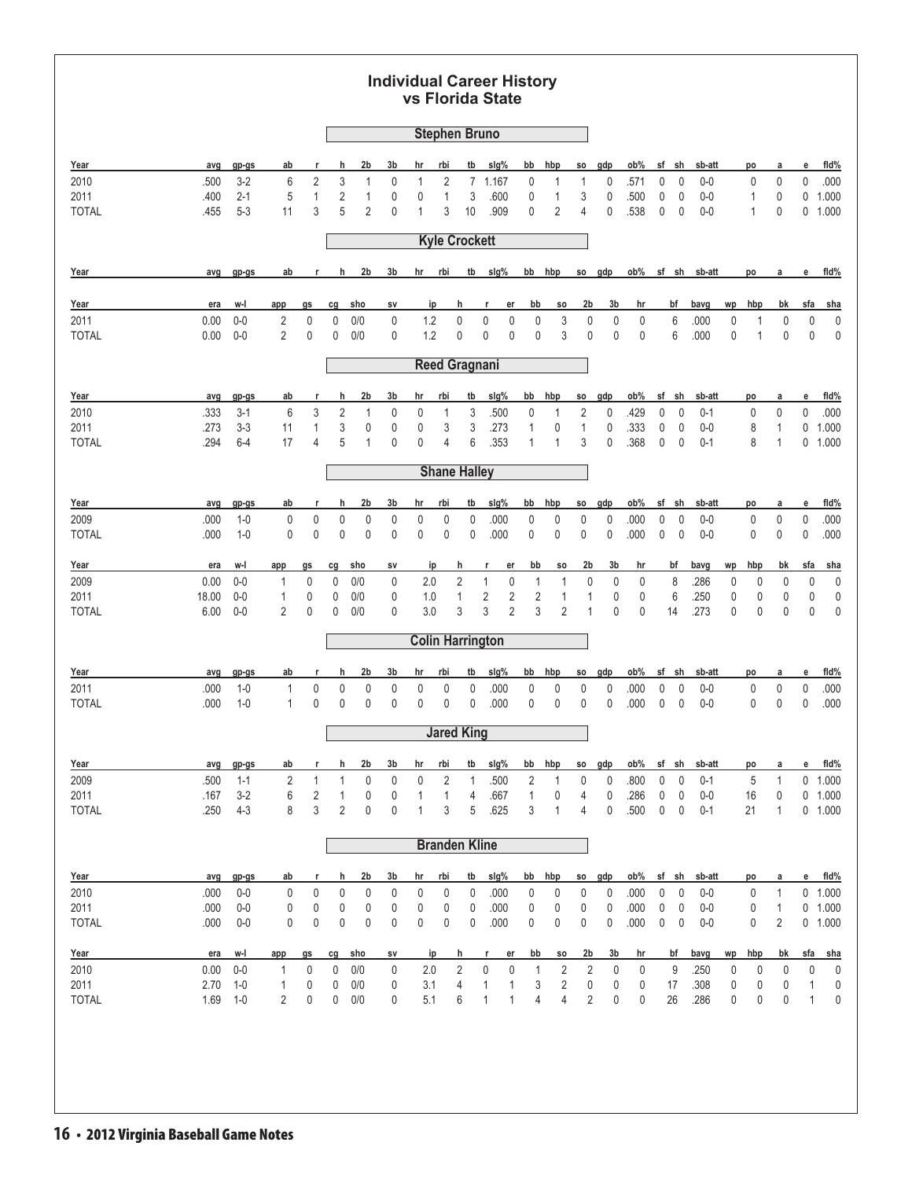### **Individual Career History vs Florida State**

| 2b<br>Year<br>3b<br>tb<br>slg%<br>gdp<br>ob%<br>fid%<br>h<br>hr<br>rbi<br>bb<br>hbp<br>sf<br>sh<br>sb-att<br>avg<br>gp-gs<br>ab<br>SO.<br>po<br>а<br>е<br>r<br>$3-2$<br>2<br>3<br>$\overline{c}$<br>$\pmb{0}$<br>.000<br>2010<br>.500<br>6<br>$\mathbf{1}$<br>0<br>$\mathbf{1}$<br>7 1.167<br>0<br>1<br>0<br>.571<br>0<br>$\mathbf{0}$<br>$0-0$<br>0<br>0<br>1<br>$2 - 1$<br>5<br>$\mathbf{1}$<br>2<br>1<br>$\mathbf{1}$<br>3<br>3<br>0<br>0<br>$\mathbf 0$<br>2011<br>.400<br>0<br>0<br>.600<br>0<br>1<br>.500<br>$0 - 0$<br>$\mathbf{1}$<br>0<br>0<br>1.000<br>2<br>2<br>$5 - 3$<br>3<br>5<br>3<br>.909<br>0<br>0<br>.538<br>0<br><b>TOTAL</b><br>.455<br>11<br>0<br>1<br>10<br>4<br>0<br>$0-0$<br>0<br>0 1.000<br>1<br><b>Kyle Crockett</b><br>2b<br>3b<br>hr<br>rbi<br>tb<br>sig%<br>bb<br>hbp<br>gdp<br>ob%<br>sf sh<br>fld%<br>Year<br>ab<br>h<br>SO.<br>sb-att<br>avg<br>gp-gs<br>r<br>po<br>а<br>е<br>2b<br>3b<br>sfa<br>Year<br>era<br>w-l<br>sho<br>ip<br>h<br>er<br>bb<br>SO.<br>hr<br>bf<br>bavg<br>wp<br>hbp<br>bk<br><u>sha</u><br>app<br>gs<br>cg<br>SV<br>r<br>$\pmb{0}$<br>$0-0$<br>$\pmb{0}$<br>1.2<br>$\pmb{0}$<br>$\pmb{0}$<br>$\pmb{0}$<br>3<br>$\pmb{0}$<br>6<br>2011<br>0.00<br>2<br>0<br>0/0<br>0<br>0<br>0<br>.000<br>0<br>0<br>$\mathbf 0$<br>0<br>1<br>2<br>0<br>1.2<br>$\pmb{0}$<br>$\pmb{0}$<br>$\mathbf 0$<br>$\pmb{0}$<br>3<br>$\mathbf 0$<br>0<br>$\mathbf 0$<br>6<br>.000<br>$\mathbf 0$<br>$\mathbf 0$<br>0<br>$\mathbf 0$<br><b>TOTAL</b><br>0.00<br>$0-0$<br>0<br>0/0<br>0<br>1<br><b>Reed Gragnani</b><br>Year<br>2b<br>3b<br>rbi<br>tb<br>slg%<br>bb<br>hbp<br>gdp<br>ob%<br>sf<br>sh<br>sb-att<br>fld%<br>gp-gs<br>ab<br>h<br>hr<br>SO<br>е<br>avg<br>po<br>а<br>r<br>3<br>$\sqrt{2}$<br>3<br>$\overline{2}$<br>$3-1$<br>6<br>.500<br>$\pmb{0}$<br>0<br>.429<br>0<br>0<br>$\pmb{0}$<br>$\pmb{0}$<br>0<br>.000<br>2010<br>.333<br>$\mathbf{1}$<br>0<br>0<br>$\mathbf{1}$<br>$0 - 1$<br>1<br>3<br>$3 - 3$<br>1<br>3<br>0<br>3<br>0<br>$\mathbf{1}$<br>$\pmb{0}$<br>0<br>$\mathbf{1}$<br>.273<br>11<br>0<br>0<br>.273<br>1<br>.333<br>0<br>$0-0$<br>8<br>0<br>1.000<br>2011<br>.294<br>17<br>5<br>0<br>0<br>6<br>.353<br>3<br>0<br>.368<br>0<br>$\mathbf{0}$<br>$\mathbf{1}$<br>0 1.000<br><b>TOTAL</b><br>$6 - 4$<br>4<br>$\mathbf{1}$<br>4<br>1<br>$0 - 1$<br>8<br>1<br><b>Shane Halley</b><br>2b<br>fld%<br>Year<br>3b<br>rbi<br>tb<br>slg%<br>bb<br>hbp<br>gdp<br>ob%<br>sf<br>sh<br>gp-gs<br>ab<br>h<br>hr<br>SO.<br>sb-att<br>е<br>avg<br>r<br>po<br>а<br>$\mathbf 0$<br>0<br>0<br>0<br>0<br>0<br>0<br>$\pmb{0}$<br>2009<br>.000<br>$1 - 0$<br>0<br>0<br>0<br>0<br>.000<br>0<br>0<br>0<br>.000<br>0<br>$0-0$<br>0<br>.000<br>$1 - 0$<br>0<br>0<br>0<br>0<br>0<br>0<br>0<br>0<br>.000<br>0<br>0<br>0<br>0<br>.000<br>0<br>$\mathbf 0$<br>$\mathbf 0$<br>$\pmb{0}$<br>$\mathbf 0$<br>.000<br><b>TOTAL</b><br>.000<br>$0-0$<br>2b<br>3b<br>Year<br>era<br>w-l<br>cg<br><u>sho</u><br>ip<br>h<br>er<br>bb<br>SO<br>hr<br><u>bf</u><br>bavg<br>wp<br>hbp<br>bk<br><u>sfa</u><br><u>sha</u><br>app<br>gs<br>SV<br>r<br>$0-0$<br>$\pmb{0}$<br>$\pmb{0}$<br>2<br>$\mathbf{1}$<br>$\pmb{0}$<br>$\pmb{0}$<br>$\mathbf 0$<br>8<br>$\pmb{0}$<br>2009<br>0.00<br>0/0<br>0<br>2.0<br>$\mathbf{1}$<br>0<br>.286<br>0<br>0<br>0<br>1<br>1<br>0<br>0<br>$\mathbf 0$<br>$\mathbf{1}$<br>$\overline{2}$<br>$\overline{2}$<br>$\overline{2}$<br>$\pmb{0}$<br>.250<br>2011<br>18.00<br>$0-0$<br>1<br>0/0<br>0<br>1.0<br>1<br>1<br>0<br>6<br>0<br>0<br>0<br>0<br>$\mathbf 0$<br>3<br>$\overline{2}$<br>3<br>2<br>3.0<br>3<br>$\overline{2}$<br>$\mathbf{1}$<br>$\mathbf 0$<br>$\mathbf 0$<br>.273<br><b>TOTAL</b><br>6.00<br>0<br>0<br>0/0<br>0<br>14<br>0<br>0<br>0<br>0<br>$\mathbf 0$<br>$0-0$<br><b>Colin Harrington</b><br>2b<br>ob%<br>fld%<br>Year<br>3b<br>rbi<br>tb<br>slg%<br>bb<br>hbp<br>sf<br>sh<br>ab<br>h<br>hr<br>gdp<br>sb-att<br>avg<br>gp-gs<br>SO.<br>po<br>а<br>е<br>0<br>$1 - 0$<br>0<br>0<br>0<br>0<br>$\pmb{0}$<br>0<br>.000<br>0<br>0<br>0<br>0<br>$\mathbf 0$<br>$\pmb{0}$<br>$\pmb{0}$<br>$\pmb{0}$<br>.000<br>2011<br>.000<br>1<br>0<br>.000<br>$0-0$<br>.000<br>$1 - 0$<br>0<br>0<br>$\pmb{0}$<br>.000<br><b>TOTAL</b><br>1<br>0<br>0<br>0<br>0<br>0<br>0<br>.000<br>0<br>0<br>0<br>0<br>.000<br>0<br>$0-0$<br>0<br>0<br><b>Jared King</b><br>2b<br>slg%<br>fld%<br>Year<br>ab<br>h<br>3b<br>hr<br>rbi<br>tb<br>bb<br>hbp<br>gdp<br>ob%<br>sf sh<br>sb-att<br>avg<br>gp-gs<br>SO.<br>po<br>a<br>е<br>r<br>2<br>$\overline{2}$<br>2<br>1<br>1<br>0<br>0<br>0<br>.500<br>0<br>0<br>.800<br>0<br>5<br>$\mathbf{1}$<br>$0$ 1.000<br>2009<br>.500<br>$1 - 1$<br>1<br>1<br>0<br>$0 - 1$<br>2011<br>.286<br>.167<br>$3-2$<br>6<br>2<br>$\pmb{0}$<br>0<br>1<br>1<br>.667<br>0<br>$\pmb{0}$<br>$\pmb{0}$<br>0<br>$0-0$<br>16<br>0 1.000<br>1<br>4<br>1<br>4<br>0<br>3<br>$4 - 3$<br>8<br>2<br>0<br>0<br>3<br>5<br>.625<br>3<br>0<br>.500<br>$\pmb{0}$<br>$\mathbf 0$<br><b>TOTAL</b><br>.250<br>1<br>1<br>4<br>$0 - 1$<br>21<br>$\mathbf{1}$<br>0 1.000<br><b>Branden Kline</b><br>2b<br>tb<br>hbp<br>Year<br>3b<br>hr<br>rbi<br>slg%<br>bb<br>gdp<br>ob%<br>sf sh<br>sb-att<br>e<br>fid%<br>gp-gs<br><u>ab</u><br>h<br><b>SO</b><br>a<br>avg<br>r<br>po<br>0<br>0<br>0<br>0<br>0<br>$\mathsf 0$<br>$\mathbf{1}$<br>0 1.000<br>2010<br>.000<br>$0-0$<br>0<br>0<br>0<br>0<br>0<br>.000<br>0<br>0<br>0<br>.000<br>$0-0$<br>0<br>0<br>$\pmb{0}$<br>0<br>$\pmb{0}$<br>2011<br>.000<br>$0-0$<br>0<br>0<br>0<br>0<br>0<br>0<br>0<br>.000<br>0<br>0<br>.000<br>$0-0$<br>$\mathbf{1}$<br>0 1.000<br>0<br>0<br>0<br>0<br>$\pmb{0}$<br>0<br>0<br>0<br>.000<br>0<br>0<br>0<br>.000<br>$\pmb{0}$<br>$\mathbf 0$<br>$0-0$<br>$\overline{2}$<br>0 1.000<br><b>TOTAL</b><br>.000<br>$0-0$<br>0<br>0<br>0<br>0<br>3b<br>Year<br>bb<br>2b<br>bf<br>bavg<br>hbp<br>bk<br>sfa<br>era<br>w-l<br>cg<br><u>sho</u><br>ip<br>h<br>er<br>SO.<br>hr<br>wp<br><u>sha</u><br>app<br>g <sub>s</sub><br>sv<br>r<br>2010<br>0.00<br>0<br>0<br>$2.0\,$<br>2<br>$\pmb{0}$<br>$\pmb{0}$<br>$\overline{\mathbf{c}}$<br>$\pmb{0}$<br>$0-0$<br>0/0<br>0<br>2<br>0<br>9<br>.250<br>0<br>0<br>0<br>0<br>$\mathbf 0$<br>1<br>1<br>2011<br>2.70<br>3.1<br>$1-0$<br>0<br>0/0<br>4<br>$\mathbf{1}$<br>3<br>2<br>17<br>.308<br>0<br>$\mathbf{1}$<br>0<br>0<br>0<br>0<br>0<br>0<br>0<br>1<br>0<br>1<br>$\sqrt{2}$<br>1.69<br>5.1<br>$\mathbf{1}$<br>$\overline{4}$<br>$\overline{4}$<br>0<br><b>TOTAL</b><br>$1 - 0$<br>2<br>0<br>0<br>0/0<br>0<br>6<br>$\mathbf{1}$<br>0<br>26<br>.286<br>0<br>0<br>0<br>1<br>0 |  |  |  |  |  | <b>Stephen Bruno</b> |  |  |  |  |  |  |  |
|--------------------------------------------------------------------------------------------------------------------------------------------------------------------------------------------------------------------------------------------------------------------------------------------------------------------------------------------------------------------------------------------------------------------------------------------------------------------------------------------------------------------------------------------------------------------------------------------------------------------------------------------------------------------------------------------------------------------------------------------------------------------------------------------------------------------------------------------------------------------------------------------------------------------------------------------------------------------------------------------------------------------------------------------------------------------------------------------------------------------------------------------------------------------------------------------------------------------------------------------------------------------------------------------------------------------------------------------------------------------------------------------------------------------------------------------------------------------------------------------------------------------------------------------------------------------------------------------------------------------------------------------------------------------------------------------------------------------------------------------------------------------------------------------------------------------------------------------------------------------------------------------------------------------------------------------------------------------------------------------------------------------------------------------------------------------------------------------------------------------------------------------------------------------------------------------------------------------------------------------------------------------------------------------------------------------------------------------------------------------------------------------------------------------------------------------------------------------------------------------------------------------------------------------------------------------------------------------------------------------------------------------------------------------------------------------------------------------------------------------------------------------------------------------------------------------------------------------------------------------------------------------------------------------------------------------------------------------------------------------------------------------------------------------------------------------------------------------------------------------------------------------------------------------------------------------------------------------------------------------------------------------------------------------------------------------------------------------------------------------------------------------------------------------------------------------------------------------------------------------------------------------------------------------------------------------------------------------------------------------------------------------------------------------------------------------------------------------------------------------------------------------------------------------------------------------------------------------------------------------------------------------------------------------------------------------------------------------------------------------------------------------------------------------------------------------------------------------------------------------------------------------------------------------------------------------------------------------------------------------------------------------------------------------------------------------------------------------------------------------------------------------------------------------------------------------------------------------------------------------------------------------------------------------------------------------------------------------------------------------------------------------------------------------------------------------------------------------------------------------------------------------------------------------------------------------------------------------------------------------------------------------------------------------------------------------------------------------------------------------------------------------------------------------------------------------------------------------------------------------------------------------------------------------------------------------------------------------------------------------------------------------------------------------------------------------------------------------------------------------------------------------------------------------------------------------------------------------------------------------------------------------------------------------------------------------------------------------------------------------------------------------------------------------------------------------------------------------------------------------------------------------------------------------------------------------------------------------------------------------------------------------------------------------------------------------------------------------------------------------------------------------------------------------------------------------------------------------------------------------------------------------------------------------------------------------------------------------------------------------------------------------------------------------------------------------------------------------------------------------------------------------------------------------------------------------------------------------------------------------------------------|--|--|--|--|--|----------------------|--|--|--|--|--|--|--|
|                                                                                                                                                                                                                                                                                                                                                                                                                                                                                                                                                                                                                                                                                                                                                                                                                                                                                                                                                                                                                                                                                                                                                                                                                                                                                                                                                                                                                                                                                                                                                                                                                                                                                                                                                                                                                                                                                                                                                                                                                                                                                                                                                                                                                                                                                                                                                                                                                                                                                                                                                                                                                                                                                                                                                                                                                                                                                                                                                                                                                                                                                                                                                                                                                                                                                                                                                                                                                                                                                                                                                                                                                                                                                                                                                                                                                                                                                                                                                                                                                                                                                                                                                                                                                                                                                                                                                                                                                                                                                                                                                                                                                                                                                                                                                                                                                                                                                                                                                                                                                                                                                                                                                                                                                                                                                                                                                                                                                                                                                                                                                                                                                                                                                                                                                                                                                                                                                                                                                                                                                                                                                                                                                                                                                                                                                                                                                                                                                                                                                                              |  |  |  |  |  |                      |  |  |  |  |  |  |  |
|                                                                                                                                                                                                                                                                                                                                                                                                                                                                                                                                                                                                                                                                                                                                                                                                                                                                                                                                                                                                                                                                                                                                                                                                                                                                                                                                                                                                                                                                                                                                                                                                                                                                                                                                                                                                                                                                                                                                                                                                                                                                                                                                                                                                                                                                                                                                                                                                                                                                                                                                                                                                                                                                                                                                                                                                                                                                                                                                                                                                                                                                                                                                                                                                                                                                                                                                                                                                                                                                                                                                                                                                                                                                                                                                                                                                                                                                                                                                                                                                                                                                                                                                                                                                                                                                                                                                                                                                                                                                                                                                                                                                                                                                                                                                                                                                                                                                                                                                                                                                                                                                                                                                                                                                                                                                                                                                                                                                                                                                                                                                                                                                                                                                                                                                                                                                                                                                                                                                                                                                                                                                                                                                                                                                                                                                                                                                                                                                                                                                                                              |  |  |  |  |  |                      |  |  |  |  |  |  |  |
|                                                                                                                                                                                                                                                                                                                                                                                                                                                                                                                                                                                                                                                                                                                                                                                                                                                                                                                                                                                                                                                                                                                                                                                                                                                                                                                                                                                                                                                                                                                                                                                                                                                                                                                                                                                                                                                                                                                                                                                                                                                                                                                                                                                                                                                                                                                                                                                                                                                                                                                                                                                                                                                                                                                                                                                                                                                                                                                                                                                                                                                                                                                                                                                                                                                                                                                                                                                                                                                                                                                                                                                                                                                                                                                                                                                                                                                                                                                                                                                                                                                                                                                                                                                                                                                                                                                                                                                                                                                                                                                                                                                                                                                                                                                                                                                                                                                                                                                                                                                                                                                                                                                                                                                                                                                                                                                                                                                                                                                                                                                                                                                                                                                                                                                                                                                                                                                                                                                                                                                                                                                                                                                                                                                                                                                                                                                                                                                                                                                                                                              |  |  |  |  |  |                      |  |  |  |  |  |  |  |
|                                                                                                                                                                                                                                                                                                                                                                                                                                                                                                                                                                                                                                                                                                                                                                                                                                                                                                                                                                                                                                                                                                                                                                                                                                                                                                                                                                                                                                                                                                                                                                                                                                                                                                                                                                                                                                                                                                                                                                                                                                                                                                                                                                                                                                                                                                                                                                                                                                                                                                                                                                                                                                                                                                                                                                                                                                                                                                                                                                                                                                                                                                                                                                                                                                                                                                                                                                                                                                                                                                                                                                                                                                                                                                                                                                                                                                                                                                                                                                                                                                                                                                                                                                                                                                                                                                                                                                                                                                                                                                                                                                                                                                                                                                                                                                                                                                                                                                                                                                                                                                                                                                                                                                                                                                                                                                                                                                                                                                                                                                                                                                                                                                                                                                                                                                                                                                                                                                                                                                                                                                                                                                                                                                                                                                                                                                                                                                                                                                                                                                              |  |  |  |  |  |                      |  |  |  |  |  |  |  |
|                                                                                                                                                                                                                                                                                                                                                                                                                                                                                                                                                                                                                                                                                                                                                                                                                                                                                                                                                                                                                                                                                                                                                                                                                                                                                                                                                                                                                                                                                                                                                                                                                                                                                                                                                                                                                                                                                                                                                                                                                                                                                                                                                                                                                                                                                                                                                                                                                                                                                                                                                                                                                                                                                                                                                                                                                                                                                                                                                                                                                                                                                                                                                                                                                                                                                                                                                                                                                                                                                                                                                                                                                                                                                                                                                                                                                                                                                                                                                                                                                                                                                                                                                                                                                                                                                                                                                                                                                                                                                                                                                                                                                                                                                                                                                                                                                                                                                                                                                                                                                                                                                                                                                                                                                                                                                                                                                                                                                                                                                                                                                                                                                                                                                                                                                                                                                                                                                                                                                                                                                                                                                                                                                                                                                                                                                                                                                                                                                                                                                                              |  |  |  |  |  |                      |  |  |  |  |  |  |  |
|                                                                                                                                                                                                                                                                                                                                                                                                                                                                                                                                                                                                                                                                                                                                                                                                                                                                                                                                                                                                                                                                                                                                                                                                                                                                                                                                                                                                                                                                                                                                                                                                                                                                                                                                                                                                                                                                                                                                                                                                                                                                                                                                                                                                                                                                                                                                                                                                                                                                                                                                                                                                                                                                                                                                                                                                                                                                                                                                                                                                                                                                                                                                                                                                                                                                                                                                                                                                                                                                                                                                                                                                                                                                                                                                                                                                                                                                                                                                                                                                                                                                                                                                                                                                                                                                                                                                                                                                                                                                                                                                                                                                                                                                                                                                                                                                                                                                                                                                                                                                                                                                                                                                                                                                                                                                                                                                                                                                                                                                                                                                                                                                                                                                                                                                                                                                                                                                                                                                                                                                                                                                                                                                                                                                                                                                                                                                                                                                                                                                                                              |  |  |  |  |  |                      |  |  |  |  |  |  |  |
|                                                                                                                                                                                                                                                                                                                                                                                                                                                                                                                                                                                                                                                                                                                                                                                                                                                                                                                                                                                                                                                                                                                                                                                                                                                                                                                                                                                                                                                                                                                                                                                                                                                                                                                                                                                                                                                                                                                                                                                                                                                                                                                                                                                                                                                                                                                                                                                                                                                                                                                                                                                                                                                                                                                                                                                                                                                                                                                                                                                                                                                                                                                                                                                                                                                                                                                                                                                                                                                                                                                                                                                                                                                                                                                                                                                                                                                                                                                                                                                                                                                                                                                                                                                                                                                                                                                                                                                                                                                                                                                                                                                                                                                                                                                                                                                                                                                                                                                                                                                                                                                                                                                                                                                                                                                                                                                                                                                                                                                                                                                                                                                                                                                                                                                                                                                                                                                                                                                                                                                                                                                                                                                                                                                                                                                                                                                                                                                                                                                                                                              |  |  |  |  |  |                      |  |  |  |  |  |  |  |
|                                                                                                                                                                                                                                                                                                                                                                                                                                                                                                                                                                                                                                                                                                                                                                                                                                                                                                                                                                                                                                                                                                                                                                                                                                                                                                                                                                                                                                                                                                                                                                                                                                                                                                                                                                                                                                                                                                                                                                                                                                                                                                                                                                                                                                                                                                                                                                                                                                                                                                                                                                                                                                                                                                                                                                                                                                                                                                                                                                                                                                                                                                                                                                                                                                                                                                                                                                                                                                                                                                                                                                                                                                                                                                                                                                                                                                                                                                                                                                                                                                                                                                                                                                                                                                                                                                                                                                                                                                                                                                                                                                                                                                                                                                                                                                                                                                                                                                                                                                                                                                                                                                                                                                                                                                                                                                                                                                                                                                                                                                                                                                                                                                                                                                                                                                                                                                                                                                                                                                                                                                                                                                                                                                                                                                                                                                                                                                                                                                                                                                              |  |  |  |  |  |                      |  |  |  |  |  |  |  |
|                                                                                                                                                                                                                                                                                                                                                                                                                                                                                                                                                                                                                                                                                                                                                                                                                                                                                                                                                                                                                                                                                                                                                                                                                                                                                                                                                                                                                                                                                                                                                                                                                                                                                                                                                                                                                                                                                                                                                                                                                                                                                                                                                                                                                                                                                                                                                                                                                                                                                                                                                                                                                                                                                                                                                                                                                                                                                                                                                                                                                                                                                                                                                                                                                                                                                                                                                                                                                                                                                                                                                                                                                                                                                                                                                                                                                                                                                                                                                                                                                                                                                                                                                                                                                                                                                                                                                                                                                                                                                                                                                                                                                                                                                                                                                                                                                                                                                                                                                                                                                                                                                                                                                                                                                                                                                                                                                                                                                                                                                                                                                                                                                                                                                                                                                                                                                                                                                                                                                                                                                                                                                                                                                                                                                                                                                                                                                                                                                                                                                                              |  |  |  |  |  |                      |  |  |  |  |  |  |  |
|                                                                                                                                                                                                                                                                                                                                                                                                                                                                                                                                                                                                                                                                                                                                                                                                                                                                                                                                                                                                                                                                                                                                                                                                                                                                                                                                                                                                                                                                                                                                                                                                                                                                                                                                                                                                                                                                                                                                                                                                                                                                                                                                                                                                                                                                                                                                                                                                                                                                                                                                                                                                                                                                                                                                                                                                                                                                                                                                                                                                                                                                                                                                                                                                                                                                                                                                                                                                                                                                                                                                                                                                                                                                                                                                                                                                                                                                                                                                                                                                                                                                                                                                                                                                                                                                                                                                                                                                                                                                                                                                                                                                                                                                                                                                                                                                                                                                                                                                                                                                                                                                                                                                                                                                                                                                                                                                                                                                                                                                                                                                                                                                                                                                                                                                                                                                                                                                                                                                                                                                                                                                                                                                                                                                                                                                                                                                                                                                                                                                                                              |  |  |  |  |  |                      |  |  |  |  |  |  |  |
|                                                                                                                                                                                                                                                                                                                                                                                                                                                                                                                                                                                                                                                                                                                                                                                                                                                                                                                                                                                                                                                                                                                                                                                                                                                                                                                                                                                                                                                                                                                                                                                                                                                                                                                                                                                                                                                                                                                                                                                                                                                                                                                                                                                                                                                                                                                                                                                                                                                                                                                                                                                                                                                                                                                                                                                                                                                                                                                                                                                                                                                                                                                                                                                                                                                                                                                                                                                                                                                                                                                                                                                                                                                                                                                                                                                                                                                                                                                                                                                                                                                                                                                                                                                                                                                                                                                                                                                                                                                                                                                                                                                                                                                                                                                                                                                                                                                                                                                                                                                                                                                                                                                                                                                                                                                                                                                                                                                                                                                                                                                                                                                                                                                                                                                                                                                                                                                                                                                                                                                                                                                                                                                                                                                                                                                                                                                                                                                                                                                                                                              |  |  |  |  |  |                      |  |  |  |  |  |  |  |
|                                                                                                                                                                                                                                                                                                                                                                                                                                                                                                                                                                                                                                                                                                                                                                                                                                                                                                                                                                                                                                                                                                                                                                                                                                                                                                                                                                                                                                                                                                                                                                                                                                                                                                                                                                                                                                                                                                                                                                                                                                                                                                                                                                                                                                                                                                                                                                                                                                                                                                                                                                                                                                                                                                                                                                                                                                                                                                                                                                                                                                                                                                                                                                                                                                                                                                                                                                                                                                                                                                                                                                                                                                                                                                                                                                                                                                                                                                                                                                                                                                                                                                                                                                                                                                                                                                                                                                                                                                                                                                                                                                                                                                                                                                                                                                                                                                                                                                                                                                                                                                                                                                                                                                                                                                                                                                                                                                                                                                                                                                                                                                                                                                                                                                                                                                                                                                                                                                                                                                                                                                                                                                                                                                                                                                                                                                                                                                                                                                                                                                              |  |  |  |  |  |                      |  |  |  |  |  |  |  |
|                                                                                                                                                                                                                                                                                                                                                                                                                                                                                                                                                                                                                                                                                                                                                                                                                                                                                                                                                                                                                                                                                                                                                                                                                                                                                                                                                                                                                                                                                                                                                                                                                                                                                                                                                                                                                                                                                                                                                                                                                                                                                                                                                                                                                                                                                                                                                                                                                                                                                                                                                                                                                                                                                                                                                                                                                                                                                                                                                                                                                                                                                                                                                                                                                                                                                                                                                                                                                                                                                                                                                                                                                                                                                                                                                                                                                                                                                                                                                                                                                                                                                                                                                                                                                                                                                                                                                                                                                                                                                                                                                                                                                                                                                                                                                                                                                                                                                                                                                                                                                                                                                                                                                                                                                                                                                                                                                                                                                                                                                                                                                                                                                                                                                                                                                                                                                                                                                                                                                                                                                                                                                                                                                                                                                                                                                                                                                                                                                                                                                                              |  |  |  |  |  |                      |  |  |  |  |  |  |  |
|                                                                                                                                                                                                                                                                                                                                                                                                                                                                                                                                                                                                                                                                                                                                                                                                                                                                                                                                                                                                                                                                                                                                                                                                                                                                                                                                                                                                                                                                                                                                                                                                                                                                                                                                                                                                                                                                                                                                                                                                                                                                                                                                                                                                                                                                                                                                                                                                                                                                                                                                                                                                                                                                                                                                                                                                                                                                                                                                                                                                                                                                                                                                                                                                                                                                                                                                                                                                                                                                                                                                                                                                                                                                                                                                                                                                                                                                                                                                                                                                                                                                                                                                                                                                                                                                                                                                                                                                                                                                                                                                                                                                                                                                                                                                                                                                                                                                                                                                                                                                                                                                                                                                                                                                                                                                                                                                                                                                                                                                                                                                                                                                                                                                                                                                                                                                                                                                                                                                                                                                                                                                                                                                                                                                                                                                                                                                                                                                                                                                                                              |  |  |  |  |  |                      |  |  |  |  |  |  |  |
|                                                                                                                                                                                                                                                                                                                                                                                                                                                                                                                                                                                                                                                                                                                                                                                                                                                                                                                                                                                                                                                                                                                                                                                                                                                                                                                                                                                                                                                                                                                                                                                                                                                                                                                                                                                                                                                                                                                                                                                                                                                                                                                                                                                                                                                                                                                                                                                                                                                                                                                                                                                                                                                                                                                                                                                                                                                                                                                                                                                                                                                                                                                                                                                                                                                                                                                                                                                                                                                                                                                                                                                                                                                                                                                                                                                                                                                                                                                                                                                                                                                                                                                                                                                                                                                                                                                                                                                                                                                                                                                                                                                                                                                                                                                                                                                                                                                                                                                                                                                                                                                                                                                                                                                                                                                                                                                                                                                                                                                                                                                                                                                                                                                                                                                                                                                                                                                                                                                                                                                                                                                                                                                                                                                                                                                                                                                                                                                                                                                                                                              |  |  |  |  |  |                      |  |  |  |  |  |  |  |
|                                                                                                                                                                                                                                                                                                                                                                                                                                                                                                                                                                                                                                                                                                                                                                                                                                                                                                                                                                                                                                                                                                                                                                                                                                                                                                                                                                                                                                                                                                                                                                                                                                                                                                                                                                                                                                                                                                                                                                                                                                                                                                                                                                                                                                                                                                                                                                                                                                                                                                                                                                                                                                                                                                                                                                                                                                                                                                                                                                                                                                                                                                                                                                                                                                                                                                                                                                                                                                                                                                                                                                                                                                                                                                                                                                                                                                                                                                                                                                                                                                                                                                                                                                                                                                                                                                                                                                                                                                                                                                                                                                                                                                                                                                                                                                                                                                                                                                                                                                                                                                                                                                                                                                                                                                                                                                                                                                                                                                                                                                                                                                                                                                                                                                                                                                                                                                                                                                                                                                                                                                                                                                                                                                                                                                                                                                                                                                                                                                                                                                              |  |  |  |  |  |                      |  |  |  |  |  |  |  |
|                                                                                                                                                                                                                                                                                                                                                                                                                                                                                                                                                                                                                                                                                                                                                                                                                                                                                                                                                                                                                                                                                                                                                                                                                                                                                                                                                                                                                                                                                                                                                                                                                                                                                                                                                                                                                                                                                                                                                                                                                                                                                                                                                                                                                                                                                                                                                                                                                                                                                                                                                                                                                                                                                                                                                                                                                                                                                                                                                                                                                                                                                                                                                                                                                                                                                                                                                                                                                                                                                                                                                                                                                                                                                                                                                                                                                                                                                                                                                                                                                                                                                                                                                                                                                                                                                                                                                                                                                                                                                                                                                                                                                                                                                                                                                                                                                                                                                                                                                                                                                                                                                                                                                                                                                                                                                                                                                                                                                                                                                                                                                                                                                                                                                                                                                                                                                                                                                                                                                                                                                                                                                                                                                                                                                                                                                                                                                                                                                                                                                                              |  |  |  |  |  |                      |  |  |  |  |  |  |  |
|                                                                                                                                                                                                                                                                                                                                                                                                                                                                                                                                                                                                                                                                                                                                                                                                                                                                                                                                                                                                                                                                                                                                                                                                                                                                                                                                                                                                                                                                                                                                                                                                                                                                                                                                                                                                                                                                                                                                                                                                                                                                                                                                                                                                                                                                                                                                                                                                                                                                                                                                                                                                                                                                                                                                                                                                                                                                                                                                                                                                                                                                                                                                                                                                                                                                                                                                                                                                                                                                                                                                                                                                                                                                                                                                                                                                                                                                                                                                                                                                                                                                                                                                                                                                                                                                                                                                                                                                                                                                                                                                                                                                                                                                                                                                                                                                                                                                                                                                                                                                                                                                                                                                                                                                                                                                                                                                                                                                                                                                                                                                                                                                                                                                                                                                                                                                                                                                                                                                                                                                                                                                                                                                                                                                                                                                                                                                                                                                                                                                                                              |  |  |  |  |  |                      |  |  |  |  |  |  |  |
|                                                                                                                                                                                                                                                                                                                                                                                                                                                                                                                                                                                                                                                                                                                                                                                                                                                                                                                                                                                                                                                                                                                                                                                                                                                                                                                                                                                                                                                                                                                                                                                                                                                                                                                                                                                                                                                                                                                                                                                                                                                                                                                                                                                                                                                                                                                                                                                                                                                                                                                                                                                                                                                                                                                                                                                                                                                                                                                                                                                                                                                                                                                                                                                                                                                                                                                                                                                                                                                                                                                                                                                                                                                                                                                                                                                                                                                                                                                                                                                                                                                                                                                                                                                                                                                                                                                                                                                                                                                                                                                                                                                                                                                                                                                                                                                                                                                                                                                                                                                                                                                                                                                                                                                                                                                                                                                                                                                                                                                                                                                                                                                                                                                                                                                                                                                                                                                                                                                                                                                                                                                                                                                                                                                                                                                                                                                                                                                                                                                                                                              |  |  |  |  |  |                      |  |  |  |  |  |  |  |
|                                                                                                                                                                                                                                                                                                                                                                                                                                                                                                                                                                                                                                                                                                                                                                                                                                                                                                                                                                                                                                                                                                                                                                                                                                                                                                                                                                                                                                                                                                                                                                                                                                                                                                                                                                                                                                                                                                                                                                                                                                                                                                                                                                                                                                                                                                                                                                                                                                                                                                                                                                                                                                                                                                                                                                                                                                                                                                                                                                                                                                                                                                                                                                                                                                                                                                                                                                                                                                                                                                                                                                                                                                                                                                                                                                                                                                                                                                                                                                                                                                                                                                                                                                                                                                                                                                                                                                                                                                                                                                                                                                                                                                                                                                                                                                                                                                                                                                                                                                                                                                                                                                                                                                                                                                                                                                                                                                                                                                                                                                                                                                                                                                                                                                                                                                                                                                                                                                                                                                                                                                                                                                                                                                                                                                                                                                                                                                                                                                                                                                              |  |  |  |  |  |                      |  |  |  |  |  |  |  |
|                                                                                                                                                                                                                                                                                                                                                                                                                                                                                                                                                                                                                                                                                                                                                                                                                                                                                                                                                                                                                                                                                                                                                                                                                                                                                                                                                                                                                                                                                                                                                                                                                                                                                                                                                                                                                                                                                                                                                                                                                                                                                                                                                                                                                                                                                                                                                                                                                                                                                                                                                                                                                                                                                                                                                                                                                                                                                                                                                                                                                                                                                                                                                                                                                                                                                                                                                                                                                                                                                                                                                                                                                                                                                                                                                                                                                                                                                                                                                                                                                                                                                                                                                                                                                                                                                                                                                                                                                                                                                                                                                                                                                                                                                                                                                                                                                                                                                                                                                                                                                                                                                                                                                                                                                                                                                                                                                                                                                                                                                                                                                                                                                                                                                                                                                                                                                                                                                                                                                                                                                                                                                                                                                                                                                                                                                                                                                                                                                                                                                                              |  |  |  |  |  |                      |  |  |  |  |  |  |  |
|                                                                                                                                                                                                                                                                                                                                                                                                                                                                                                                                                                                                                                                                                                                                                                                                                                                                                                                                                                                                                                                                                                                                                                                                                                                                                                                                                                                                                                                                                                                                                                                                                                                                                                                                                                                                                                                                                                                                                                                                                                                                                                                                                                                                                                                                                                                                                                                                                                                                                                                                                                                                                                                                                                                                                                                                                                                                                                                                                                                                                                                                                                                                                                                                                                                                                                                                                                                                                                                                                                                                                                                                                                                                                                                                                                                                                                                                                                                                                                                                                                                                                                                                                                                                                                                                                                                                                                                                                                                                                                                                                                                                                                                                                                                                                                                                                                                                                                                                                                                                                                                                                                                                                                                                                                                                                                                                                                                                                                                                                                                                                                                                                                                                                                                                                                                                                                                                                                                                                                                                                                                                                                                                                                                                                                                                                                                                                                                                                                                                                                              |  |  |  |  |  |                      |  |  |  |  |  |  |  |
|                                                                                                                                                                                                                                                                                                                                                                                                                                                                                                                                                                                                                                                                                                                                                                                                                                                                                                                                                                                                                                                                                                                                                                                                                                                                                                                                                                                                                                                                                                                                                                                                                                                                                                                                                                                                                                                                                                                                                                                                                                                                                                                                                                                                                                                                                                                                                                                                                                                                                                                                                                                                                                                                                                                                                                                                                                                                                                                                                                                                                                                                                                                                                                                                                                                                                                                                                                                                                                                                                                                                                                                                                                                                                                                                                                                                                                                                                                                                                                                                                                                                                                                                                                                                                                                                                                                                                                                                                                                                                                                                                                                                                                                                                                                                                                                                                                                                                                                                                                                                                                                                                                                                                                                                                                                                                                                                                                                                                                                                                                                                                                                                                                                                                                                                                                                                                                                                                                                                                                                                                                                                                                                                                                                                                                                                                                                                                                                                                                                                                                              |  |  |  |  |  |                      |  |  |  |  |  |  |  |
|                                                                                                                                                                                                                                                                                                                                                                                                                                                                                                                                                                                                                                                                                                                                                                                                                                                                                                                                                                                                                                                                                                                                                                                                                                                                                                                                                                                                                                                                                                                                                                                                                                                                                                                                                                                                                                                                                                                                                                                                                                                                                                                                                                                                                                                                                                                                                                                                                                                                                                                                                                                                                                                                                                                                                                                                                                                                                                                                                                                                                                                                                                                                                                                                                                                                                                                                                                                                                                                                                                                                                                                                                                                                                                                                                                                                                                                                                                                                                                                                                                                                                                                                                                                                                                                                                                                                                                                                                                                                                                                                                                                                                                                                                                                                                                                                                                                                                                                                                                                                                                                                                                                                                                                                                                                                                                                                                                                                                                                                                                                                                                                                                                                                                                                                                                                                                                                                                                                                                                                                                                                                                                                                                                                                                                                                                                                                                                                                                                                                                                              |  |  |  |  |  |                      |  |  |  |  |  |  |  |
|                                                                                                                                                                                                                                                                                                                                                                                                                                                                                                                                                                                                                                                                                                                                                                                                                                                                                                                                                                                                                                                                                                                                                                                                                                                                                                                                                                                                                                                                                                                                                                                                                                                                                                                                                                                                                                                                                                                                                                                                                                                                                                                                                                                                                                                                                                                                                                                                                                                                                                                                                                                                                                                                                                                                                                                                                                                                                                                                                                                                                                                                                                                                                                                                                                                                                                                                                                                                                                                                                                                                                                                                                                                                                                                                                                                                                                                                                                                                                                                                                                                                                                                                                                                                                                                                                                                                                                                                                                                                                                                                                                                                                                                                                                                                                                                                                                                                                                                                                                                                                                                                                                                                                                                                                                                                                                                                                                                                                                                                                                                                                                                                                                                                                                                                                                                                                                                                                                                                                                                                                                                                                                                                                                                                                                                                                                                                                                                                                                                                                                              |  |  |  |  |  |                      |  |  |  |  |  |  |  |
|                                                                                                                                                                                                                                                                                                                                                                                                                                                                                                                                                                                                                                                                                                                                                                                                                                                                                                                                                                                                                                                                                                                                                                                                                                                                                                                                                                                                                                                                                                                                                                                                                                                                                                                                                                                                                                                                                                                                                                                                                                                                                                                                                                                                                                                                                                                                                                                                                                                                                                                                                                                                                                                                                                                                                                                                                                                                                                                                                                                                                                                                                                                                                                                                                                                                                                                                                                                                                                                                                                                                                                                                                                                                                                                                                                                                                                                                                                                                                                                                                                                                                                                                                                                                                                                                                                                                                                                                                                                                                                                                                                                                                                                                                                                                                                                                                                                                                                                                                                                                                                                                                                                                                                                                                                                                                                                                                                                                                                                                                                                                                                                                                                                                                                                                                                                                                                                                                                                                                                                                                                                                                                                                                                                                                                                                                                                                                                                                                                                                                                              |  |  |  |  |  |                      |  |  |  |  |  |  |  |
|                                                                                                                                                                                                                                                                                                                                                                                                                                                                                                                                                                                                                                                                                                                                                                                                                                                                                                                                                                                                                                                                                                                                                                                                                                                                                                                                                                                                                                                                                                                                                                                                                                                                                                                                                                                                                                                                                                                                                                                                                                                                                                                                                                                                                                                                                                                                                                                                                                                                                                                                                                                                                                                                                                                                                                                                                                                                                                                                                                                                                                                                                                                                                                                                                                                                                                                                                                                                                                                                                                                                                                                                                                                                                                                                                                                                                                                                                                                                                                                                                                                                                                                                                                                                                                                                                                                                                                                                                                                                                                                                                                                                                                                                                                                                                                                                                                                                                                                                                                                                                                                                                                                                                                                                                                                                                                                                                                                                                                                                                                                                                                                                                                                                                                                                                                                                                                                                                                                                                                                                                                                                                                                                                                                                                                                                                                                                                                                                                                                                                                              |  |  |  |  |  |                      |  |  |  |  |  |  |  |
|                                                                                                                                                                                                                                                                                                                                                                                                                                                                                                                                                                                                                                                                                                                                                                                                                                                                                                                                                                                                                                                                                                                                                                                                                                                                                                                                                                                                                                                                                                                                                                                                                                                                                                                                                                                                                                                                                                                                                                                                                                                                                                                                                                                                                                                                                                                                                                                                                                                                                                                                                                                                                                                                                                                                                                                                                                                                                                                                                                                                                                                                                                                                                                                                                                                                                                                                                                                                                                                                                                                                                                                                                                                                                                                                                                                                                                                                                                                                                                                                                                                                                                                                                                                                                                                                                                                                                                                                                                                                                                                                                                                                                                                                                                                                                                                                                                                                                                                                                                                                                                                                                                                                                                                                                                                                                                                                                                                                                                                                                                                                                                                                                                                                                                                                                                                                                                                                                                                                                                                                                                                                                                                                                                                                                                                                                                                                                                                                                                                                                                              |  |  |  |  |  |                      |  |  |  |  |  |  |  |
|                                                                                                                                                                                                                                                                                                                                                                                                                                                                                                                                                                                                                                                                                                                                                                                                                                                                                                                                                                                                                                                                                                                                                                                                                                                                                                                                                                                                                                                                                                                                                                                                                                                                                                                                                                                                                                                                                                                                                                                                                                                                                                                                                                                                                                                                                                                                                                                                                                                                                                                                                                                                                                                                                                                                                                                                                                                                                                                                                                                                                                                                                                                                                                                                                                                                                                                                                                                                                                                                                                                                                                                                                                                                                                                                                                                                                                                                                                                                                                                                                                                                                                                                                                                                                                                                                                                                                                                                                                                                                                                                                                                                                                                                                                                                                                                                                                                                                                                                                                                                                                                                                                                                                                                                                                                                                                                                                                                                                                                                                                                                                                                                                                                                                                                                                                                                                                                                                                                                                                                                                                                                                                                                                                                                                                                                                                                                                                                                                                                                                                              |  |  |  |  |  |                      |  |  |  |  |  |  |  |
|                                                                                                                                                                                                                                                                                                                                                                                                                                                                                                                                                                                                                                                                                                                                                                                                                                                                                                                                                                                                                                                                                                                                                                                                                                                                                                                                                                                                                                                                                                                                                                                                                                                                                                                                                                                                                                                                                                                                                                                                                                                                                                                                                                                                                                                                                                                                                                                                                                                                                                                                                                                                                                                                                                                                                                                                                                                                                                                                                                                                                                                                                                                                                                                                                                                                                                                                                                                                                                                                                                                                                                                                                                                                                                                                                                                                                                                                                                                                                                                                                                                                                                                                                                                                                                                                                                                                                                                                                                                                                                                                                                                                                                                                                                                                                                                                                                                                                                                                                                                                                                                                                                                                                                                                                                                                                                                                                                                                                                                                                                                                                                                                                                                                                                                                                                                                                                                                                                                                                                                                                                                                                                                                                                                                                                                                                                                                                                                                                                                                                                              |  |  |  |  |  |                      |  |  |  |  |  |  |  |
|                                                                                                                                                                                                                                                                                                                                                                                                                                                                                                                                                                                                                                                                                                                                                                                                                                                                                                                                                                                                                                                                                                                                                                                                                                                                                                                                                                                                                                                                                                                                                                                                                                                                                                                                                                                                                                                                                                                                                                                                                                                                                                                                                                                                                                                                                                                                                                                                                                                                                                                                                                                                                                                                                                                                                                                                                                                                                                                                                                                                                                                                                                                                                                                                                                                                                                                                                                                                                                                                                                                                                                                                                                                                                                                                                                                                                                                                                                                                                                                                                                                                                                                                                                                                                                                                                                                                                                                                                                                                                                                                                                                                                                                                                                                                                                                                                                                                                                                                                                                                                                                                                                                                                                                                                                                                                                                                                                                                                                                                                                                                                                                                                                                                                                                                                                                                                                                                                                                                                                                                                                                                                                                                                                                                                                                                                                                                                                                                                                                                                                              |  |  |  |  |  |                      |  |  |  |  |  |  |  |
|                                                                                                                                                                                                                                                                                                                                                                                                                                                                                                                                                                                                                                                                                                                                                                                                                                                                                                                                                                                                                                                                                                                                                                                                                                                                                                                                                                                                                                                                                                                                                                                                                                                                                                                                                                                                                                                                                                                                                                                                                                                                                                                                                                                                                                                                                                                                                                                                                                                                                                                                                                                                                                                                                                                                                                                                                                                                                                                                                                                                                                                                                                                                                                                                                                                                                                                                                                                                                                                                                                                                                                                                                                                                                                                                                                                                                                                                                                                                                                                                                                                                                                                                                                                                                                                                                                                                                                                                                                                                                                                                                                                                                                                                                                                                                                                                                                                                                                                                                                                                                                                                                                                                                                                                                                                                                                                                                                                                                                                                                                                                                                                                                                                                                                                                                                                                                                                                                                                                                                                                                                                                                                                                                                                                                                                                                                                                                                                                                                                                                                              |  |  |  |  |  |                      |  |  |  |  |  |  |  |
|                                                                                                                                                                                                                                                                                                                                                                                                                                                                                                                                                                                                                                                                                                                                                                                                                                                                                                                                                                                                                                                                                                                                                                                                                                                                                                                                                                                                                                                                                                                                                                                                                                                                                                                                                                                                                                                                                                                                                                                                                                                                                                                                                                                                                                                                                                                                                                                                                                                                                                                                                                                                                                                                                                                                                                                                                                                                                                                                                                                                                                                                                                                                                                                                                                                                                                                                                                                                                                                                                                                                                                                                                                                                                                                                                                                                                                                                                                                                                                                                                                                                                                                                                                                                                                                                                                                                                                                                                                                                                                                                                                                                                                                                                                                                                                                                                                                                                                                                                                                                                                                                                                                                                                                                                                                                                                                                                                                                                                                                                                                                                                                                                                                                                                                                                                                                                                                                                                                                                                                                                                                                                                                                                                                                                                                                                                                                                                                                                                                                                                              |  |  |  |  |  |                      |  |  |  |  |  |  |  |
|                                                                                                                                                                                                                                                                                                                                                                                                                                                                                                                                                                                                                                                                                                                                                                                                                                                                                                                                                                                                                                                                                                                                                                                                                                                                                                                                                                                                                                                                                                                                                                                                                                                                                                                                                                                                                                                                                                                                                                                                                                                                                                                                                                                                                                                                                                                                                                                                                                                                                                                                                                                                                                                                                                                                                                                                                                                                                                                                                                                                                                                                                                                                                                                                                                                                                                                                                                                                                                                                                                                                                                                                                                                                                                                                                                                                                                                                                                                                                                                                                                                                                                                                                                                                                                                                                                                                                                                                                                                                                                                                                                                                                                                                                                                                                                                                                                                                                                                                                                                                                                                                                                                                                                                                                                                                                                                                                                                                                                                                                                                                                                                                                                                                                                                                                                                                                                                                                                                                                                                                                                                                                                                                                                                                                                                                                                                                                                                                                                                                                                              |  |  |  |  |  |                      |  |  |  |  |  |  |  |
|                                                                                                                                                                                                                                                                                                                                                                                                                                                                                                                                                                                                                                                                                                                                                                                                                                                                                                                                                                                                                                                                                                                                                                                                                                                                                                                                                                                                                                                                                                                                                                                                                                                                                                                                                                                                                                                                                                                                                                                                                                                                                                                                                                                                                                                                                                                                                                                                                                                                                                                                                                                                                                                                                                                                                                                                                                                                                                                                                                                                                                                                                                                                                                                                                                                                                                                                                                                                                                                                                                                                                                                                                                                                                                                                                                                                                                                                                                                                                                                                                                                                                                                                                                                                                                                                                                                                                                                                                                                                                                                                                                                                                                                                                                                                                                                                                                                                                                                                                                                                                                                                                                                                                                                                                                                                                                                                                                                                                                                                                                                                                                                                                                                                                                                                                                                                                                                                                                                                                                                                                                                                                                                                                                                                                                                                                                                                                                                                                                                                                                              |  |  |  |  |  |                      |  |  |  |  |  |  |  |
|                                                                                                                                                                                                                                                                                                                                                                                                                                                                                                                                                                                                                                                                                                                                                                                                                                                                                                                                                                                                                                                                                                                                                                                                                                                                                                                                                                                                                                                                                                                                                                                                                                                                                                                                                                                                                                                                                                                                                                                                                                                                                                                                                                                                                                                                                                                                                                                                                                                                                                                                                                                                                                                                                                                                                                                                                                                                                                                                                                                                                                                                                                                                                                                                                                                                                                                                                                                                                                                                                                                                                                                                                                                                                                                                                                                                                                                                                                                                                                                                                                                                                                                                                                                                                                                                                                                                                                                                                                                                                                                                                                                                                                                                                                                                                                                                                                                                                                                                                                                                                                                                                                                                                                                                                                                                                                                                                                                                                                                                                                                                                                                                                                                                                                                                                                                                                                                                                                                                                                                                                                                                                                                                                                                                                                                                                                                                                                                                                                                                                                              |  |  |  |  |  |                      |  |  |  |  |  |  |  |
|                                                                                                                                                                                                                                                                                                                                                                                                                                                                                                                                                                                                                                                                                                                                                                                                                                                                                                                                                                                                                                                                                                                                                                                                                                                                                                                                                                                                                                                                                                                                                                                                                                                                                                                                                                                                                                                                                                                                                                                                                                                                                                                                                                                                                                                                                                                                                                                                                                                                                                                                                                                                                                                                                                                                                                                                                                                                                                                                                                                                                                                                                                                                                                                                                                                                                                                                                                                                                                                                                                                                                                                                                                                                                                                                                                                                                                                                                                                                                                                                                                                                                                                                                                                                                                                                                                                                                                                                                                                                                                                                                                                                                                                                                                                                                                                                                                                                                                                                                                                                                                                                                                                                                                                                                                                                                                                                                                                                                                                                                                                                                                                                                                                                                                                                                                                                                                                                                                                                                                                                                                                                                                                                                                                                                                                                                                                                                                                                                                                                                                              |  |  |  |  |  |                      |  |  |  |  |  |  |  |
|                                                                                                                                                                                                                                                                                                                                                                                                                                                                                                                                                                                                                                                                                                                                                                                                                                                                                                                                                                                                                                                                                                                                                                                                                                                                                                                                                                                                                                                                                                                                                                                                                                                                                                                                                                                                                                                                                                                                                                                                                                                                                                                                                                                                                                                                                                                                                                                                                                                                                                                                                                                                                                                                                                                                                                                                                                                                                                                                                                                                                                                                                                                                                                                                                                                                                                                                                                                                                                                                                                                                                                                                                                                                                                                                                                                                                                                                                                                                                                                                                                                                                                                                                                                                                                                                                                                                                                                                                                                                                                                                                                                                                                                                                                                                                                                                                                                                                                                                                                                                                                                                                                                                                                                                                                                                                                                                                                                                                                                                                                                                                                                                                                                                                                                                                                                                                                                                                                                                                                                                                                                                                                                                                                                                                                                                                                                                                                                                                                                                                                              |  |  |  |  |  |                      |  |  |  |  |  |  |  |
|                                                                                                                                                                                                                                                                                                                                                                                                                                                                                                                                                                                                                                                                                                                                                                                                                                                                                                                                                                                                                                                                                                                                                                                                                                                                                                                                                                                                                                                                                                                                                                                                                                                                                                                                                                                                                                                                                                                                                                                                                                                                                                                                                                                                                                                                                                                                                                                                                                                                                                                                                                                                                                                                                                                                                                                                                                                                                                                                                                                                                                                                                                                                                                                                                                                                                                                                                                                                                                                                                                                                                                                                                                                                                                                                                                                                                                                                                                                                                                                                                                                                                                                                                                                                                                                                                                                                                                                                                                                                                                                                                                                                                                                                                                                                                                                                                                                                                                                                                                                                                                                                                                                                                                                                                                                                                                                                                                                                                                                                                                                                                                                                                                                                                                                                                                                                                                                                                                                                                                                                                                                                                                                                                                                                                                                                                                                                                                                                                                                                                                              |  |  |  |  |  |                      |  |  |  |  |  |  |  |
|                                                                                                                                                                                                                                                                                                                                                                                                                                                                                                                                                                                                                                                                                                                                                                                                                                                                                                                                                                                                                                                                                                                                                                                                                                                                                                                                                                                                                                                                                                                                                                                                                                                                                                                                                                                                                                                                                                                                                                                                                                                                                                                                                                                                                                                                                                                                                                                                                                                                                                                                                                                                                                                                                                                                                                                                                                                                                                                                                                                                                                                                                                                                                                                                                                                                                                                                                                                                                                                                                                                                                                                                                                                                                                                                                                                                                                                                                                                                                                                                                                                                                                                                                                                                                                                                                                                                                                                                                                                                                                                                                                                                                                                                                                                                                                                                                                                                                                                                                                                                                                                                                                                                                                                                                                                                                                                                                                                                                                                                                                                                                                                                                                                                                                                                                                                                                                                                                                                                                                                                                                                                                                                                                                                                                                                                                                                                                                                                                                                                                                              |  |  |  |  |  |                      |  |  |  |  |  |  |  |
|                                                                                                                                                                                                                                                                                                                                                                                                                                                                                                                                                                                                                                                                                                                                                                                                                                                                                                                                                                                                                                                                                                                                                                                                                                                                                                                                                                                                                                                                                                                                                                                                                                                                                                                                                                                                                                                                                                                                                                                                                                                                                                                                                                                                                                                                                                                                                                                                                                                                                                                                                                                                                                                                                                                                                                                                                                                                                                                                                                                                                                                                                                                                                                                                                                                                                                                                                                                                                                                                                                                                                                                                                                                                                                                                                                                                                                                                                                                                                                                                                                                                                                                                                                                                                                                                                                                                                                                                                                                                                                                                                                                                                                                                                                                                                                                                                                                                                                                                                                                                                                                                                                                                                                                                                                                                                                                                                                                                                                                                                                                                                                                                                                                                                                                                                                                                                                                                                                                                                                                                                                                                                                                                                                                                                                                                                                                                                                                                                                                                                                              |  |  |  |  |  |                      |  |  |  |  |  |  |  |
|                                                                                                                                                                                                                                                                                                                                                                                                                                                                                                                                                                                                                                                                                                                                                                                                                                                                                                                                                                                                                                                                                                                                                                                                                                                                                                                                                                                                                                                                                                                                                                                                                                                                                                                                                                                                                                                                                                                                                                                                                                                                                                                                                                                                                                                                                                                                                                                                                                                                                                                                                                                                                                                                                                                                                                                                                                                                                                                                                                                                                                                                                                                                                                                                                                                                                                                                                                                                                                                                                                                                                                                                                                                                                                                                                                                                                                                                                                                                                                                                                                                                                                                                                                                                                                                                                                                                                                                                                                                                                                                                                                                                                                                                                                                                                                                                                                                                                                                                                                                                                                                                                                                                                                                                                                                                                                                                                                                                                                                                                                                                                                                                                                                                                                                                                                                                                                                                                                                                                                                                                                                                                                                                                                                                                                                                                                                                                                                                                                                                                                              |  |  |  |  |  |                      |  |  |  |  |  |  |  |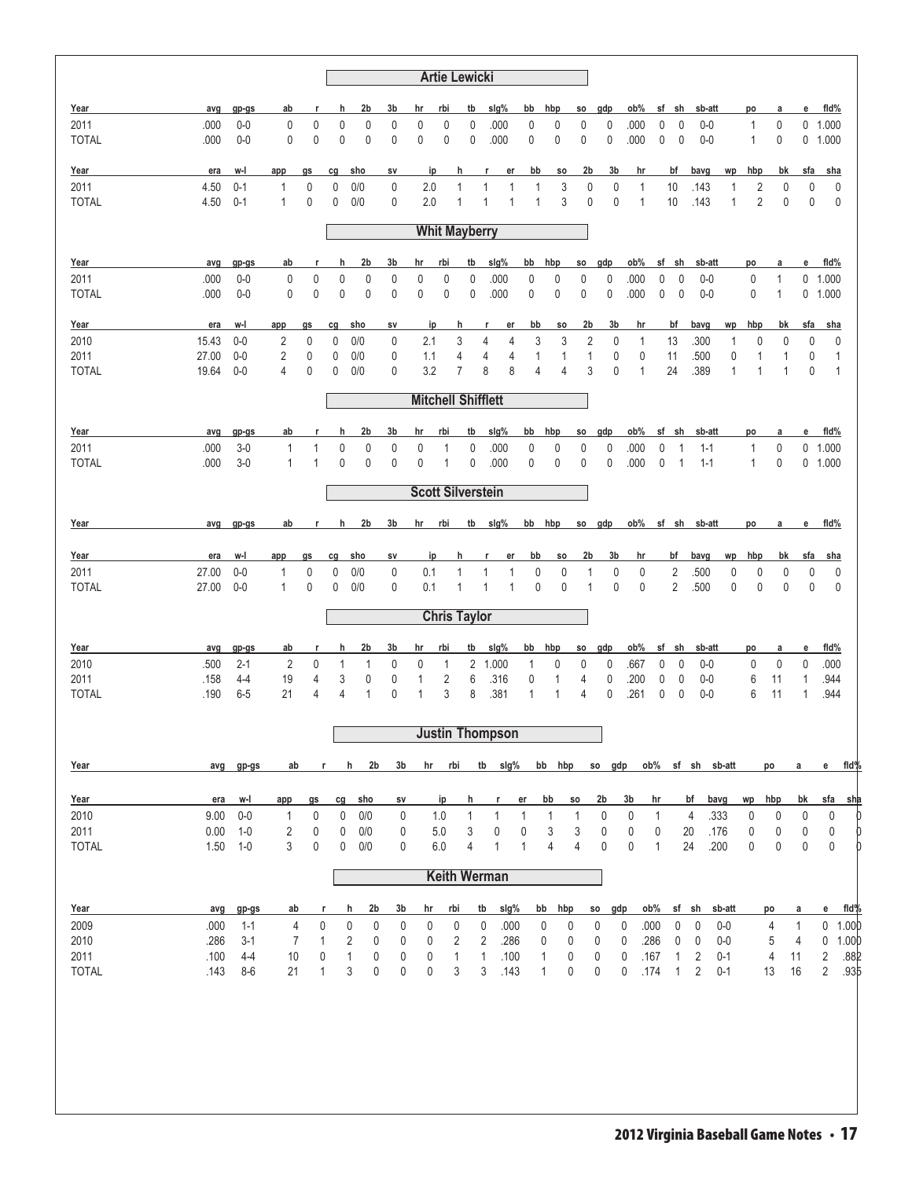|              |       |         |              |              |             |                     |             |           | <b>Artie Lewicki</b>      |                |                        |              |              |                |                |              |      |                |                         |              |                |              |                |                        |
|--------------|-------|---------|--------------|--------------|-------------|---------------------|-------------|-----------|---------------------------|----------------|------------------------|--------------|--------------|----------------|----------------|--------------|------|----------------|-------------------------|--------------|----------------|--------------|----------------|------------------------|
| Year         | avg   | gp-gs   | ab           | r            | h           | 2b                  | 3b          | hr        | rbi                       | tb             | slg%                   | bb           | hbp          | SO.            | gdp            | ob%          | sf   | sh             | sb-att                  |              | po             | a            | е              | fid%                   |
| 2011         | .000  | $0-0$   | 0            | $\pmb{0}$    | $\mathbf 0$ | 0                   | 0           | 0         | $\mathbf 0$               | 0              | .000                   | 0            | 0            | $\pmb{0}$      | 0              | .000         | 0    | 0              | $0-0$                   |              | $\mathbf{1}$   | 0            | 0              | 1.000                  |
| <b>TOTAL</b> | .000  | $0-0$   | 0            | 0            | $\mathbf 0$ | 0                   | 0           | 0         | 0                         | 0              | .000                   | 0            | $\mathbf 0$  | 0              | $\mathbf 0$    | .000         | 0    | 0              | $0-0$                   |              | $\mathbf{1}$   | 0            | 0              | 1.000                  |
| Year         | era   | w-l     | app          | gs           | cg          | sho                 | SV          |           | ip                        | h              | r<br>er                | bb           | SO.          | 2b             | 3b             | hr           |      | bf             | bavg                    | wp           | hbp            | bk           | sfa            | sha                    |
| 2011         | 4.50  | $0 - 1$ | 1            | 0            | 0           | 0/0                 | 0           | 2.0       |                           | 1              | 1<br>1                 |              | 3<br>1       | 0              | $\pmb{0}$      | 1            |      | 10             | .143                    | $\mathbf{1}$ | 2              | 0            | 0              | 0                      |
| <b>TOTAL</b> | 4.50  | $0 - 1$ | $\mathbf{1}$ | 0            | 0           | 0/0                 | 0           | 2.0       |                           | $\mathbf{1}$   | $\mathbf{1}$<br>1      |              | 3<br>1       | $\pmb{0}$      | $\mathbf{0}$   | $\mathbf{1}$ |      | 10             | .143                    | $\mathbf{1}$ | $\overline{2}$ | 0            | 0              | 0                      |
|              |       |         |              |              |             |                     |             |           | <b>Whit Mayberry</b>      |                |                        |              |              |                |                |              |      |                |                         |              |                |              |                |                        |
| Year         | avg   | gp-gs   | ab           | r            | h           | 2b                  | 3b          | hr        | rbi                       | tb             | $slq\%$                | bb           | hbp          | so             | gdp            | ob%          |      | sf sh          | sb-att                  |              | po             | a            | е              | fid%                   |
| 2011         | .000  | $0-0$   | $\pmb{0}$    | $\pmb{0}$    | $\mathbf 0$ | 0                   | 0           | $\pmb{0}$ | $\mathbf 0$               | 0              | .000                   | 0            | 0            | $\mathbf 0$    | $\pmb{0}$      | .000         | 0    | $\mathbf 0$    | $0-0$                   |              | $\pmb{0}$      | $\mathbf{1}$ | 0              | 1.000                  |
| <b>TOTAL</b> | .000  | $0-0$   | 0            | $\pmb{0}$    | $\mathbf 0$ | 0                   | 0           | $\pmb{0}$ | 0                         | 0              | .000                   | 0            | $\pmb{0}$    | $\mathbf 0$    | $\pmb{0}$      | .000         | 0    | $\pmb{0}$      | $0-0$                   |              | 0              | $\mathbf{1}$ | 0              | 1.000                  |
| Year         | era   | w-l     | app          | gs           | cg          | sho                 | sv          |           | ip                        | h              | r<br>er                | bb           | <b>SO</b>    | 2b             | 3b             | hr           |      | bf             | bavg                    | wp           | hbp            | bk           | sfa            | sha                    |
| 2010         | 15.43 | $0-0$   | 2            | 0            | 0           | 0/0                 | 0           | 2.1       |                           | 3              | 4<br>4                 |              | 3<br>3       | 2              | 0              | 1            |      | 13             | .300                    | $\mathbf{1}$ | 0              | 0            | 0              | 0                      |
| 2011         | 27.00 | $0-0$   | 2            | 0            | 0           | 0/0                 | 0           | 1.1       |                           | 4              | 4                      | 4            | 1<br>1       | $\mathbf{1}$   | 0              | 0            |      | 11             | .500                    | 0            | 1              | 1            | 0              | 1                      |
| <b>TOTAL</b> | 19.64 | $0-0$   | 4            | 0            | 0           | 0/0                 | 0           | 3.2       |                           | $\overline{7}$ | 8                      | 8            | 4<br>4       | 3              | $\mathbf{0}$   | $\mathbf{1}$ |      | 24             | .389                    | $\mathbf{1}$ | 1              | 1            | 0              | $\mathbf{1}$           |
|              |       |         |              |              |             |                     |             |           | <b>Mitchell Shifflett</b> |                |                        |              |              |                |                |              |      |                |                         |              |                |              |                |                        |
| Year         | avg   | gp-gs   | ab           | r            | h           | 2b                  | 3b          | hr        | rbi                       | tb             | slg%                   | bb           | hbp          | SO.            | gdp            | ob%          |      | sf sh          | sb-att                  |              | po             | а            | e              | fid%                   |
| 2011         | .000  | $3-0$   | 1            | 1            | 0           | 0                   | 0           | 0         | 1                         | 0              | .000                   | 0            | 0            | 0              | 0              | .000         | 0    | $\mathbf{1}$   | $1 - 1$                 |              | 1              | 0            | 0              | 1.000                  |
| <b>TOTAL</b> | .000  | $3-0$   | $\mathbf{1}$ | $\mathbf{1}$ | $\mathbf 0$ | 0                   | 0           | 0         | 1                         | 0              | .000                   | 0            | 0            | $\mathbf{0}$   | $\mathbf 0$    | .000         | 0    | $\mathbf{1}$   | $1 - 1$                 |              | $\mathbf{1}$   | 0            | 0              | 1.000                  |
|              |       |         |              |              |             |                     |             |           | <b>Scott Silverstein</b>  |                |                        |              |              |                |                |              |      |                |                         |              |                |              |                |                        |
| Year         | avg   |         | ab           | r.           | h           | 2b                  | 3b          | hr        | rbi                       | tb             | slg%                   | bb           | hbp          |                | so gdp         | ob%          |      |                | sf sh sb-att            |              | po             | a            | e              | fid%                   |
|              |       | gp-gs   |              |              |             |                     |             |           |                           |                |                        |              |              |                |                |              |      |                |                         |              |                |              |                |                        |
| Year         | era   | w-l     | app          | gs           | cg          | sho                 | sv          |           | ip                        | h              | r<br>er                | bb           | <b>SO</b>    | 2b             | 3b             | hr           |      | bf             | bavg                    | wp           | hbp            | bk           | sfa            | sha                    |
| 2011         | 27.00 | $0-0$   | 1            | 0            | 0           | 0/0                 | 0           | 0.1       |                           | 1              | 1<br>1                 |              | 0<br>0       | 1              | 0              | 0            |      | $\overline{2}$ | .500                    | 0            | 0              | 0            | 0              | 0                      |
| <b>TOTAL</b> | 27.00 | $0-0$   | $\mathbf{1}$ | $\mathbf{0}$ | 0           | 0/0                 | 0           | 0.1       |                           | 1              | 1<br>1                 |              | 0<br>0       | 1              | $\mathbf 0$    | $\mathbf{0}$ |      | $\overline{2}$ | .500                    | $\pmb{0}$    | $\mathbf 0$    | 0            | 0              | 0                      |
|              |       |         |              |              |             |                     |             |           | <b>Chris Taylor</b>       |                |                        |              |              |                |                |              |      |                |                         |              |                |              |                |                        |
| Year         | avg   | gp-gs   | ab           | r            | h           | 2b                  | 3b          | hr        | rbi                       | tb             | slg%                   | bb           | hbp          | <b>SO</b>      | gdp            | ob%          |      | sf sh          | sb-att                  |              | po             | а            | е              | fid%                   |
| 2010         | .500  | $2 - 1$ | 2            | 0            | 1           | 1                   | 0           | 0         | 1                         | 2              | 1.000                  | $\mathbf{1}$ | 0            | 0              | 0              | .667         | 0    | 0              | $0-0$                   |              | 0              | 0            | 0              | .000                   |
| 2011         | .158  | 4-4     | 19           | 4            | 3           | 0                   | 0           | 1         | 2                         | 6              | .316                   | 0            | $\mathbf 1$  | 4              | 0              | .200         | 0    | 0              | $0-0$                   |              | 6              | 11           | 1              | .944                   |
| <b>TOTAL</b> | .190  | $6-5$   | 21           | 4            | 4           | 1                   | 0           | 1         | 3                         | 8              | .381                   | 1            | $\mathbf 1$  | 4              | $\mathbf 0$    | .261         | 0    | 0              | $0-0$                   |              | 6              | 11           | 1              | .944                   |
|              |       |         |              |              |             |                     |             |           |                           |                | <b>Justin Thompson</b> |              |              |                |                |              |      |                |                         |              |                |              |                |                        |
|              |       |         |              |              |             |                     |             |           |                           |                |                        |              |              |                |                |              |      |                |                         |              |                |              |                |                        |
| Year         | avg   | gp-gs   | ab           |              | r           | 2 <sub>b</sub><br>h | 3b          |           | hr rbi                    |                | tb slg%                |              | bb hbp       |                | so gdp         |              |      |                | ob% sf sh sb-att        |              |                | po           | a              | e fld%                 |
| Year         | era   | w-l     | app          | gs           | cg          | sho                 | SV          |           | ip                        | h              | r                      | er           | bb           | <b>SO</b>      | 2 <sub>b</sub> | 3b           | hr   |                | bavg<br>bf              |              | wp             | hbp          | bk             | sfa<br><u>sha</u>      |
| 2010         | 9.00  | $0-0$   | 1            | $\pmb{0}$    | 0           | 0/0                 | $\mathbf 0$ |           | 1.0                       | 1              | 1                      | 1            | 1            | 1              | 0              | 0            | 1    |                | $\overline{4}$          | .333         | 0              | $\mathbf 0$  | 0              | $\pmb{0}$              |
| 2011         | 0.00  | $1 - 0$ | 2            | 0            | 0           | 0/0                 | 0           |           | 5.0                       | 3              | 0                      | 0            | 3            | 3              | 0              | 0            | 0    |                | 20                      | .176         | 0              | 0            | 0              | 0                      |
| <b>TOTAL</b> | 1.50  | $1 - 0$ | 3            | 0            | 0           | 0/0                 | 0           |           | 6.0                       | 4              | 1                      | 1            | 4            | $\overline{4}$ | 0              | 0            | 1    |                | 24                      | .200         | 0              | 0            | 0              | 0                      |
|              |       |         |              |              |             |                     |             |           |                           |                | <b>Keith Werman</b>    |              |              |                |                |              |      |                |                         |              |                |              |                |                        |
| Year         | avg   | gp-gs   | ab           | r            |             | 2b<br>h             | 3b          | hr        | rbi                       |                | slg%<br>tb             |              | hbp<br>bb    |                | so gdp         |              | ob%  |                | sf sh                   | sb-att       |                | po           | а              | fld%<br>е              |
| 2009         | .000  | $1 - 1$ | 4            | 0            |             | 0<br>0              | 0           |           | 0<br>$\pmb{0}$            |                | $\mathbf 0$<br>.000    |              | 0            | 0              | 0              | 0            | .000 | 0              | 0                       | $0-0$        |                | 4            | $\mathbf{1}$   | 0<br>1.000             |
| 2010         | .286  | $3-1$   | 7            | $\mathbf{1}$ |             | 2<br>0              | 0           |           | 2<br>0                    |                | 2<br>.286              |              | 0            | 0              | 0              | 0            | .286 | 0              | 0                       | $0-0$        |                | 5            | $\overline{4}$ | 1.00 <sub>b</sub><br>0 |
| 2011         | .100  | $4 - 4$ | 10           | 0            |             | 1<br>0              | 0           |           | 1<br>0                    |                | 1<br>.100              |              | 1            | 0              | 0              | 0            | .167 | 1              | $\overline{\mathbf{c}}$ | $0 - 1$      |                | 4            | 11             | .882<br>2              |
| <b>TOTAL</b> | .143  | $8 - 6$ | 21           | 1            |             | 3<br>0              | 0           | 0         | 3                         |                | 3<br>.143              |              | $\mathbf{1}$ | 0              | 0              | 0            | .174 | $\mathbf{1}$   | $\sqrt{2}$              | $0 - 1$      |                | 13           | 16             | $\overline{2}$<br>.935 |
|              |       |         |              |              |             |                     |             |           |                           |                |                        |              |              |                |                |              |      |                |                         |              |                |              |                |                        |
|              |       |         |              |              |             |                     |             |           |                           |                |                        |              |              |                |                |              |      |                |                         |              |                |              |                |                        |
|              |       |         |              |              |             |                     |             |           |                           |                |                        |              |              |                |                |              |      |                |                         |              |                |              |                |                        |
|              |       |         |              |              |             |                     |             |           |                           |                |                        |              |              |                |                |              |      |                |                         |              |                |              |                |                        |
|              |       |         |              |              |             |                     |             |           |                           |                |                        |              |              |                |                |              |      |                |                         |              |                |              |                |                        |